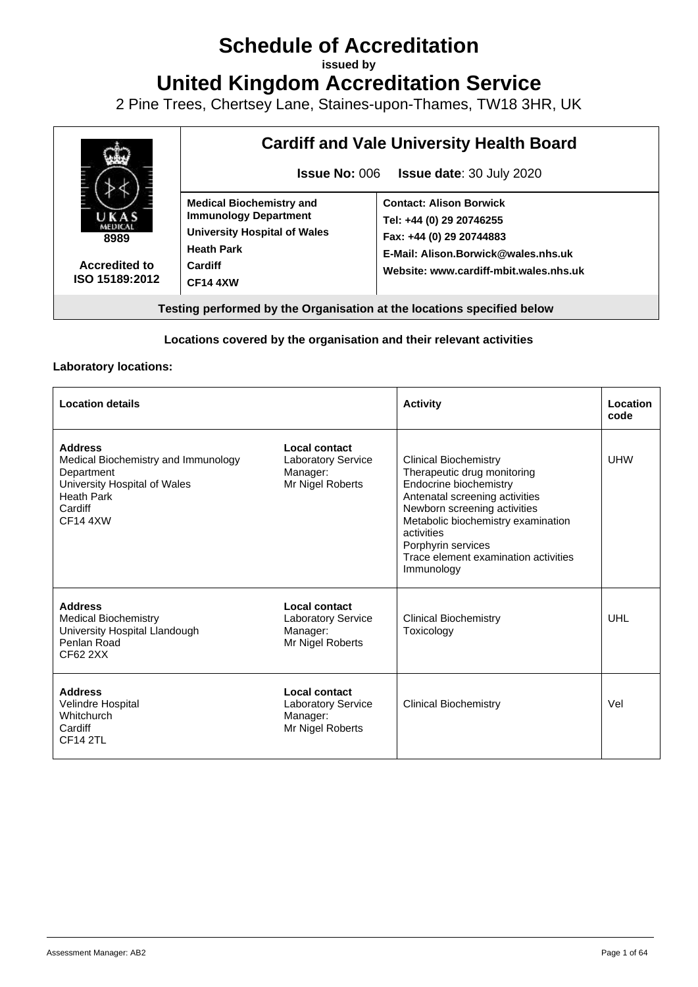# **Schedule of Accreditation**

**issued by**

**United Kingdom Accreditation Service**

2 Pine Trees, Chertsey Lane, Staines-upon-Thames, TW18 3HR, UK



#### **Locations covered by the organisation and their relevant activities**

#### **Laboratory locations:**

| <b>Location details</b>                                                                                                                                |                                                                                   | <b>Activity</b>                                                                                                                                                                                                                                                                         | Location<br>code |
|--------------------------------------------------------------------------------------------------------------------------------------------------------|-----------------------------------------------------------------------------------|-----------------------------------------------------------------------------------------------------------------------------------------------------------------------------------------------------------------------------------------------------------------------------------------|------------------|
| <b>Address</b><br>Medical Biochemistry and Immunology<br>Department<br>University Hospital of Wales<br><b>Heath Park</b><br>Cardiff<br><b>CF14 4XW</b> | <b>Local contact</b><br><b>Laboratory Service</b><br>Manager:<br>Mr Nigel Roberts | <b>Clinical Biochemistry</b><br>Therapeutic drug monitoring<br>Endocrine biochemistry<br>Antenatal screening activities<br>Newborn screening activities<br>Metabolic biochemistry examination<br>activities<br>Porphyrin services<br>Trace element examination activities<br>Immunology | <b>UHW</b>       |
| <b>Address</b><br><b>Medical Biochemistry</b><br>University Hospital Llandough<br>Penlan Road<br>CF62 2XX                                              | <b>Local contact</b><br><b>Laboratory Service</b><br>Manager:<br>Mr Nigel Roberts | <b>Clinical Biochemistry</b><br>Toxicology                                                                                                                                                                                                                                              | UHL              |
| <b>Address</b><br>Velindre Hospital<br>Whitchurch<br>Cardiff<br><b>CF14 2TL</b>                                                                        | Local contact<br><b>Laboratory Service</b><br>Manager:<br>Mr Nigel Roberts        | <b>Clinical Biochemistry</b>                                                                                                                                                                                                                                                            | Vel              |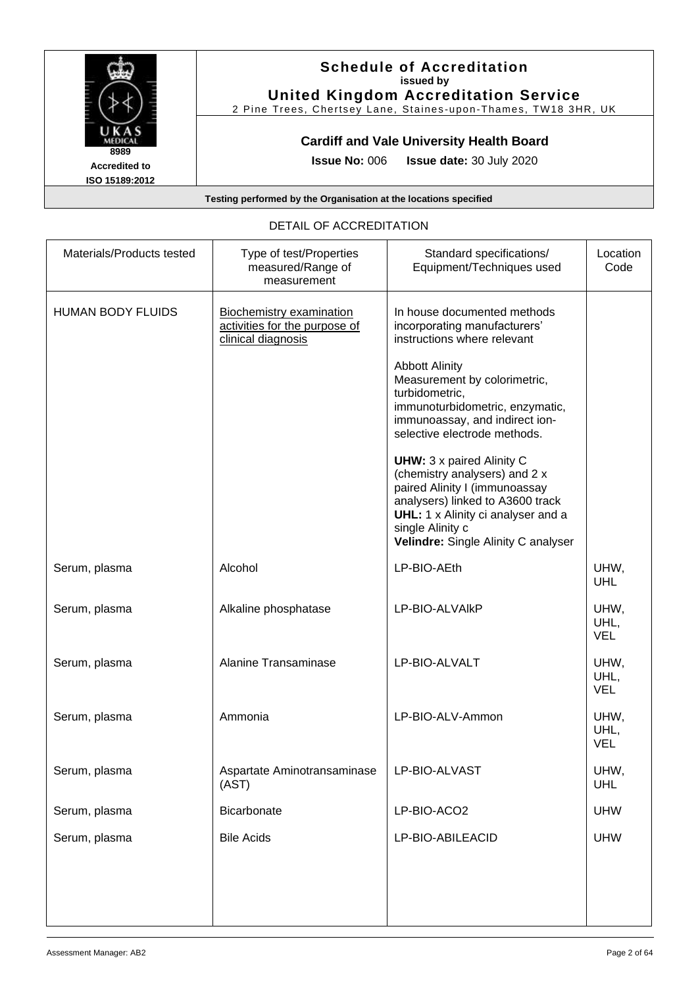

#### **Schedule of Accreditation issued by United Kingdom Accreditation Service**

2 Pine Trees, Chertsey Lane, Staines-upon-Thames, TW18 3HR, UK

### **Cardiff and Vale University Health Board**

**Issue No:** 006 **Issue date:** 30 July 2020

**Testing performed by the Organisation at the locations specified**

### DETAIL OF ACCREDITATION

| Materials/Products tested | Type of test/Properties<br>measured/Range of<br>measurement                            | Standard specifications/<br>Equipment/Techniques used                                                                                                                                                                                   | Location<br>Code           |
|---------------------------|----------------------------------------------------------------------------------------|-----------------------------------------------------------------------------------------------------------------------------------------------------------------------------------------------------------------------------------------|----------------------------|
| <b>HUMAN BODY FLUIDS</b>  | <b>Biochemistry examination</b><br>activities for the purpose of<br>clinical diagnosis | In house documented methods<br>incorporating manufacturers'<br>instructions where relevant                                                                                                                                              |                            |
|                           |                                                                                        | <b>Abbott Alinity</b><br>Measurement by colorimetric,<br>turbidometric,<br>immunoturbidometric, enzymatic,<br>immunoassay, and indirect ion-<br>selective electrode methods.                                                            |                            |
|                           |                                                                                        | <b>UHW:</b> 3 x paired Alinity C<br>(chemistry analysers) and 2 x<br>paired Alinity I (immunoassay<br>analysers) linked to A3600 track<br>UHL: 1 x Alinity ci analyser and a<br>single Alinity c<br>Velindre: Single Alinity C analyser |                            |
| Serum, plasma             | Alcohol                                                                                | LP-BIO-AEth                                                                                                                                                                                                                             | UHW,<br><b>UHL</b>         |
| Serum, plasma             | Alkaline phosphatase                                                                   | LP-BIO-ALVAIKP                                                                                                                                                                                                                          | UHW,<br>UHL,<br><b>VEL</b> |
| Serum, plasma             | Alanine Transaminase                                                                   | LP-BIO-ALVALT                                                                                                                                                                                                                           | UHW,<br>UHL,<br><b>VEL</b> |
| Serum, plasma             | Ammonia                                                                                | LP-BIO-ALV-Ammon                                                                                                                                                                                                                        | UHW,<br>UHL,<br><b>VEL</b> |
| Serum, plasma             | Aspartate Aminotransaminase<br>(AST)                                                   | LP-BIO-ALVAST                                                                                                                                                                                                                           | UHW,<br><b>UHL</b>         |
| Serum, plasma             | Bicarbonate                                                                            | LP-BIO-ACO2                                                                                                                                                                                                                             | <b>UHW</b>                 |
| Serum, plasma             | <b>Bile Acids</b>                                                                      | LP-BIO-ABILEACID                                                                                                                                                                                                                        | <b>UHW</b>                 |
|                           |                                                                                        |                                                                                                                                                                                                                                         |                            |
|                           |                                                                                        |                                                                                                                                                                                                                                         |                            |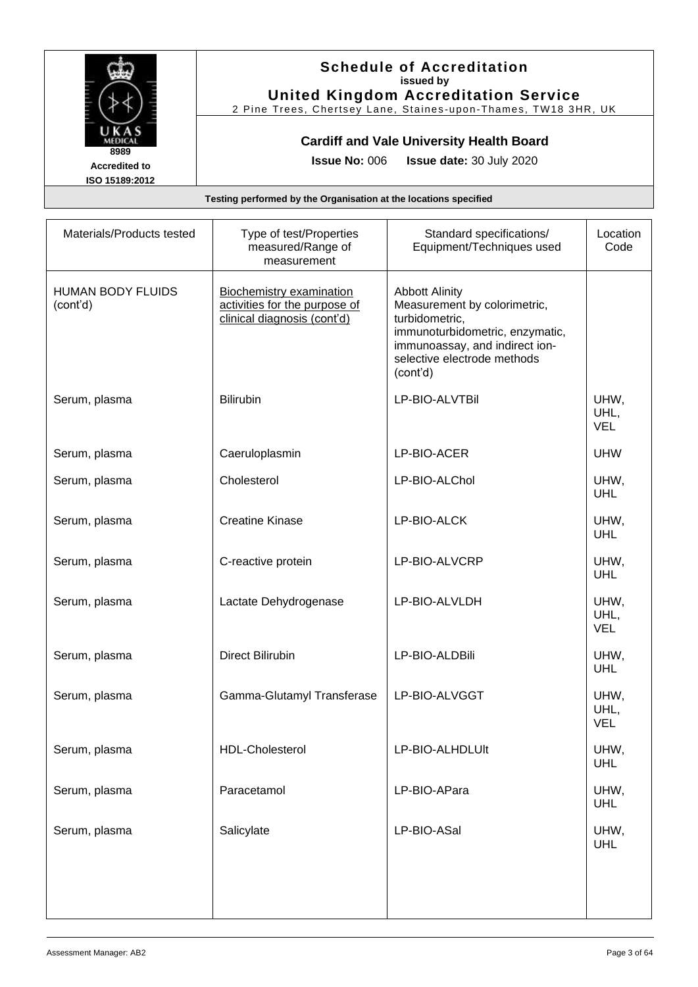

#### **Schedule of Accreditation issued by United Kingdom Accreditation Service**

2 Pine Trees, Chertsey Lane, Staines -upon -Thames, TW18 3HR, UK

### **Cardiff and Vale University Health Board**

**Issue No:** 006 **Issue date:** 30 July 2020

| Materials/Products tested            | Type of test/Properties<br>measured/Range of<br>measurement                                     | Standard specifications/<br>Equipment/Techniques used                                                                                                                                   | Location<br>Code           |
|--------------------------------------|-------------------------------------------------------------------------------------------------|-----------------------------------------------------------------------------------------------------------------------------------------------------------------------------------------|----------------------------|
| <b>HUMAN BODY FLUIDS</b><br>(cont'd) | <b>Biochemistry examination</b><br>activities for the purpose of<br>clinical diagnosis (cont'd) | <b>Abbott Alinity</b><br>Measurement by colorimetric,<br>turbidometric,<br>immunoturbidometric, enzymatic,<br>immunoassay, and indirect ion-<br>selective electrode methods<br>(cont'd) |                            |
| Serum, plasma                        | <b>Bilirubin</b>                                                                                | LP-BIO-ALVTBil                                                                                                                                                                          | UHW,<br>UHL,<br><b>VEL</b> |
| Serum, plasma                        | Caeruloplasmin                                                                                  | LP-BIO-ACER                                                                                                                                                                             | <b>UHW</b>                 |
| Serum, plasma                        | Cholesterol                                                                                     | LP-BIO-ALChol                                                                                                                                                                           | UHW,<br><b>UHL</b>         |
| Serum, plasma                        | <b>Creatine Kinase</b>                                                                          | LP-BIO-ALCK                                                                                                                                                                             | UHW,<br>UHL                |
| Serum, plasma                        | C-reactive protein                                                                              | LP-BIO-ALVCRP                                                                                                                                                                           | UHW,<br>UHL                |
| Serum, plasma                        | Lactate Dehydrogenase                                                                           | LP-BIO-ALVLDH                                                                                                                                                                           | UHW,<br>UHL,<br><b>VEL</b> |
| Serum, plasma                        | <b>Direct Bilirubin</b>                                                                         | LP-BIO-ALDBili                                                                                                                                                                          | UHW,<br><b>UHL</b>         |
| Serum, plasma                        | Gamma-Glutamyl Transferase                                                                      | LP-BIO-ALVGGT                                                                                                                                                                           | UHW,<br>UHL,<br><b>VEL</b> |
| Serum, plasma                        | <b>HDL-Cholesterol</b>                                                                          | LP-BIO-ALHDLUIt                                                                                                                                                                         | UHW,<br>UHL                |
| Serum, plasma                        | Paracetamol                                                                                     | LP-BIO-APara                                                                                                                                                                            | UHW,<br><b>UHL</b>         |
| Serum, plasma                        | Salicylate                                                                                      | LP-BIO-ASal                                                                                                                                                                             | UHW,<br><b>UHL</b>         |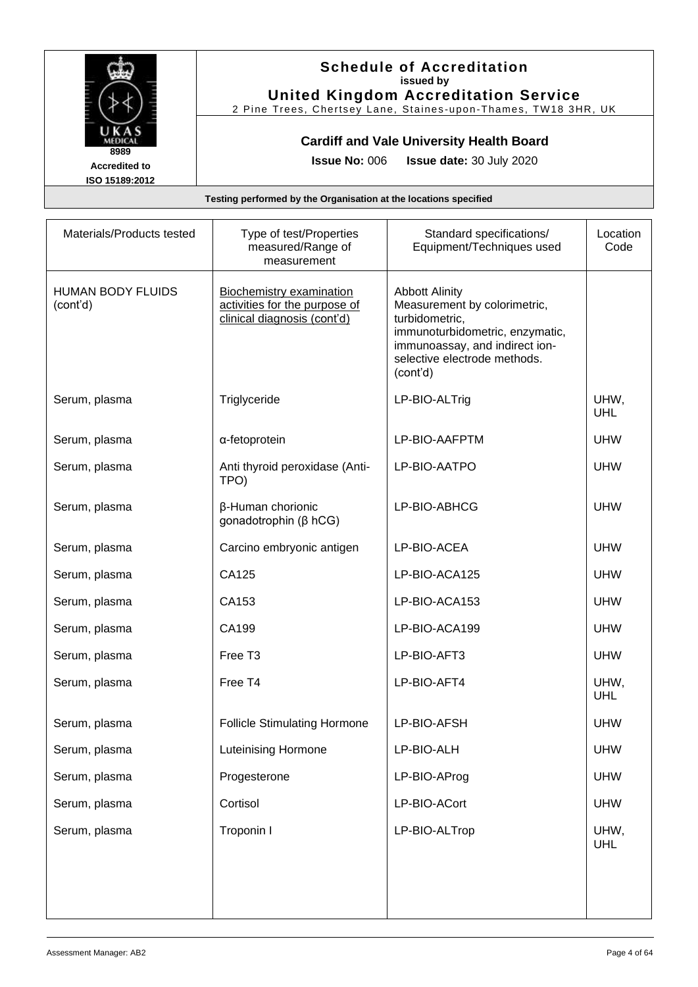

### **Schedule of Accreditation issued by United Kingdom Accreditation Service**

2 Pine Trees, Chertsey Lane, Staines -upon -Thames, TW18 3HR, UK

### **Cardiff and Vale University Health Board**

**Issue No:** 006 **Issue date:** 30 July 2020

| Materials/Products tested            | Type of test/Properties<br>measured/Range of<br>measurement                                     | Standard specifications/<br>Equipment/Techniques used                                                                                                                                    | Location<br>Code   |
|--------------------------------------|-------------------------------------------------------------------------------------------------|------------------------------------------------------------------------------------------------------------------------------------------------------------------------------------------|--------------------|
| <b>HUMAN BODY FLUIDS</b><br>(cont'd) | <b>Biochemistry examination</b><br>activities for the purpose of<br>clinical diagnosis (cont'd) | <b>Abbott Alinity</b><br>Measurement by colorimetric,<br>turbidometric,<br>immunoturbidometric, enzymatic,<br>immunoassay, and indirect ion-<br>selective electrode methods.<br>(cont'd) |                    |
| Serum, plasma                        | Triglyceride                                                                                    | LP-BIO-ALTrig                                                                                                                                                                            | UHW,<br>UHL        |
| Serum, plasma                        | α-fetoprotein                                                                                   | LP-BIO-AAFPTM                                                                                                                                                                            | <b>UHW</b>         |
| Serum, plasma                        | Anti thyroid peroxidase (Anti-<br>TPO)                                                          | LP-BIO-AATPO                                                                                                                                                                             | <b>UHW</b>         |
| Serum, plasma                        | β-Human chorionic<br>gonadotrophin ( $\beta$ hCG)                                               | LP-BIO-ABHCG                                                                                                                                                                             | <b>UHW</b>         |
| Serum, plasma                        | Carcino embryonic antigen                                                                       | LP-BIO-ACEA                                                                                                                                                                              | <b>UHW</b>         |
| Serum, plasma                        | CA125                                                                                           | LP-BIO-ACA125                                                                                                                                                                            | <b>UHW</b>         |
| Serum, plasma                        | CA153                                                                                           | LP-BIO-ACA153                                                                                                                                                                            | <b>UHW</b>         |
| Serum, plasma                        | CA199                                                                                           | LP-BIO-ACA199                                                                                                                                                                            | <b>UHW</b>         |
| Serum, plasma                        | Free T <sub>3</sub>                                                                             | LP-BIO-AFT3                                                                                                                                                                              | <b>UHW</b>         |
| Serum, plasma                        | Free T4                                                                                         | LP-BIO-AFT4                                                                                                                                                                              | UHW,<br>UHL        |
| Serum, plasma                        | <b>Follicle Stimulating Hormone</b>                                                             | LP-BIO-AFSH                                                                                                                                                                              | <b>UHW</b>         |
| Serum, plasma                        | <b>Luteinising Hormone</b>                                                                      | LP-BIO-ALH                                                                                                                                                                               | <b>UHW</b>         |
| Serum, plasma                        | Progesterone                                                                                    | LP-BIO-AProg                                                                                                                                                                             | <b>UHW</b>         |
| Serum, plasma                        | Cortisol                                                                                        | LP-BIO-ACort                                                                                                                                                                             | <b>UHW</b>         |
| Serum, plasma                        | Troponin I                                                                                      | LP-BIO-ALTrop                                                                                                                                                                            | UHW,<br><b>UHL</b> |
|                                      |                                                                                                 |                                                                                                                                                                                          |                    |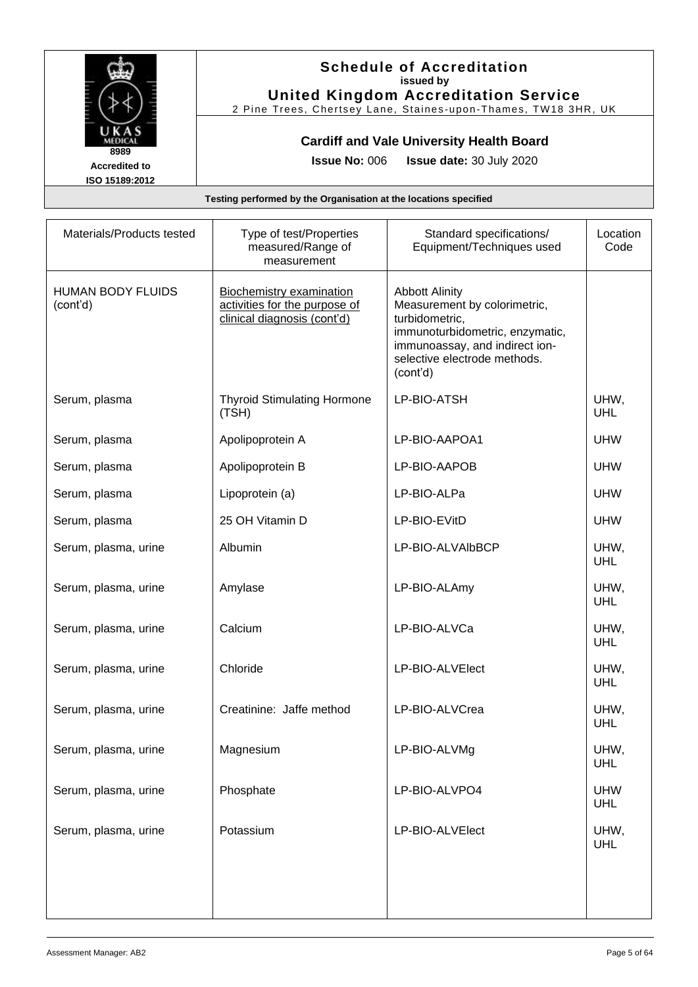

#### **Schedule of Accreditation issued by United Kingdom Accreditation Service**

2 Pine Trees, Chertsey Lane, Staines -upon -Thames, TW18 3HR, UK

### **Cardiff and Vale University Health Board**

**Issue No:** 006 **Issue date:** 30 July 2020

| Materials/Products tested            | Type of test/Properties<br>measured/Range of<br>measurement                                     | Standard specifications/<br>Equipment/Techniques used                                                                                                                                    | Location<br>Code         |
|--------------------------------------|-------------------------------------------------------------------------------------------------|------------------------------------------------------------------------------------------------------------------------------------------------------------------------------------------|--------------------------|
| <b>HUMAN BODY FLUIDS</b><br>(cont'd) | <b>Biochemistry examination</b><br>activities for the purpose of<br>clinical diagnosis (cont'd) | <b>Abbott Alinity</b><br>Measurement by colorimetric,<br>turbidometric,<br>immunoturbidometric, enzymatic,<br>immunoassay, and indirect ion-<br>selective electrode methods.<br>(cont'd) |                          |
| Serum, plasma                        | <b>Thyroid Stimulating Hormone</b><br>(TSH)                                                     | LP-BIO-ATSH                                                                                                                                                                              | UHW,<br><b>UHL</b>       |
| Serum, plasma                        | Apolipoprotein A                                                                                | LP-BIO-AAPOA1                                                                                                                                                                            | <b>UHW</b>               |
| Serum, plasma                        | Apolipoprotein B                                                                                | LP-BIO-AAPOB                                                                                                                                                                             | <b>UHW</b>               |
| Serum, plasma                        | Lipoprotein (a)                                                                                 | LP-BIO-ALPa                                                                                                                                                                              | <b>UHW</b>               |
| Serum, plasma                        | 25 OH Vitamin D                                                                                 | LP-BIO-EVitD                                                                                                                                                                             | <b>UHW</b>               |
| Serum, plasma, urine                 | Albumin                                                                                         | LP-BIO-ALVAIbBCP                                                                                                                                                                         | UHW,<br><b>UHL</b>       |
| Serum, plasma, urine                 | Amylase                                                                                         | LP-BIO-ALAmy                                                                                                                                                                             | UHW,<br>UHL              |
| Serum, plasma, urine                 | Calcium                                                                                         | LP-BIO-ALVCa                                                                                                                                                                             | UHW,<br><b>UHL</b>       |
| Serum, plasma, urine                 | Chloride                                                                                        | LP-BIO-ALVElect                                                                                                                                                                          | UHW,<br><b>UHL</b>       |
| Serum, plasma, urine                 | Creatinine: Jaffe method                                                                        | LP-BIO-ALVCrea                                                                                                                                                                           | UHW,<br>UHL              |
| Serum, plasma, urine                 | Magnesium                                                                                       | LP-BIO-ALVMg                                                                                                                                                                             | UHW,<br>UHL              |
| Serum, plasma, urine                 | Phosphate                                                                                       | LP-BIO-ALVPO4                                                                                                                                                                            | <b>UHW</b><br><b>UHL</b> |
| Serum, plasma, urine                 | Potassium                                                                                       | LP-BIO-ALVElect                                                                                                                                                                          | UHW,<br>UHL              |
|                                      |                                                                                                 |                                                                                                                                                                                          |                          |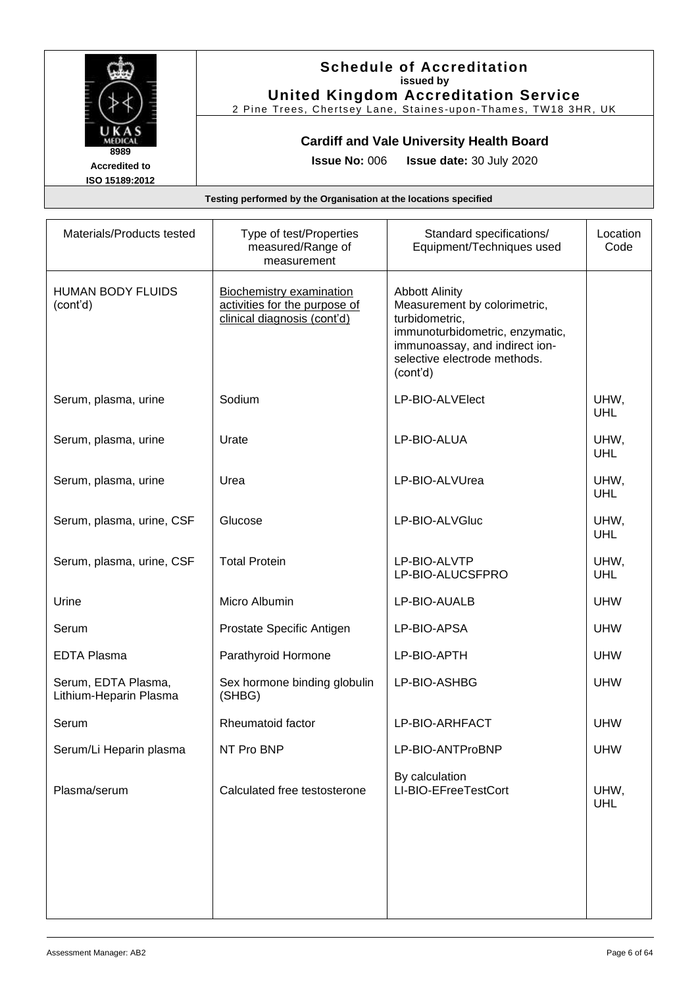

### **Schedule of Accreditation issued by United Kingdom Accreditation Service**

2 Pine Trees, Chertsey Lane, Staines -upon -Thames, TW18 3HR, UK

### **Cardiff and Vale University Health Board**

**Issue No:** 006 **Issue date:** 30 July 2020

| Materials/Products tested                     | Type of test/Properties<br>measured/Range of<br>measurement                                     | Standard specifications/<br>Equipment/Techniques used                                                                                                                                    | Location<br>Code   |
|-----------------------------------------------|-------------------------------------------------------------------------------------------------|------------------------------------------------------------------------------------------------------------------------------------------------------------------------------------------|--------------------|
| <b>HUMAN BODY FLUIDS</b><br>(cont'd)          | <b>Biochemistry examination</b><br>activities for the purpose of<br>clinical diagnosis (cont'd) | <b>Abbott Alinity</b><br>Measurement by colorimetric,<br>turbidometric,<br>immunoturbidometric, enzymatic,<br>immunoassay, and indirect ion-<br>selective electrode methods.<br>(cont'd) |                    |
| Serum, plasma, urine                          | Sodium                                                                                          | LP-BIO-ALVElect                                                                                                                                                                          | UHW,<br><b>UHL</b> |
| Serum, plasma, urine                          | Urate                                                                                           | LP-BIO-ALUA                                                                                                                                                                              | UHW,<br><b>UHL</b> |
| Serum, plasma, urine                          | Urea                                                                                            | LP-BIO-ALVUrea                                                                                                                                                                           | UHW,<br>UHL        |
| Serum, plasma, urine, CSF                     | Glucose                                                                                         | LP-BIO-ALVGIuc                                                                                                                                                                           | UHW,<br>UHL        |
| Serum, plasma, urine, CSF                     | <b>Total Protein</b>                                                                            | LP-BIO-ALVTP<br>LP-BIO-ALUCSFPRO                                                                                                                                                         | UHW,<br><b>UHL</b> |
| Urine                                         | Micro Albumin                                                                                   | LP-BIO-AUALB                                                                                                                                                                             | <b>UHW</b>         |
| Serum                                         | Prostate Specific Antigen                                                                       | LP-BIO-APSA                                                                                                                                                                              | <b>UHW</b>         |
| <b>EDTA Plasma</b>                            | Parathyroid Hormone                                                                             | LP-BIO-APTH                                                                                                                                                                              | <b>UHW</b>         |
| Serum, EDTA Plasma,<br>Lithium-Heparin Plasma | Sex hormone binding globulin<br>(SHBG)                                                          | LP-BIO-ASHBG                                                                                                                                                                             | <b>UHW</b>         |
| Serum                                         | Rheumatoid factor                                                                               | LP-BIO-ARHFACT                                                                                                                                                                           | <b>UHW</b>         |
| Serum/Li Heparin plasma                       | NT Pro BNP                                                                                      | LP-BIO-ANTProBNP                                                                                                                                                                         | <b>UHW</b>         |
| Plasma/serum                                  | Calculated free testosterone                                                                    | By calculation<br>LI-BIO-EFreeTestCort                                                                                                                                                   | UHW,<br><b>UHL</b> |
|                                               |                                                                                                 |                                                                                                                                                                                          |                    |
|                                               |                                                                                                 |                                                                                                                                                                                          |                    |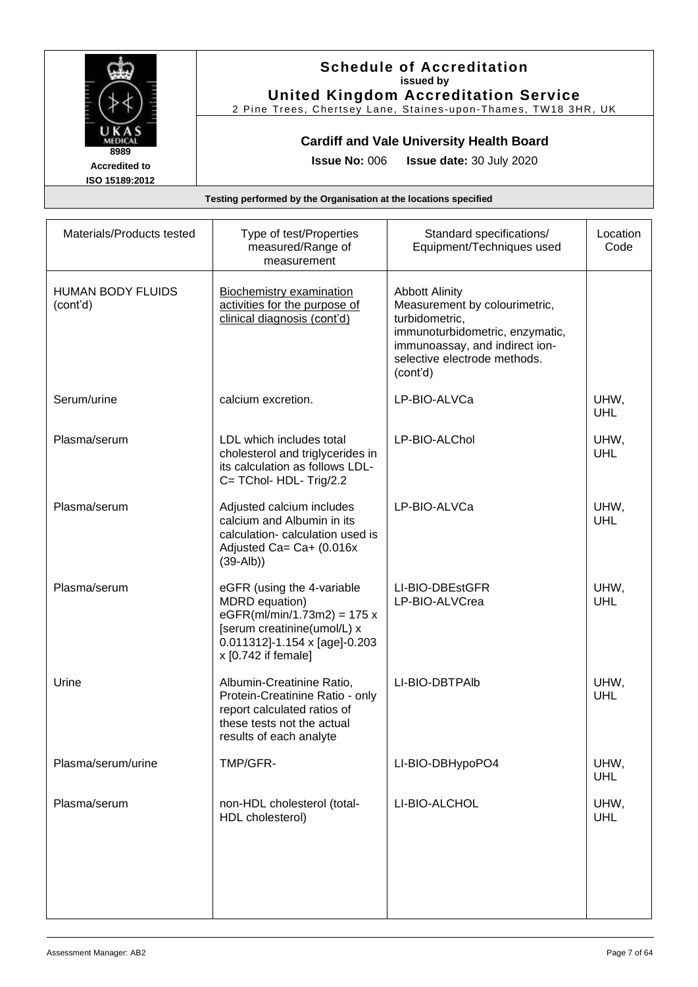

### **Schedule of Accreditation issued by United Kingdom Accreditation Service**

2 Pine Trees, Chertsey Lane, Staines -upon -Thames, TW18 3HR, UK

### **Cardiff and Vale University Health Board**

**Issue No:** 006 **Issue date:** 30 July 2020

| Materials/Products tested            | Type of test/Properties<br>measured/Range of<br>measurement                                                                                                          | Standard specifications/<br>Equipment/Techniques used                                                                                                                                     | Location<br>Code   |
|--------------------------------------|----------------------------------------------------------------------------------------------------------------------------------------------------------------------|-------------------------------------------------------------------------------------------------------------------------------------------------------------------------------------------|--------------------|
| <b>HUMAN BODY FLUIDS</b><br>(cont'd) | <b>Biochemistry examination</b><br>activities for the purpose of<br>clinical diagnosis (cont'd)                                                                      | <b>Abbott Alinity</b><br>Measurement by colourimetric,<br>turbidometric,<br>immunoturbidometric, enzymatic,<br>immunoassay, and indirect ion-<br>selective electrode methods.<br>(cont'd) |                    |
| Serum/urine                          | calcium excretion.                                                                                                                                                   | LP-BIO-ALVCa                                                                                                                                                                              | UHW,<br><b>UHL</b> |
| Plasma/serum                         | LDL which includes total<br>cholesterol and triglycerides in<br>its calculation as follows LDL-<br>C= TChol- HDL- Trig/2.2                                           | LP-BIO-ALChol                                                                                                                                                                             | UHW,<br>UHL        |
| Plasma/serum                         | Adjusted calcium includes<br>calcium and Albumin in its<br>calculation- calculation used is<br>Adjusted Ca= Ca+ (0.016x<br>$(39-Alb)$                                | LP-BIO-ALVCa                                                                                                                                                                              | UHW,<br>UHL        |
| Plasma/serum                         | eGFR (using the 4-variable<br>MDRD equation)<br>$eGFR(mI/min/1.73m2) = 175 x$<br>[serum creatinine(umol/L) x<br>0.011312]-1.154 x [age]-0.203<br>x [0.742 if female] | LI-BIO-DBEstGFR<br>LP-BIO-ALVCrea                                                                                                                                                         | UHW,<br>UHL        |
| Urine                                | Albumin-Creatinine Ratio,<br>Protein-Creatinine Ratio - only<br>report calculated ratios of<br>these tests not the actual<br>results of each analyte                 | LI-BIO-DBTPAIb                                                                                                                                                                            | UHW,<br>UHL        |
| Plasma/serum/urine                   | TMP/GFR-                                                                                                                                                             | LI-BIO-DBHypoPO4                                                                                                                                                                          | UHW,<br>UHL        |
| Plasma/serum                         | non-HDL cholesterol (total-<br>HDL cholesterol)                                                                                                                      | LI-BIO-ALCHOL                                                                                                                                                                             | UHW,<br>UHL        |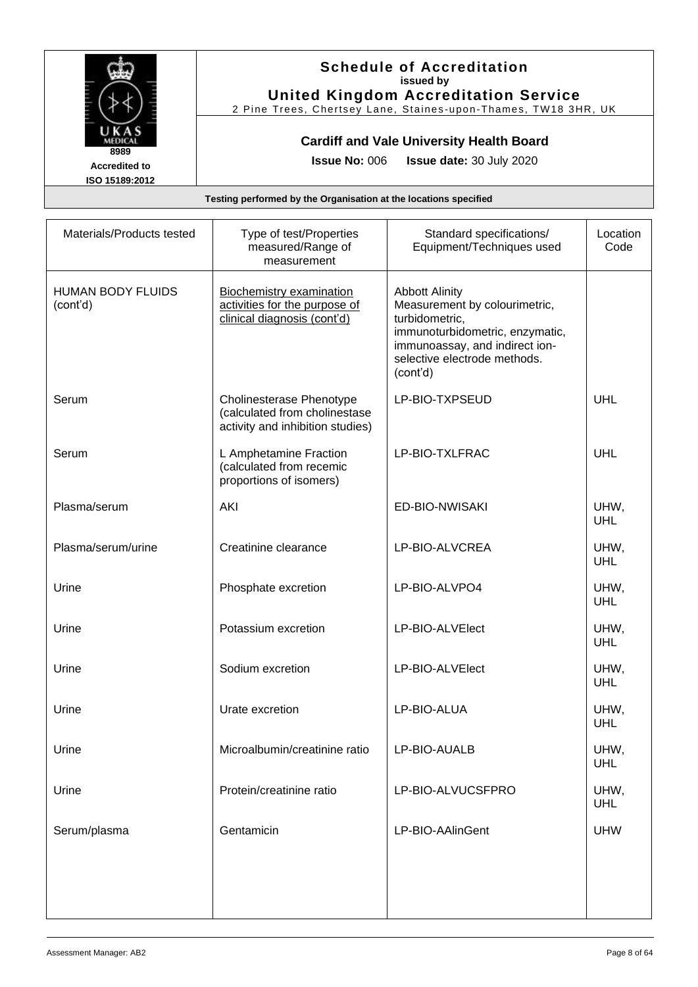

#### **Schedule of Accreditation issued by United Kingdom Accreditation Service**

2 Pine Trees, Chertsey Lane, Staines -upon -Thames, TW18 3HR, UK

### **Cardiff and Vale University Health Board**

**Issue No:** 006 **Issue date:** 30 July 2020

| Materials/Products tested            | Type of test/Properties<br>measured/Range of<br>measurement                                   | Standard specifications/<br>Equipment/Techniques used                                                                                                                                     | Location<br>Code   |
|--------------------------------------|-----------------------------------------------------------------------------------------------|-------------------------------------------------------------------------------------------------------------------------------------------------------------------------------------------|--------------------|
| <b>HUMAN BODY FLUIDS</b><br>(cont'd) | Biochemistry examination<br>activities for the purpose of<br>clinical diagnosis (cont'd)      | <b>Abbott Alinity</b><br>Measurement by colourimetric,<br>turbidometric,<br>immunoturbidometric, enzymatic,<br>immunoassay, and indirect ion-<br>selective electrode methods.<br>(cont'd) |                    |
| Serum                                | Cholinesterase Phenotype<br>(calculated from cholinestase<br>activity and inhibition studies) | LP-BIO-TXPSEUD                                                                                                                                                                            | UHL                |
| Serum                                | L Amphetamine Fraction<br>(calculated from recemic<br>proportions of isomers)                 | LP-BIO-TXLFRAC                                                                                                                                                                            | <b>UHL</b>         |
| Plasma/serum                         | AKI                                                                                           | ED-BIO-NWISAKI                                                                                                                                                                            | UHW,<br>UHL        |
| Plasma/serum/urine                   | Creatinine clearance                                                                          | LP-BIO-ALVCREA                                                                                                                                                                            | UHW,<br>UHL        |
| Urine                                | Phosphate excretion                                                                           | LP-BIO-ALVPO4                                                                                                                                                                             | UHW,<br><b>UHL</b> |
| Urine                                | Potassium excretion                                                                           | LP-BIO-ALVElect                                                                                                                                                                           | UHW,<br><b>UHL</b> |
| Urine                                | Sodium excretion                                                                              | LP-BIO-ALVElect                                                                                                                                                                           | UHW,<br><b>UHL</b> |
| Urine                                | Urate excretion                                                                               | LP-BIO-ALUA                                                                                                                                                                               | UHW,<br>UHL        |
| Urine                                | Microalbumin/creatinine ratio                                                                 | LP-BIO-AUALB                                                                                                                                                                              | UHW,<br><b>UHL</b> |
| Urine                                | Protein/creatinine ratio                                                                      | LP-BIO-ALVUCSFPRO                                                                                                                                                                         | UHW,<br><b>UHL</b> |
| Serum/plasma                         | Gentamicin                                                                                    | LP-BIO-AAlinGent                                                                                                                                                                          | <b>UHW</b>         |
|                                      |                                                                                               |                                                                                                                                                                                           |                    |
|                                      |                                                                                               |                                                                                                                                                                                           |                    |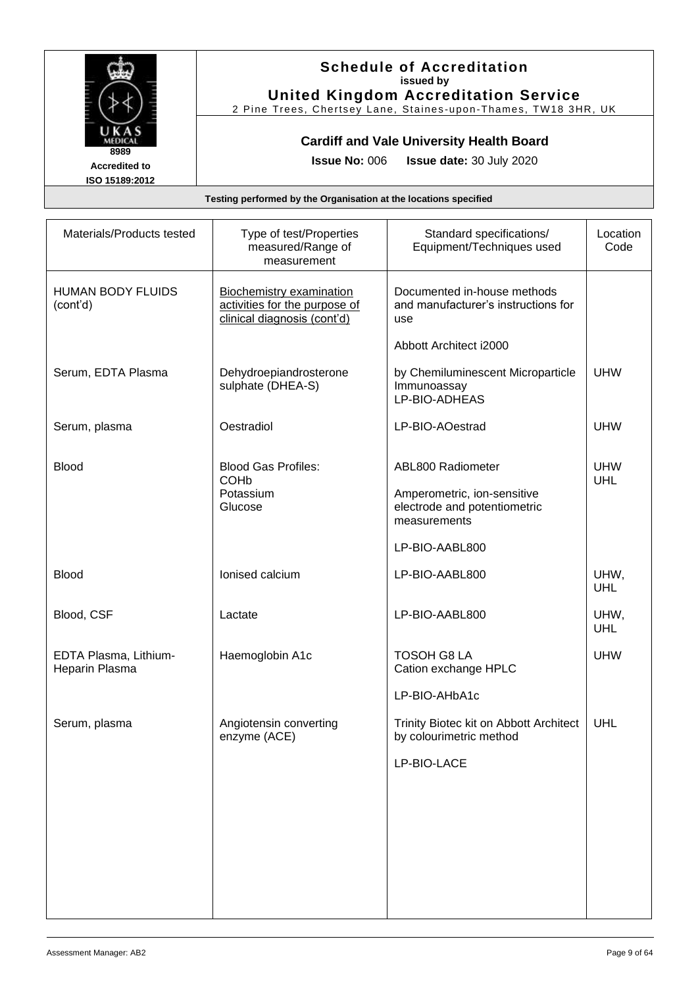

### **Schedule of Accreditation issued by United Kingdom Accreditation Service**

2 Pine Trees, Chertsey Lane, Staines -upon -Thames, TW18 3HR, UK

# **Cardiff and Vale University Health Board**

**Issue No:** 006 **Issue date:** 30 July 2020

| Materials/Products tested               | Type of test/Properties<br>measured/Range of<br>measurement                                     | Standard specifications/<br>Equipment/Techniques used                       | Location<br>Code   |
|-----------------------------------------|-------------------------------------------------------------------------------------------------|-----------------------------------------------------------------------------|--------------------|
| <b>HUMAN BODY FLUIDS</b><br>(cont'd)    | <b>Biochemistry examination</b><br>activities for the purpose of<br>clinical diagnosis (cont'd) | Documented in-house methods<br>and manufacturer's instructions for<br>use   |                    |
|                                         |                                                                                                 | Abbott Architect i2000                                                      |                    |
| Serum, EDTA Plasma                      | Dehydroepiandrosterone<br>sulphate (DHEA-S)                                                     | by Chemiluminescent Microparticle<br>Immunoassay<br>LP-BIO-ADHEAS           | <b>UHW</b>         |
| Serum, plasma                           | Oestradiol                                                                                      | LP-BIO-AOestrad                                                             | <b>UHW</b>         |
| <b>Blood</b>                            | <b>Blood Gas Profiles:</b><br><b>COHb</b>                                                       | ABL800 Radiometer                                                           | <b>UHW</b><br>UHL  |
|                                         | Potassium<br>Glucose                                                                            | Amperometric, ion-sensitive<br>electrode and potentiometric<br>measurements |                    |
|                                         |                                                                                                 | LP-BIO-AABL800                                                              |                    |
| <b>Blood</b>                            | Ionised calcium                                                                                 | LP-BIO-AABL800                                                              | UHW,<br><b>UHL</b> |
| Blood, CSF                              | Lactate                                                                                         | LP-BIO-AABL800                                                              | UHW,<br>UHL        |
| EDTA Plasma, Lithium-<br>Heparin Plasma | Haemoglobin A1c                                                                                 | <b>TOSOH G8 LA</b><br>Cation exchange HPLC                                  | <b>UHW</b>         |
|                                         |                                                                                                 | LP-BIO-AHbA1c                                                               |                    |
| Serum, plasma                           | Angiotensin converting<br>enzyme (ACE)                                                          | Trinity Biotec kit on Abbott Architect<br>by colourimetric method           | UHL                |
|                                         |                                                                                                 | LP-BIO-LACE                                                                 |                    |
|                                         |                                                                                                 |                                                                             |                    |
|                                         |                                                                                                 |                                                                             |                    |
|                                         |                                                                                                 |                                                                             |                    |
|                                         |                                                                                                 |                                                                             |                    |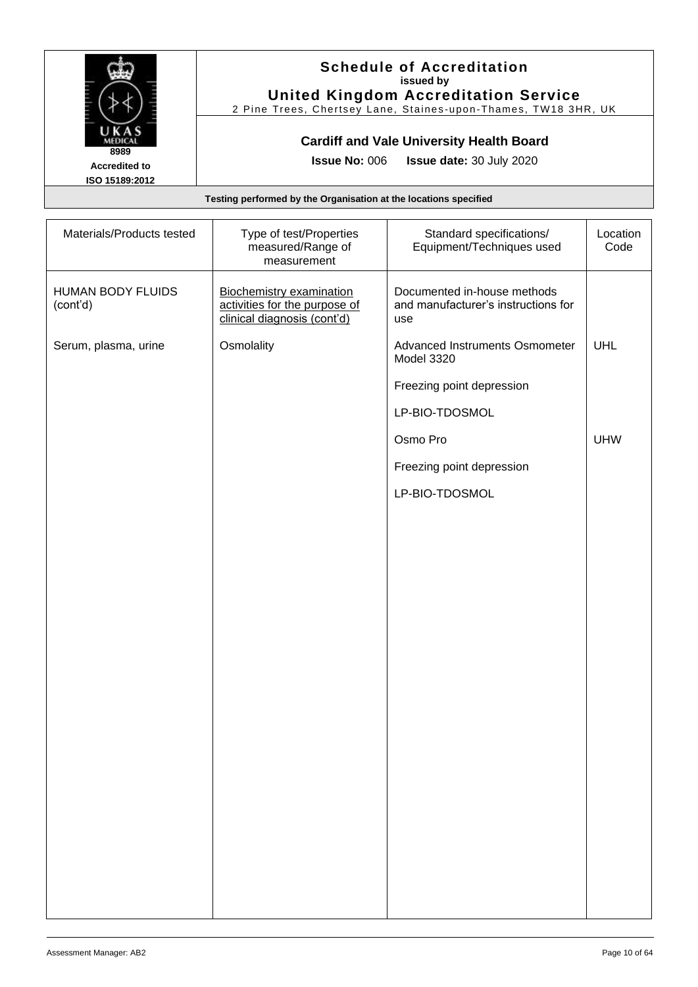

#### **Schedule of Accreditation issued by United Kingdom Accreditation Service**

2 Pine Trees, Chertsey Lane, Staines -upon -Thames, TW18 3HR, UK

### **Cardiff and Vale University Health Board**

**Issue No:** 006 **Issue date:** 30 July 2020

| Materials/Products tested            | Type of test/Properties<br>measured/Range of<br>measurement                                     | Standard specifications/<br>Equipment/Techniques used                     | Location<br>Code |
|--------------------------------------|-------------------------------------------------------------------------------------------------|---------------------------------------------------------------------------|------------------|
| <b>HUMAN BODY FLUIDS</b><br>(cont'd) | <b>Biochemistry examination</b><br>activities for the purpose of<br>clinical diagnosis (cont'd) | Documented in-house methods<br>and manufacturer's instructions for<br>use |                  |
| Serum, plasma, urine                 | Osmolality                                                                                      | <b>Advanced Instruments Osmometer</b><br>Model 3320                       | <b>UHL</b>       |
|                                      |                                                                                                 | Freezing point depression                                                 |                  |
|                                      |                                                                                                 | LP-BIO-TDOSMOL                                                            |                  |
|                                      |                                                                                                 | Osmo Pro                                                                  | <b>UHW</b>       |
|                                      |                                                                                                 | Freezing point depression                                                 |                  |
|                                      |                                                                                                 | LP-BIO-TDOSMOL                                                            |                  |
|                                      |                                                                                                 |                                                                           |                  |
|                                      |                                                                                                 |                                                                           |                  |
|                                      |                                                                                                 |                                                                           |                  |
|                                      |                                                                                                 |                                                                           |                  |
|                                      |                                                                                                 |                                                                           |                  |
|                                      |                                                                                                 |                                                                           |                  |
|                                      |                                                                                                 |                                                                           |                  |
|                                      |                                                                                                 |                                                                           |                  |
|                                      |                                                                                                 |                                                                           |                  |
|                                      |                                                                                                 |                                                                           |                  |
|                                      |                                                                                                 |                                                                           |                  |
|                                      |                                                                                                 |                                                                           |                  |
|                                      |                                                                                                 |                                                                           |                  |
|                                      |                                                                                                 |                                                                           |                  |
|                                      |                                                                                                 |                                                                           |                  |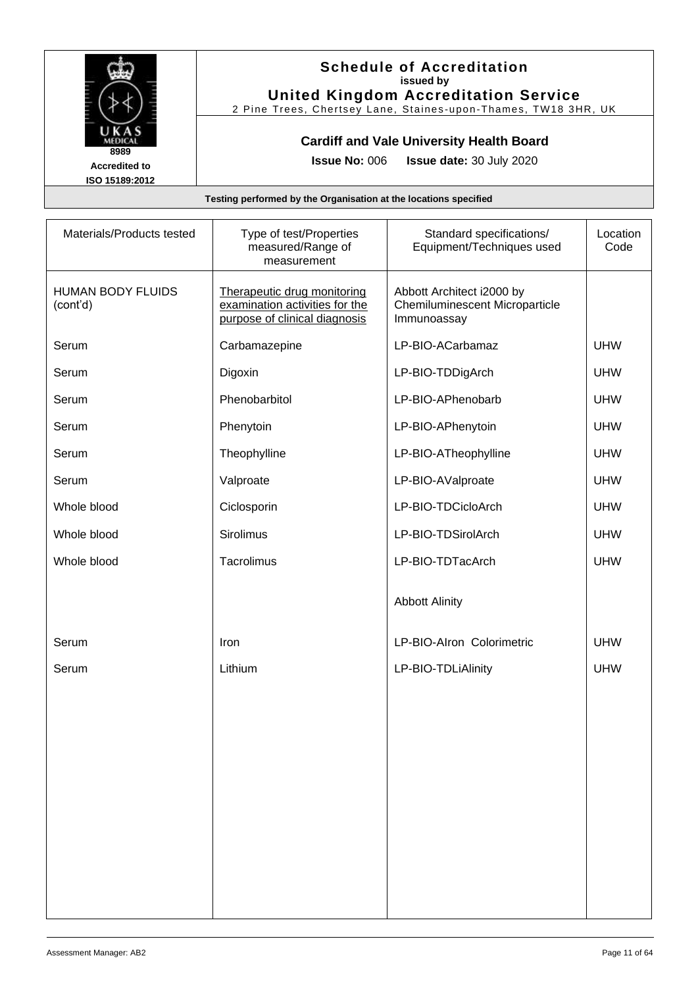

### **Schedule of Accreditation issued by United Kingdom Accreditation Service**

2 Pine Trees, Chertsey Lane, Staines -upon -Thames, TW18 3HR, UK

### **Cardiff and Vale University Health Board**

**Issue No:** 006 **Issue date:** 30 July 2020

| Materials/Products tested            | Type of test/Properties<br>measured/Range of<br>measurement                                    | Standard specifications/<br>Equipment/Techniques used                             | Location<br>Code |
|--------------------------------------|------------------------------------------------------------------------------------------------|-----------------------------------------------------------------------------------|------------------|
| <b>HUMAN BODY FLUIDS</b><br>(cont'd) | Therapeutic drug monitoring<br>examination activities for the<br>purpose of clinical diagnosis | Abbott Architect i2000 by<br><b>Chemiluminescent Microparticle</b><br>Immunoassay |                  |
| Serum                                | Carbamazepine                                                                                  | LP-BIO-ACarbamaz                                                                  | <b>UHW</b>       |
| Serum                                | Digoxin                                                                                        | LP-BIO-TDDigArch                                                                  | <b>UHW</b>       |
| Serum                                | Phenobarbitol                                                                                  | LP-BIO-APhenobarb                                                                 | <b>UHW</b>       |
| Serum                                | Phenytoin                                                                                      | LP-BIO-APhenytoin                                                                 | <b>UHW</b>       |
| Serum                                | Theophylline                                                                                   | LP-BIO-ATheophylline                                                              | <b>UHW</b>       |
| Serum                                | Valproate                                                                                      | LP-BIO-AValproate                                                                 | <b>UHW</b>       |
| Whole blood                          | Ciclosporin                                                                                    | LP-BIO-TDCicloArch                                                                | <b>UHW</b>       |
| Whole blood                          | Sirolimus                                                                                      | LP-BIO-TDSirolArch                                                                | <b>UHW</b>       |
| Whole blood                          | Tacrolimus                                                                                     | LP-BIO-TDTacArch                                                                  | <b>UHW</b>       |
|                                      |                                                                                                | <b>Abbott Alinity</b>                                                             |                  |
| Serum                                | Iron                                                                                           | LP-BIO-Alron Colorimetric                                                         | <b>UHW</b>       |
| Serum                                | Lithium                                                                                        | LP-BIO-TDLiAlinity                                                                | <b>UHW</b>       |
|                                      |                                                                                                |                                                                                   |                  |
|                                      |                                                                                                |                                                                                   |                  |
|                                      |                                                                                                |                                                                                   |                  |
|                                      |                                                                                                |                                                                                   |                  |
|                                      |                                                                                                |                                                                                   |                  |
|                                      |                                                                                                |                                                                                   |                  |
|                                      |                                                                                                |                                                                                   |                  |
|                                      |                                                                                                |                                                                                   |                  |
|                                      |                                                                                                |                                                                                   |                  |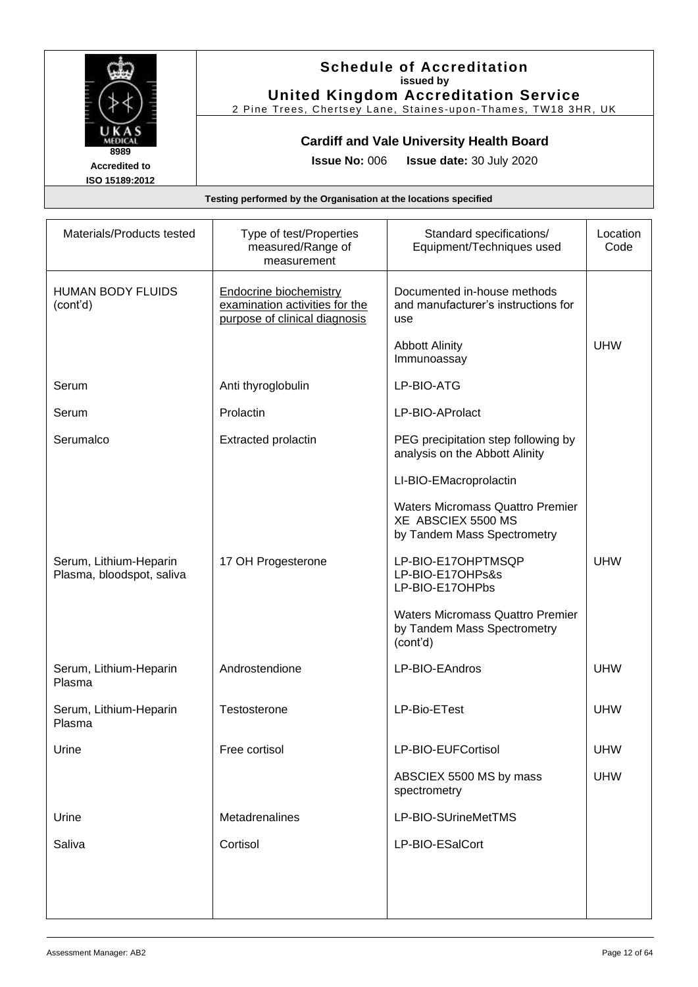

#### **Schedule of Accreditation issued by United Kingdom Accreditation Service**

2 Pine Trees, Chertsey Lane, Staines -upon -Thames, TW18 3HR, UK

### **Cardiff and Vale University Health Board**

**Issue No:** 006 **Issue date:** 30 July 2020

| Materials/Products tested                           | Type of test/Properties<br>measured/Range of<br>measurement                                      | Standard specifications/<br>Equipment/Techniques used                                        | Location<br>Code |
|-----------------------------------------------------|--------------------------------------------------------------------------------------------------|----------------------------------------------------------------------------------------------|------------------|
| <b>HUMAN BODY FLUIDS</b><br>(cont'd)                | <b>Endocrine biochemistry</b><br>examination activities for the<br>purpose of clinical diagnosis | Documented in-house methods<br>and manufacturer's instructions for<br>use                    |                  |
|                                                     |                                                                                                  | <b>Abbott Alinity</b><br>Immunoassay                                                         | <b>UHW</b>       |
| Serum                                               | Anti thyroglobulin                                                                               | LP-BIO-ATG                                                                                   |                  |
| Serum                                               | Prolactin                                                                                        | LP-BIO-AProlact                                                                              |                  |
| Serumalco                                           | Extracted prolactin                                                                              | PEG precipitation step following by<br>analysis on the Abbott Alinity                        |                  |
|                                                     |                                                                                                  | LI-BIO-EMacroprolactin                                                                       |                  |
|                                                     |                                                                                                  | <b>Waters Micromass Quattro Premier</b><br>XE ABSCIEX 5500 MS<br>by Tandem Mass Spectrometry |                  |
| Serum, Lithium-Heparin<br>Plasma, bloodspot, saliva | 17 OH Progesterone                                                                               | LP-BIO-E17OHPTMSQP<br>LP-BIO-E17OHPs&s<br>LP-BIO-E17OHPbs                                    | <b>UHW</b>       |
|                                                     |                                                                                                  | <b>Waters Micromass Quattro Premier</b><br>by Tandem Mass Spectrometry<br>(cont'd)           |                  |
| Serum, Lithium-Heparin<br>Plasma                    | Androstendione                                                                                   | LP-BIO-EAndros                                                                               | <b>UHW</b>       |
| Serum, Lithium-Heparin<br>Plasma                    | Testosterone                                                                                     | LP-Bio-ETest                                                                                 | <b>UHW</b>       |
| Urine                                               | Free cortisol                                                                                    | LP-BIO-EUFCortisol                                                                           | <b>UHW</b>       |
|                                                     |                                                                                                  | ABSCIEX 5500 MS by mass<br>spectrometry                                                      | <b>UHW</b>       |
| Urine                                               | Metadrenalines                                                                                   | LP-BIO-SUrineMetTMS                                                                          |                  |
| Saliva                                              | Cortisol                                                                                         | LP-BIO-ESalCort                                                                              |                  |
|                                                     |                                                                                                  |                                                                                              |                  |
|                                                     |                                                                                                  |                                                                                              |                  |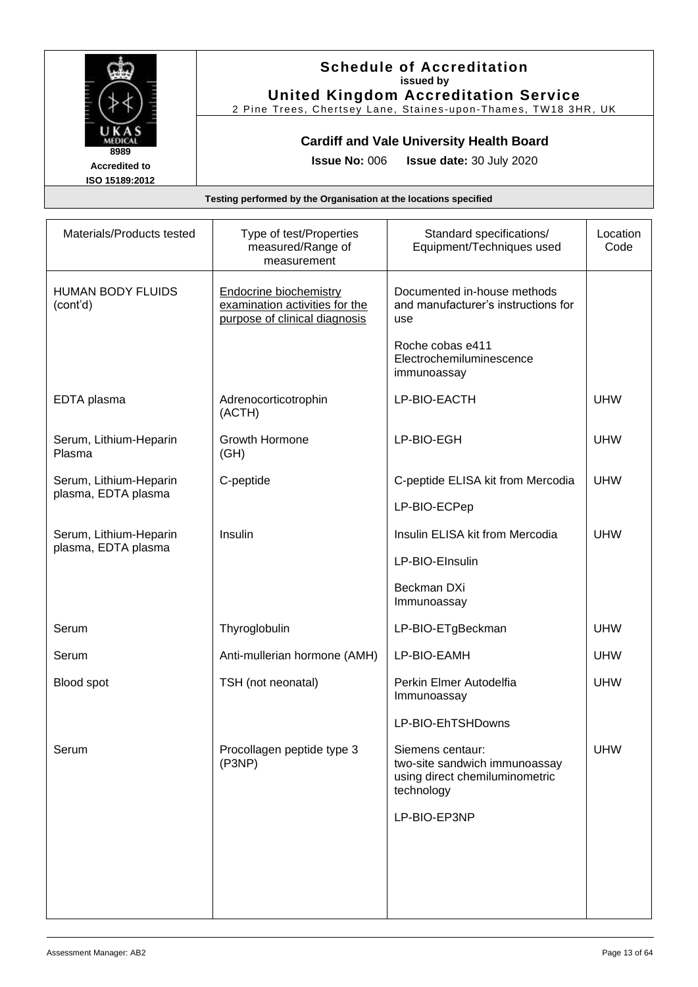

#### **Schedule of Accreditation issued by United Kingdom Accreditation Service**

2 Pine Trees, Chertsey Lane, Staines -upon -Thames, TW18 3HR, UK

### **Cardiff and Vale University Health Board**

**Issue No:** 006 **Issue date:** 30 July 2020

| Materials/Products tested            | Type of test/Properties<br>measured/Range of<br>measurement                                      | Standard specifications/<br>Equipment/Techniques used                                             | Location<br>Code |
|--------------------------------------|--------------------------------------------------------------------------------------------------|---------------------------------------------------------------------------------------------------|------------------|
| <b>HUMAN BODY FLUIDS</b><br>(cont'd) | <b>Endocrine biochemistry</b><br>examination activities for the<br>purpose of clinical diagnosis | Documented in-house methods<br>and manufacturer's instructions for<br>use                         |                  |
|                                      |                                                                                                  | Roche cobas e411<br>Electrochemiluminescence<br>immunoassay                                       |                  |
| EDTA plasma                          | Adrenocorticotrophin<br>(ACTH)                                                                   | LP-BIO-EACTH                                                                                      | <b>UHW</b>       |
| Serum, Lithium-Heparin<br>Plasma     | Growth Hormone<br>(GH)                                                                           | LP-BIO-EGH                                                                                        | <b>UHW</b>       |
| Serum, Lithium-Heparin               | C-peptide                                                                                        | C-peptide ELISA kit from Mercodia                                                                 | <b>UHW</b>       |
| plasma, EDTA plasma                  |                                                                                                  | LP-BIO-ECPep                                                                                      |                  |
| Serum, Lithium-Heparin               | Insulin                                                                                          | Insulin ELISA kit from Mercodia                                                                   | <b>UHW</b>       |
| plasma, EDTA plasma                  |                                                                                                  | LP-BIO-EInsulin                                                                                   |                  |
|                                      |                                                                                                  | Beckman DXi<br>Immunoassay                                                                        |                  |
| Serum                                | Thyroglobulin                                                                                    | LP-BIO-ETgBeckman                                                                                 | <b>UHW</b>       |
| Serum                                | Anti-mullerian hormone (AMH)                                                                     | LP-BIO-EAMH                                                                                       | <b>UHW</b>       |
| Blood spot                           | TSH (not neonatal)                                                                               | Perkin Elmer Autodelfia<br>Immunoassay                                                            | <b>UHW</b>       |
|                                      |                                                                                                  | LP-BIO-EhTSHDowns                                                                                 |                  |
| Serum                                | Procollagen peptide type 3<br>(P3NP)                                                             | Siemens centaur:<br>two-site sandwich immunoassay<br>using direct chemiluminometric<br>technology | <b>UHW</b>       |
|                                      |                                                                                                  | LP-BIO-EP3NP                                                                                      |                  |
|                                      |                                                                                                  |                                                                                                   |                  |
|                                      |                                                                                                  |                                                                                                   |                  |
|                                      |                                                                                                  |                                                                                                   |                  |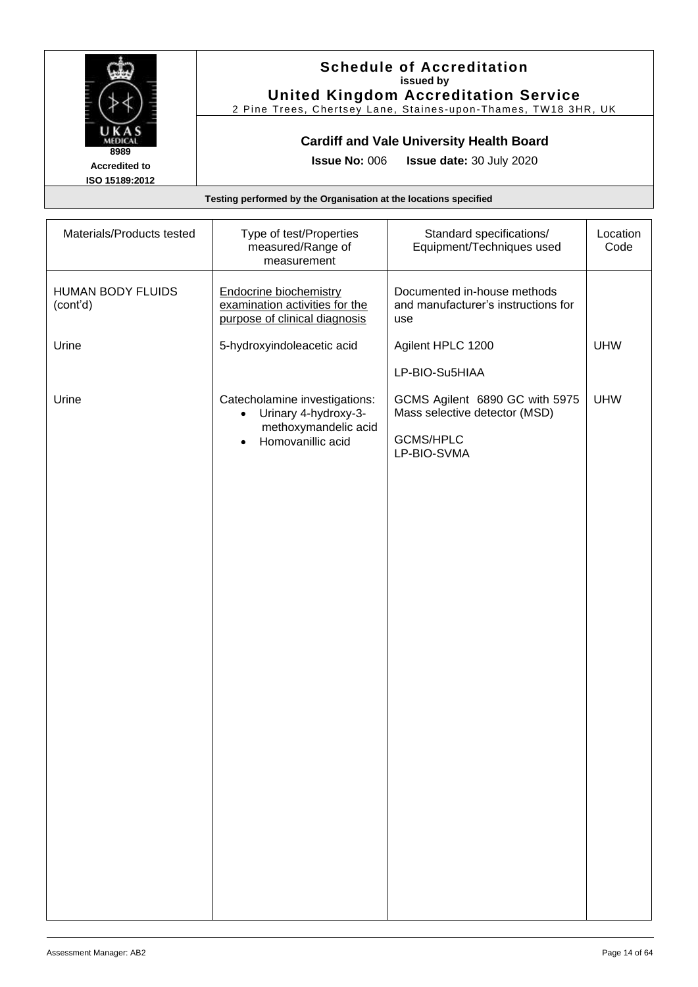

#### **Schedule of Accreditation issued by United Kingdom Accreditation Service**

2 Pine Trees, Chertsey Lane, Staines -upon -Thames, TW18 3HR, UK

### **Cardiff and Vale University Health Board**

**Issue No:** 006 **Issue date:** 30 July 2020

| Materials/Products tested            | Type of test/Properties<br>measured/Range of<br>measurement                                      | Standard specifications/<br>Equipment/Techniques used                     | Location<br>Code |
|--------------------------------------|--------------------------------------------------------------------------------------------------|---------------------------------------------------------------------------|------------------|
| <b>HUMAN BODY FLUIDS</b><br>(cont'd) | <b>Endocrine biochemistry</b><br>examination activities for the<br>purpose of clinical diagnosis | Documented in-house methods<br>and manufacturer's instructions for<br>use |                  |
| Urine                                | 5-hydroxyindoleacetic acid                                                                       | Agilent HPLC 1200                                                         | <b>UHW</b>       |
|                                      |                                                                                                  | LP-BIO-Su5HIAA                                                            |                  |
| Urine                                | Catecholamine investigations:<br>• Urinary 4-hydroxy-3-                                          | GCMS Agilent 6890 GC with 5975<br>Mass selective detector (MSD)           | <b>UHW</b>       |
|                                      | methoxymandelic acid<br>Homovanillic acid                                                        | <b>GCMS/HPLC</b><br>LP-BIO-SVMA                                           |                  |
|                                      |                                                                                                  |                                                                           |                  |
|                                      |                                                                                                  |                                                                           |                  |
|                                      |                                                                                                  |                                                                           |                  |
|                                      |                                                                                                  |                                                                           |                  |
|                                      |                                                                                                  |                                                                           |                  |
|                                      |                                                                                                  |                                                                           |                  |
|                                      |                                                                                                  |                                                                           |                  |
|                                      |                                                                                                  |                                                                           |                  |
|                                      |                                                                                                  |                                                                           |                  |
|                                      |                                                                                                  |                                                                           |                  |
|                                      |                                                                                                  |                                                                           |                  |
|                                      |                                                                                                  |                                                                           |                  |
|                                      |                                                                                                  |                                                                           |                  |
|                                      |                                                                                                  |                                                                           |                  |
|                                      |                                                                                                  |                                                                           |                  |
|                                      |                                                                                                  |                                                                           |                  |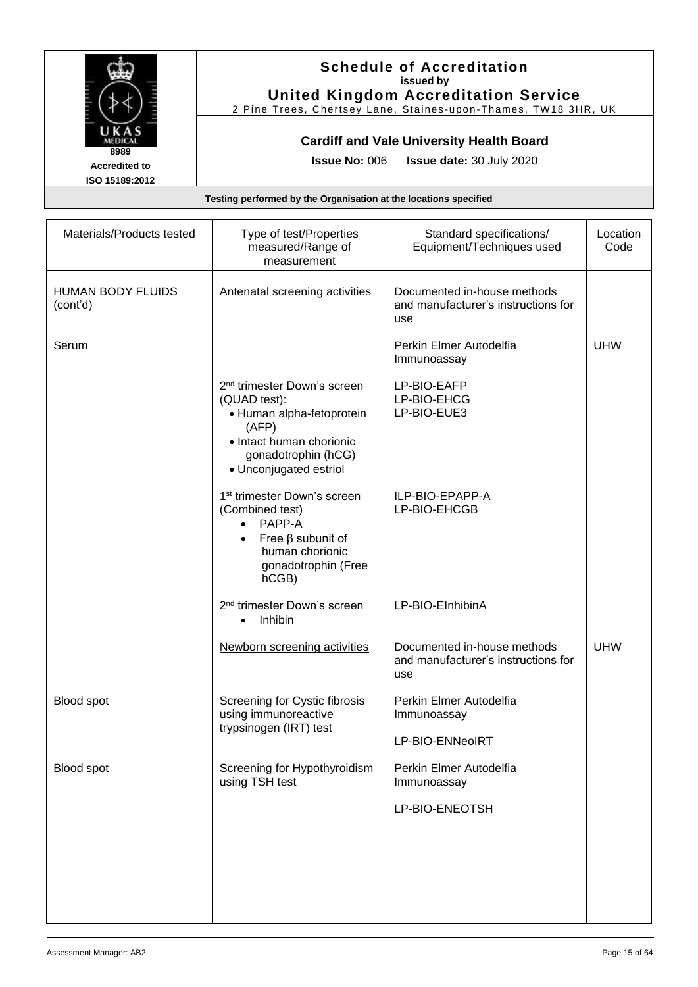

### **Schedule of Accreditation issued by United Kingdom Accreditation Service**

2 Pine Trees, Chertsey Lane, Staines -upon -Thames, TW18 3HR, UK

### **Cardiff and Vale University Health Board**

**Issue No:** 006 **Issue date:** 30 July 2020

| Materials/Products tested            | Type of test/Properties<br>measured/Range of<br>measurement                                                                                                                | Standard specifications/<br>Equipment/Techniques used                     | Location<br>Code |
|--------------------------------------|----------------------------------------------------------------------------------------------------------------------------------------------------------------------------|---------------------------------------------------------------------------|------------------|
| <b>HUMAN BODY FLUIDS</b><br>(cont'd) | <b>Antenatal screening activities</b>                                                                                                                                      | Documented in-house methods<br>and manufacturer's instructions for<br>use |                  |
| Serum                                |                                                                                                                                                                            | Perkin Elmer Autodelfia<br>Immunoassay                                    | <b>UHW</b>       |
|                                      | 2 <sup>nd</sup> trimester Down's screen<br>(QUAD test):<br>• Human alpha-fetoprotein<br>(AFP)<br>• Intact human chorionic<br>gonadotrophin (hCG)<br>• Unconjugated estriol | LP-BIO-EAFP<br>LP-BIO-EHCG<br>LP-BIO-EUE3                                 |                  |
|                                      | 1 <sup>st</sup> trimester Down's screen<br>(Combined test)<br>$\bullet$ PAPP-A<br>Free $\beta$ subunit of<br>$\bullet$<br>human chorionic<br>gonadotrophin (Free<br>hCGB)  | ILP-BIO-EPAPP-A<br>LP-BIO-EHCGB                                           |                  |
|                                      | 2 <sup>nd</sup> trimester Down's screen<br>Inhibin<br>$\bullet$                                                                                                            | LP-BIO-EInhibinA                                                          |                  |
|                                      | Newborn screening activities                                                                                                                                               | Documented in-house methods<br>and manufacturer's instructions for<br>use | <b>UHW</b>       |
| Blood spot                           | Screening for Cystic fibrosis<br>using immunoreactive<br>trypsinogen (IRT) test                                                                                            | Perkin Elmer Autodelfia<br>Immunoassay                                    |                  |
|                                      |                                                                                                                                                                            | LP-BIO-ENNeoIRT                                                           |                  |
| Blood spot                           | Screening for Hypothyroidism<br>using TSH test                                                                                                                             | Perkin Elmer Autodelfia<br>Immunoassay                                    |                  |
|                                      |                                                                                                                                                                            | LP-BIO-ENEOTSH                                                            |                  |
|                                      |                                                                                                                                                                            |                                                                           |                  |
|                                      |                                                                                                                                                                            |                                                                           |                  |
|                                      |                                                                                                                                                                            |                                                                           |                  |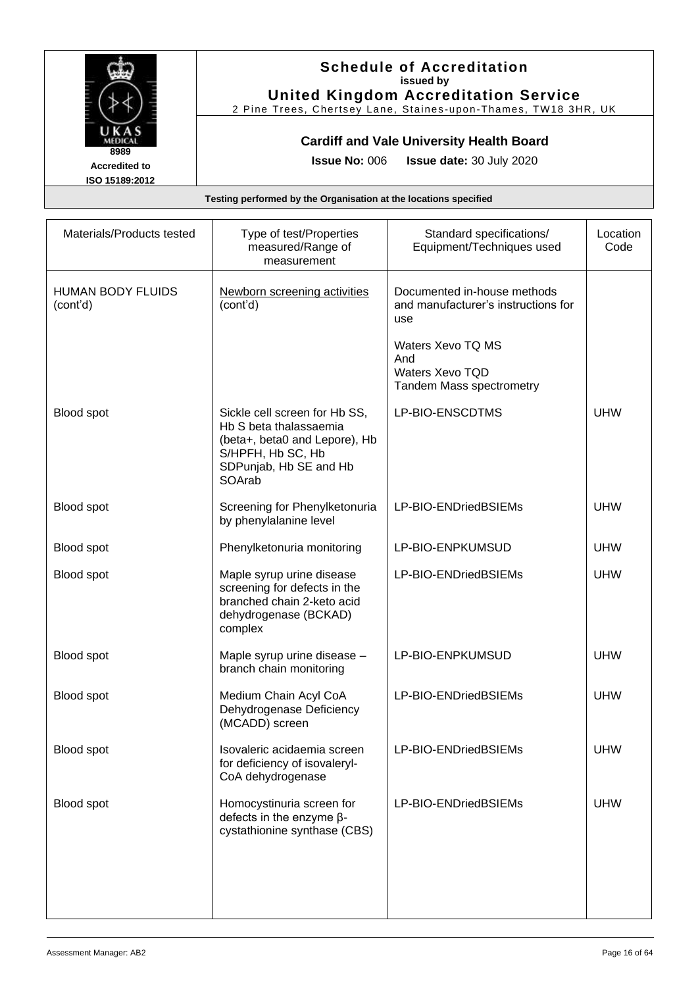

### **Schedule of Accreditation issued by United Kingdom Accreditation Service**

2 Pine Trees, Chertsey Lane, Staines -upon -Thames, TW18 3HR, UK

### **Cardiff and Vale University Health Board**

**Issue No:** 006 **Issue date:** 30 July 2020

| Materials/Products tested            | Type of test/Properties<br>measured/Range of<br>measurement                                                                                       | Standard specifications/<br>Equipment/Techniques used                                 | Location<br>Code |
|--------------------------------------|---------------------------------------------------------------------------------------------------------------------------------------------------|---------------------------------------------------------------------------------------|------------------|
| <b>HUMAN BODY FLUIDS</b><br>(cont'd) | Newborn screening activities<br>(cont'd)                                                                                                          | Documented in-house methods<br>and manufacturer's instructions for<br>use             |                  |
|                                      |                                                                                                                                                   | Waters Xevo TQ MS<br>And<br><b>Waters Xevo TQD</b><br><b>Tandem Mass spectrometry</b> |                  |
| Blood spot                           | Sickle cell screen for Hb SS,<br>Hb S beta thalassaemia<br>(beta+, beta0 and Lepore), Hb<br>S/HPFH, Hb SC, Hb<br>SDPunjab, Hb SE and Hb<br>SOArab | LP-BIO-ENSCDTMS                                                                       | <b>UHW</b>       |
| Blood spot                           | Screening for Phenylketonuria<br>by phenylalanine level                                                                                           | LP-BIO-ENDriedBSIEMs                                                                  | <b>UHW</b>       |
| Blood spot                           | Phenylketonuria monitoring                                                                                                                        | LP-BIO-ENPKUMSUD                                                                      | <b>UHW</b>       |
| Blood spot                           | Maple syrup urine disease<br>screening for defects in the<br>branched chain 2-keto acid<br>dehydrogenase (BCKAD)<br>complex                       | LP-BIO-ENDriedBSIEMs                                                                  | <b>UHW</b>       |
| Blood spot                           | Maple syrup urine disease -<br>branch chain monitoring                                                                                            | LP-BIO-ENPKUMSUD                                                                      | <b>UHW</b>       |
| Blood spot                           | Medium Chain Acyl CoA<br>Dehydrogenase Deficiency<br>(MCADD) screen                                                                               | LP-BIO-ENDriedBSIEMs                                                                  | <b>UHW</b>       |
| Blood spot                           | Isovaleric acidaemia screen<br>for deficiency of isovaleryl-<br>CoA dehydrogenase                                                                 | LP-BIO-ENDriedBSIEMs                                                                  | <b>UHW</b>       |
| Blood spot                           | Homocystinuria screen for<br>defects in the enzyme $\beta$ -<br>cystathionine synthase (CBS)                                                      | LP-BIO-ENDriedBSIEMs                                                                  | <b>UHW</b>       |
|                                      |                                                                                                                                                   |                                                                                       |                  |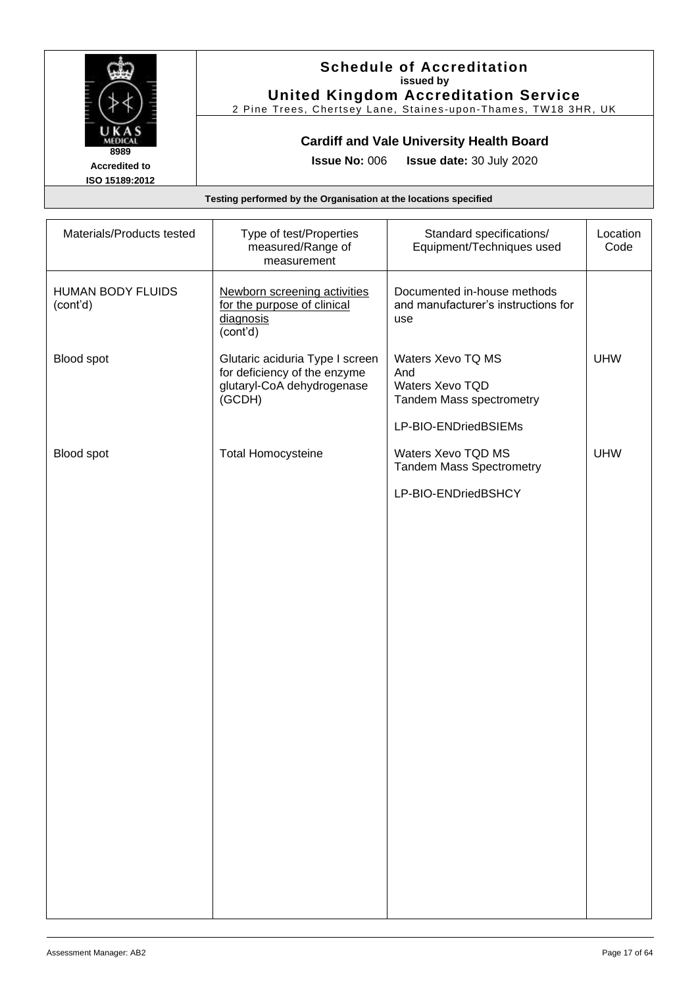

#### **Schedule of Accreditation issued by United Kingdom Accreditation Service**

2 Pine Trees, Chertsey Lane, Staines -upon -Thames, TW18 3HR, UK

### **Cardiff and Vale University Health Board**

**Issue No:** 006 **Issue date:** 30 July 2020

| Materials/Products tested            | Type of test/Properties<br>measured/Range of<br>measurement                                             | Standard specifications/<br>Equipment/Techniques used                     | Location<br>Code |
|--------------------------------------|---------------------------------------------------------------------------------------------------------|---------------------------------------------------------------------------|------------------|
| <b>HUMAN BODY FLUIDS</b><br>(cont'd) | Newborn screening activities<br>for the purpose of clinical<br>diagnosis<br>(cont'd)                    | Documented in-house methods<br>and manufacturer's instructions for<br>use |                  |
| Blood spot                           | Glutaric aciduria Type I screen<br>for deficiency of the enzyme<br>glutaryl-CoA dehydrogenase<br>(GCDH) | Waters Xevo TQ MS<br>And<br>Waters Xevo TQD<br>Tandem Mass spectrometry   | <b>UHW</b>       |
|                                      |                                                                                                         | LP-BIO-ENDriedBSIEMs                                                      |                  |
| Blood spot                           | <b>Total Homocysteine</b>                                                                               | Waters Xevo TQD MS<br><b>Tandem Mass Spectrometry</b>                     | <b>UHW</b>       |
|                                      |                                                                                                         | LP-BIO-ENDriedBSHCY                                                       |                  |
|                                      |                                                                                                         |                                                                           |                  |
|                                      |                                                                                                         |                                                                           |                  |
|                                      |                                                                                                         |                                                                           |                  |
|                                      |                                                                                                         |                                                                           |                  |
|                                      |                                                                                                         |                                                                           |                  |
|                                      |                                                                                                         |                                                                           |                  |
|                                      |                                                                                                         |                                                                           |                  |
|                                      |                                                                                                         |                                                                           |                  |
|                                      |                                                                                                         |                                                                           |                  |
|                                      |                                                                                                         |                                                                           |                  |
|                                      |                                                                                                         |                                                                           |                  |
|                                      |                                                                                                         |                                                                           |                  |
|                                      |                                                                                                         |                                                                           |                  |
|                                      |                                                                                                         |                                                                           |                  |
|                                      |                                                                                                         |                                                                           |                  |
|                                      |                                                                                                         |                                                                           |                  |
|                                      |                                                                                                         |                                                                           |                  |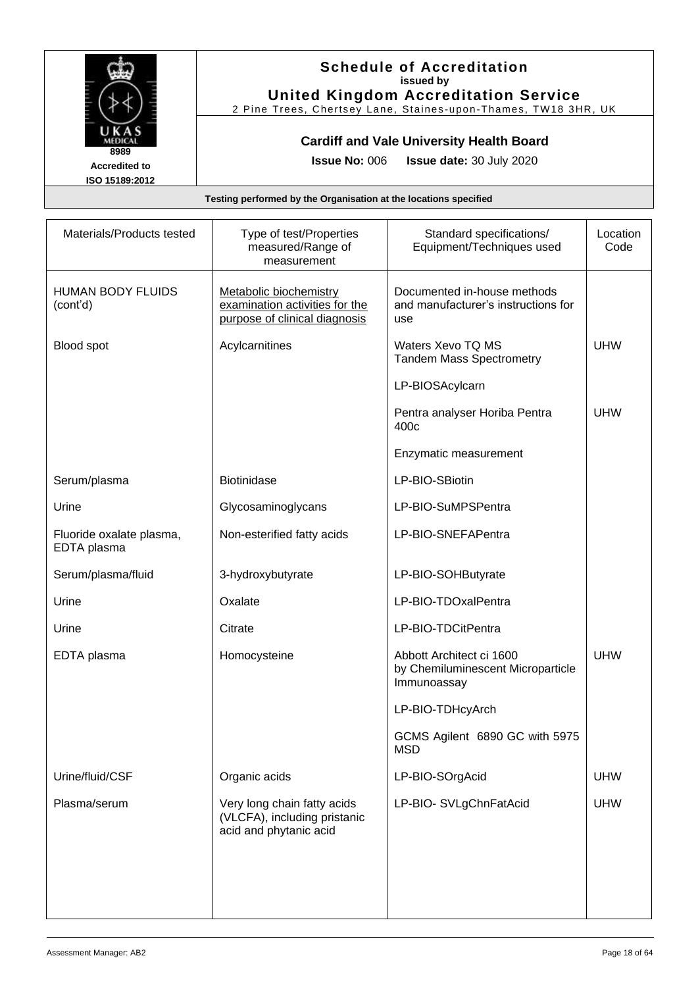

#### **Schedule of Accreditation issued by United Kingdom Accreditation Service**

2 Pine Trees, Chertsey Lane, Staines -upon -Thames, TW18 3HR, UK

### **Cardiff and Vale University Health Board**

**Issue No:** 006 **Issue date:** 30 July 2020

| Materials/Products tested               | Type of test/Properties<br>measured/Range of<br>measurement                               | Standard specifications/<br>Equipment/Techniques used                        | Location<br>Code |
|-----------------------------------------|-------------------------------------------------------------------------------------------|------------------------------------------------------------------------------|------------------|
| <b>HUMAN BODY FLUIDS</b><br>(cont'd)    | Metabolic biochemistry<br>examination activities for the<br>purpose of clinical diagnosis | Documented in-house methods<br>and manufacturer's instructions for<br>use    |                  |
| Blood spot                              | Acylcarnitines                                                                            | Waters Xevo TQ MS<br><b>Tandem Mass Spectrometry</b>                         | <b>UHW</b>       |
|                                         |                                                                                           | LP-BIOSAcylcarn                                                              |                  |
|                                         |                                                                                           | Pentra analyser Horiba Pentra<br>400c                                        | <b>UHW</b>       |
|                                         |                                                                                           | Enzymatic measurement                                                        |                  |
| Serum/plasma                            | <b>Biotinidase</b>                                                                        | LP-BIO-SBiotin                                                               |                  |
| Urine                                   | Glycosaminoglycans                                                                        | LP-BIO-SuMPSPentra                                                           |                  |
| Fluoride oxalate plasma,<br>EDTA plasma | Non-esterified fatty acids                                                                | LP-BIO-SNEFAPentra                                                           |                  |
| Serum/plasma/fluid                      | 3-hydroxybutyrate                                                                         | LP-BIO-SOHButyrate                                                           |                  |
| Urine                                   | Oxalate                                                                                   | LP-BIO-TDOxalPentra                                                          |                  |
| Urine                                   | Citrate                                                                                   | LP-BIO-TDCitPentra                                                           |                  |
| EDTA plasma                             | Homocysteine                                                                              | Abbott Architect ci 1600<br>by Chemiluminescent Microparticle<br>Immunoassay | <b>UHW</b>       |
|                                         |                                                                                           | LP-BIO-TDHcyArch                                                             |                  |
|                                         |                                                                                           | GCMS Agilent 6890 GC with 5975<br><b>MSD</b>                                 |                  |
| Urine/fluid/CSF                         | Organic acids                                                                             | LP-BIO-SOrgAcid                                                              | <b>UHW</b>       |
| Plasma/serum                            | Very long chain fatty acids<br>(VLCFA), including pristanic<br>acid and phytanic acid     | LP-BIO- SVLgChnFatAcid                                                       | <b>UHW</b>       |
|                                         |                                                                                           |                                                                              |                  |
|                                         |                                                                                           |                                                                              |                  |
|                                         |                                                                                           |                                                                              |                  |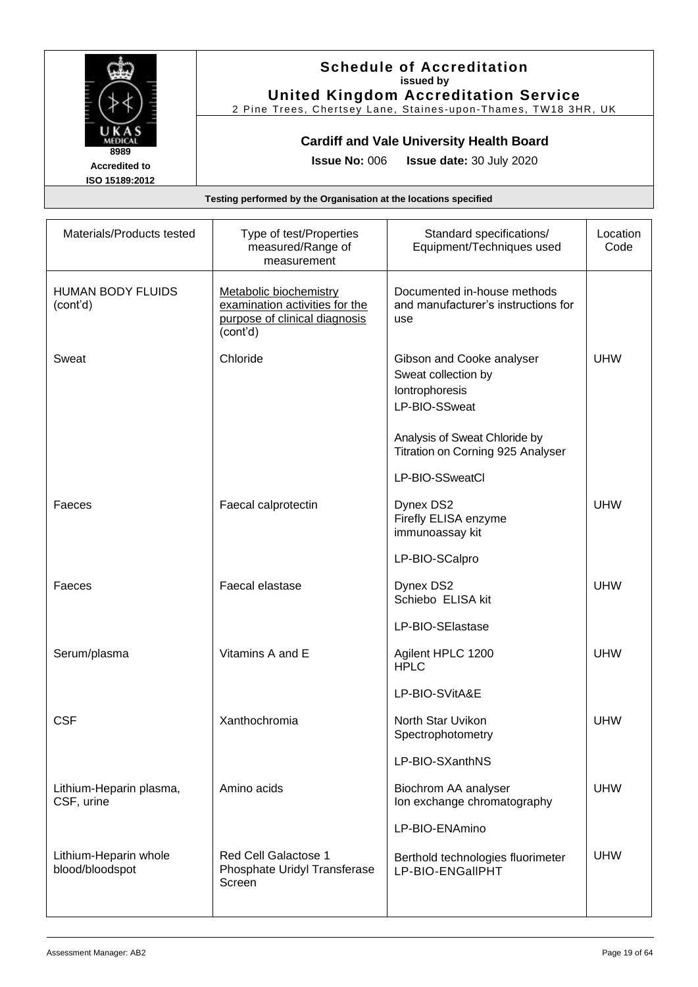

### **Schedule of Accreditation issued by United Kingdom Accreditation Service**

2 Pine Trees, Chertsey Lane, Staines -upon -Thames, TW18 3HR, UK

### **Cardiff and Vale University Health Board**

**Issue No:** 006 **Issue date:** 30 July 2020

| Materials/Products tested                | Type of test/Properties<br>measured/Range of<br>measurement                                           | Standard specifications/<br>Equipment/Techniques used                               | Location<br>Code |
|------------------------------------------|-------------------------------------------------------------------------------------------------------|-------------------------------------------------------------------------------------|------------------|
| <b>HUMAN BODY FLUIDS</b><br>(cont'd)     | Metabolic biochemistry<br>examination activities for the<br>purpose of clinical diagnosis<br>(cont'd) | Documented in-house methods<br>and manufacturer's instructions for<br>use           |                  |
| Sweat                                    | Chloride                                                                                              | Gibson and Cooke analyser<br>Sweat collection by<br>Iontrophoresis<br>LP-BIO-SSweat | <b>UHW</b>       |
|                                          |                                                                                                       | Analysis of Sweat Chloride by<br>Titration on Corning 925 Analyser                  |                  |
|                                          |                                                                                                       | LP-BIO-SSweatCl                                                                     |                  |
| Faeces                                   | Faecal calprotectin                                                                                   | Dynex DS2<br>Firefly ELISA enzyme<br>immunoassay kit                                | <b>UHW</b>       |
|                                          |                                                                                                       | LP-BIO-SCalpro                                                                      |                  |
| Faeces                                   | Faecal elastase                                                                                       | Dynex DS2<br>Schiebo ELISA kit                                                      | <b>UHW</b>       |
|                                          |                                                                                                       | LP-BIO-SElastase                                                                    |                  |
| Serum/plasma                             | Vitamins A and E                                                                                      | Agilent HPLC 1200<br><b>HPLC</b>                                                    | <b>UHW</b>       |
|                                          |                                                                                                       | LP-BIO-SVitA&E                                                                      |                  |
| <b>CSF</b>                               | Xanthochromia                                                                                         | North Star Uvikon<br>Spectrophotometry                                              | <b>UHW</b>       |
|                                          |                                                                                                       | LP-BIO-SXanthNS                                                                     |                  |
| Lithium-Heparin plasma,<br>CSF, urine    | Amino acids                                                                                           | Biochrom AA analyser<br>Ion exchange chromatography                                 | <b>UHW</b>       |
|                                          |                                                                                                       | LP-BIO-ENAmino                                                                      |                  |
| Lithium-Heparin whole<br>blood/bloodspot | <b>Red Cell Galactose 1</b><br>Phosphate Uridyl Transferase<br>Screen                                 | Berthold technologies fluorimeter<br>LP-BIO-ENGallPHT                               | <b>UHW</b>       |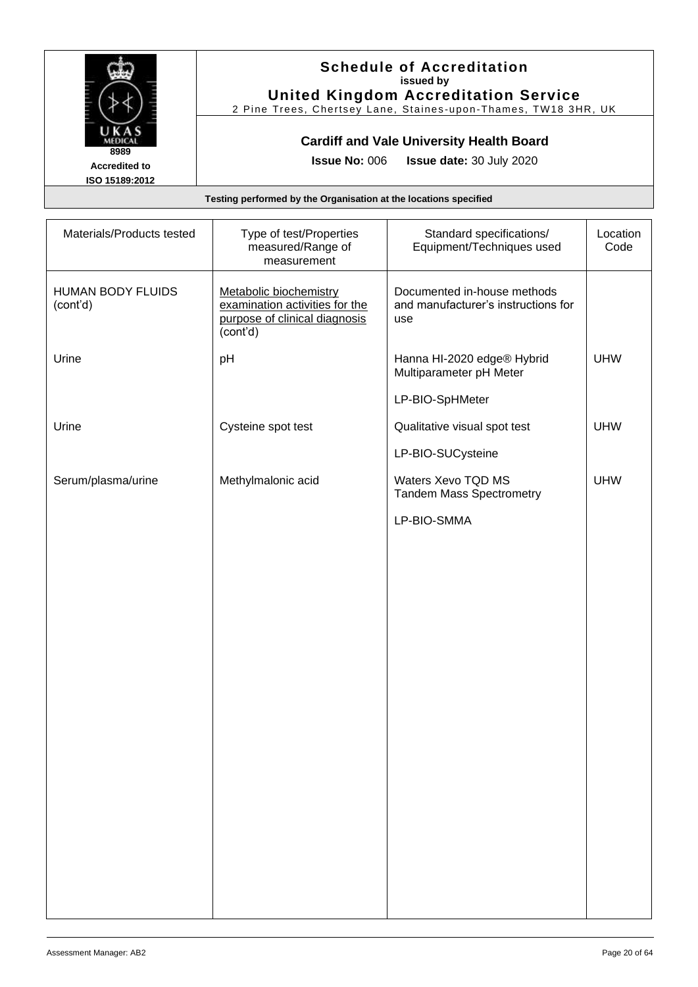

#### **Schedule of Accreditation issued by United Kingdom Accreditation Service**

2 Pine Trees, Chertsey Lane, Staines -upon -Thames, TW18 3HR, UK

### **Cardiff and Vale University Health Board**

**Issue No:** 006 **Issue date:** 30 July 2020

| Materials/Products tested            | Type of test/Properties<br>measured/Range of<br>measurement                                           | Standard specifications/<br>Equipment/Techniques used                     | Location<br>Code |
|--------------------------------------|-------------------------------------------------------------------------------------------------------|---------------------------------------------------------------------------|------------------|
| <b>HUMAN BODY FLUIDS</b><br>(cont'd) | Metabolic biochemistry<br>examination activities for the<br>purpose of clinical diagnosis<br>(cont'd) | Documented in-house methods<br>and manufacturer's instructions for<br>use |                  |
| Urine                                | pH                                                                                                    | Hanna HI-2020 edge® Hybrid<br>Multiparameter pH Meter                     | <b>UHW</b>       |
|                                      |                                                                                                       | LP-BIO-SpHMeter                                                           |                  |
| Urine                                | Cysteine spot test                                                                                    | Qualitative visual spot test                                              | <b>UHW</b>       |
|                                      |                                                                                                       | LP-BIO-SUCysteine                                                         |                  |
| Serum/plasma/urine                   | Methylmalonic acid                                                                                    | Waters Xevo TQD MS<br><b>Tandem Mass Spectrometry</b>                     | <b>UHW</b>       |
|                                      |                                                                                                       | LP-BIO-SMMA                                                               |                  |
|                                      |                                                                                                       |                                                                           |                  |
|                                      |                                                                                                       |                                                                           |                  |
|                                      |                                                                                                       |                                                                           |                  |
|                                      |                                                                                                       |                                                                           |                  |
|                                      |                                                                                                       |                                                                           |                  |
|                                      |                                                                                                       |                                                                           |                  |
|                                      |                                                                                                       |                                                                           |                  |
|                                      |                                                                                                       |                                                                           |                  |
|                                      |                                                                                                       |                                                                           |                  |
|                                      |                                                                                                       |                                                                           |                  |
|                                      |                                                                                                       |                                                                           |                  |
|                                      |                                                                                                       |                                                                           |                  |
|                                      |                                                                                                       |                                                                           |                  |
|                                      |                                                                                                       |                                                                           |                  |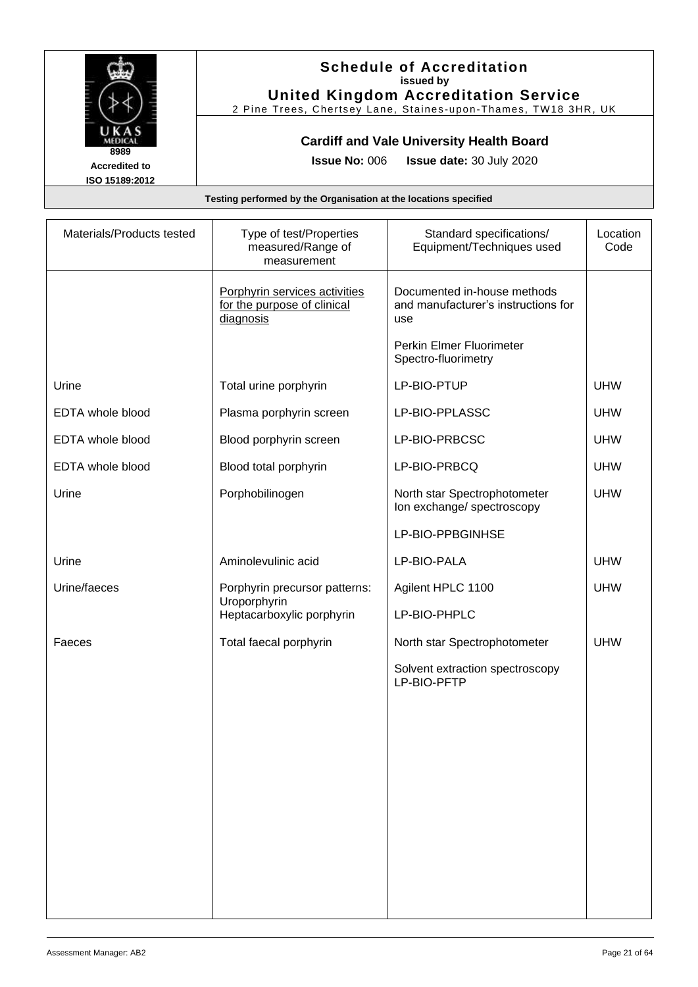

### **Schedule of Accreditation issued by United Kingdom Accreditation Service**

2 Pine Trees, Chertsey Lane, Staines -upon -Thames, TW18 3HR, UK

# **Cardiff and Vale University Health Board**

**Issue No:** 006 **Issue date:** 30 July 2020

| Materials/Products tested | Type of test/Properties<br>measured/Range of<br>measurement               | Standard specifications/<br>Equipment/Techniques used                     | Location<br>Code |
|---------------------------|---------------------------------------------------------------------------|---------------------------------------------------------------------------|------------------|
|                           | Porphyrin services activities<br>for the purpose of clinical<br>diagnosis | Documented in-house methods<br>and manufacturer's instructions for<br>use |                  |
|                           |                                                                           | Perkin Elmer Fluorimeter<br>Spectro-fluorimetry                           |                  |
| Urine                     | Total urine porphyrin                                                     | LP-BIO-PTUP                                                               | <b>UHW</b>       |
| EDTA whole blood          | Plasma porphyrin screen                                                   | LP-BIO-PPLASSC                                                            | <b>UHW</b>       |
| EDTA whole blood          | Blood porphyrin screen                                                    | LP-BIO-PRBCSC                                                             | <b>UHW</b>       |
| EDTA whole blood          | Blood total porphyrin                                                     | LP-BIO-PRBCQ                                                              | <b>UHW</b>       |
| Urine                     | Porphobilinogen                                                           | North star Spectrophotometer<br>Ion exchange/ spectroscopy                | <b>UHW</b>       |
|                           |                                                                           | LP-BIO-PPBGINHSE                                                          |                  |
| Urine                     | Aminolevulinic acid                                                       | LP-BIO-PALA                                                               | <b>UHW</b>       |
| Urine/faeces              | Porphyrin precursor patterns:<br>Uroporphyrin                             | Agilent HPLC 1100                                                         | <b>UHW</b>       |
|                           | Heptacarboxylic porphyrin                                                 | LP-BIO-PHPLC                                                              |                  |
| Faeces                    | Total faecal porphyrin                                                    | North star Spectrophotometer                                              | <b>UHW</b>       |
|                           |                                                                           | Solvent extraction spectroscopy<br>LP-BIO-PFTP                            |                  |
|                           |                                                                           |                                                                           |                  |
|                           |                                                                           |                                                                           |                  |
|                           |                                                                           |                                                                           |                  |
|                           |                                                                           |                                                                           |                  |
|                           |                                                                           |                                                                           |                  |
|                           |                                                                           |                                                                           |                  |
|                           |                                                                           |                                                                           |                  |
|                           |                                                                           |                                                                           |                  |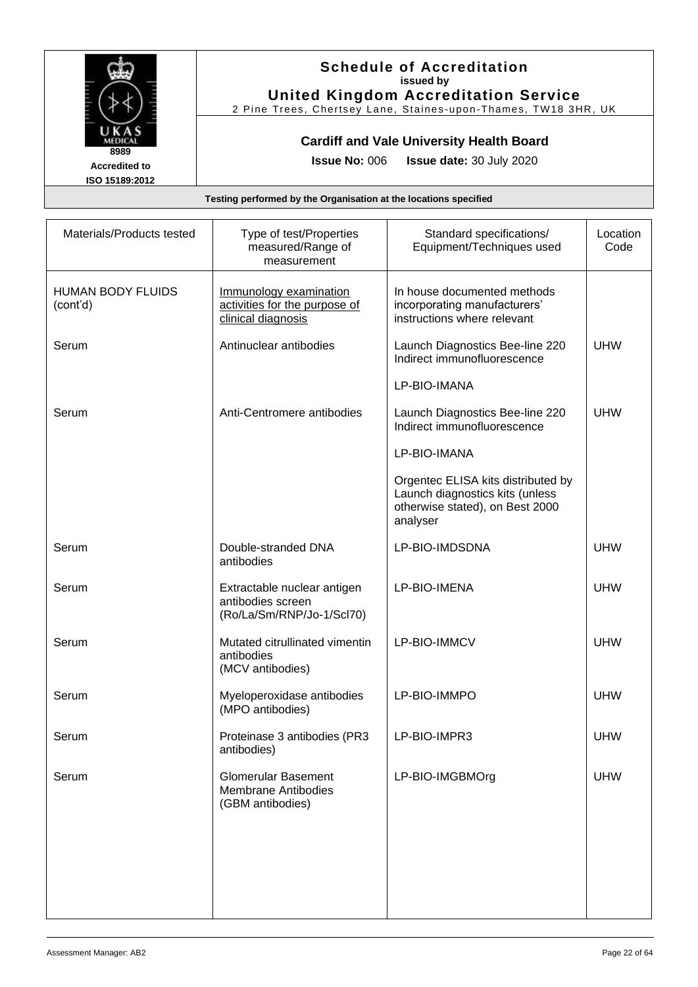

### **Schedule of Accreditation issued by United Kingdom Accreditation Service**

2 Pine Trees, Chertsey Lane, Staines -upon -Thames, TW18 3HR, UK

### **Cardiff and Vale University Health Board**

**Issue No:** 006 **Issue date:** 30 July 2020

| Materials/Products tested            | Type of test/Properties<br>measured/Range of<br>measurement                   | Standard specifications/<br>Equipment/Techniques used                                                                | Location<br>Code |
|--------------------------------------|-------------------------------------------------------------------------------|----------------------------------------------------------------------------------------------------------------------|------------------|
| <b>HUMAN BODY FLUIDS</b><br>(cont'd) | Immunology examination<br>activities for the purpose of<br>clinical diagnosis | In house documented methods<br>incorporating manufacturers'<br>instructions where relevant                           |                  |
| Serum                                | Antinuclear antibodies                                                        | Launch Diagnostics Bee-line 220<br>Indirect immunofluorescence                                                       | <b>UHW</b>       |
|                                      |                                                                               | LP-BIO-IMANA                                                                                                         |                  |
| Serum                                | Anti-Centromere antibodies                                                    | Launch Diagnostics Bee-line 220<br>Indirect immunofluorescence                                                       | <b>UHW</b>       |
|                                      |                                                                               | LP-BIO-IMANA                                                                                                         |                  |
|                                      |                                                                               | Orgentec ELISA kits distributed by<br>Launch diagnostics kits (unless<br>otherwise stated), on Best 2000<br>analyser |                  |
| Serum                                | Double-stranded DNA<br>antibodies                                             | LP-BIO-IMDSDNA                                                                                                       | <b>UHW</b>       |
| Serum                                | Extractable nuclear antigen<br>antibodies screen<br>(Ro/La/Sm/RNP/Jo-1/Scl70) | LP-BIO-IMENA                                                                                                         | <b>UHW</b>       |
| Serum                                | Mutated citrullinated vimentin<br>antibodies<br>(MCV antibodies)              | LP-BIO-IMMCV                                                                                                         | <b>UHW</b>       |
| Serum                                | Myeloperoxidase antibodies<br>(MPO antibodies)                                | LP-BIO-IMMPO                                                                                                         | <b>UHW</b>       |
| Serum                                | Proteinase 3 antibodies (PR3<br>antibodies)                                   | LP-BIO-IMPR3                                                                                                         | <b>UHW</b>       |
| Serum                                | <b>Glomerular Basement</b><br><b>Membrane Antibodies</b><br>(GBM antibodies)  | LP-BIO-IMGBMOrg                                                                                                      | <b>UHW</b>       |
|                                      |                                                                               |                                                                                                                      |                  |
|                                      |                                                                               |                                                                                                                      |                  |
|                                      |                                                                               |                                                                                                                      |                  |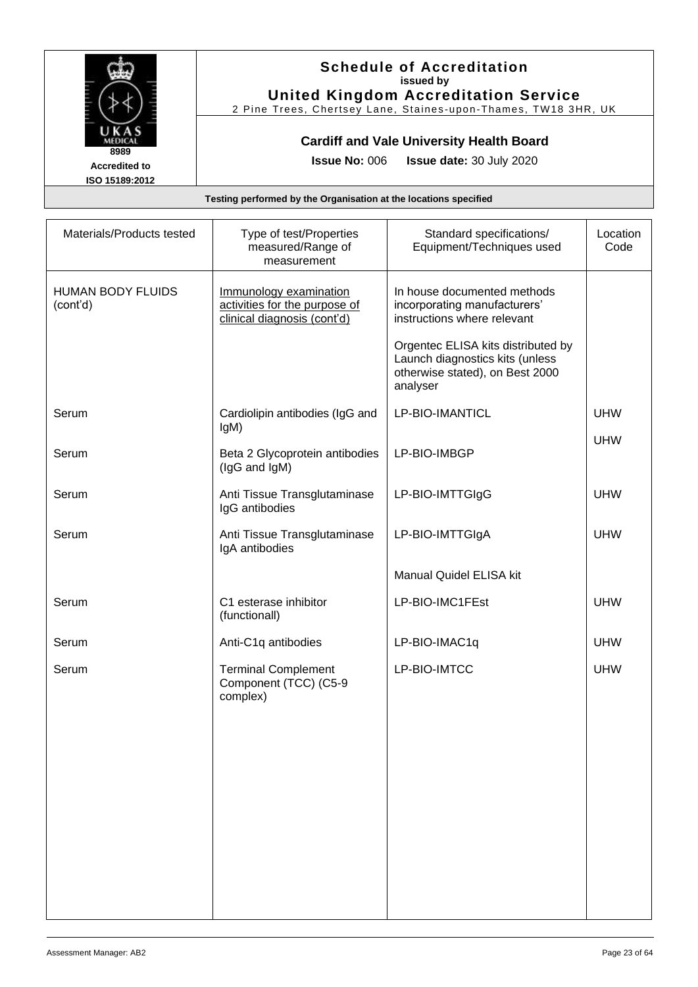

#### **Schedule of Accreditation issued by United Kingdom Accreditation Service**

2 Pine Trees, Chertsey Lane, Staines -upon -Thames, TW18 3HR, UK

### **Cardiff and Vale University Health Board**

**Issue No:** 006 **Issue date:** 30 July 2020

| Materials/Products tested            | Type of test/Properties<br>measured/Range of<br>measurement                            | Standard specifications/<br>Equipment/Techniques used                                                                | Location<br>Code |
|--------------------------------------|----------------------------------------------------------------------------------------|----------------------------------------------------------------------------------------------------------------------|------------------|
| <b>HUMAN BODY FLUIDS</b><br>(cont'd) | Immunology examination<br>activities for the purpose of<br>clinical diagnosis (cont'd) | In house documented methods<br>incorporating manufacturers'<br>instructions where relevant                           |                  |
|                                      |                                                                                        | Orgentec ELISA kits distributed by<br>Launch diagnostics kits (unless<br>otherwise stated), on Best 2000<br>analyser |                  |
| Serum                                | Cardiolipin antibodies (IgG and<br>IgM)                                                | LP-BIO-IMANTICL                                                                                                      | <b>UHW</b>       |
| Serum                                | Beta 2 Glycoprotein antibodies<br>(IgG and IgM)                                        | LP-BIO-IMBGP                                                                                                         | <b>UHW</b>       |
| Serum                                | Anti Tissue Transglutaminase<br>IgG antibodies                                         | LP-BIO-IMTTGIgG                                                                                                      | <b>UHW</b>       |
| Serum                                | Anti Tissue Transglutaminase<br>IgA antibodies                                         | LP-BIO-IMTTGIgA                                                                                                      | <b>UHW</b>       |
|                                      |                                                                                        | Manual Quidel ELISA kit                                                                                              |                  |
| Serum                                | C1 esterase inhibitor<br>(functionall)                                                 | LP-BIO-IMC1FEst                                                                                                      | <b>UHW</b>       |
| Serum                                | Anti-C1q antibodies                                                                    | LP-BIO-IMAC1q                                                                                                        | <b>UHW</b>       |
| Serum                                | <b>Terminal Complement</b><br>Component (TCC) (C5-9<br>complex)                        | LP-BIO-IMTCC                                                                                                         | <b>UHW</b>       |
|                                      |                                                                                        |                                                                                                                      |                  |
|                                      |                                                                                        |                                                                                                                      |                  |
|                                      |                                                                                        |                                                                                                                      |                  |
|                                      |                                                                                        |                                                                                                                      |                  |
|                                      |                                                                                        |                                                                                                                      |                  |
|                                      |                                                                                        |                                                                                                                      |                  |
|                                      |                                                                                        |                                                                                                                      |                  |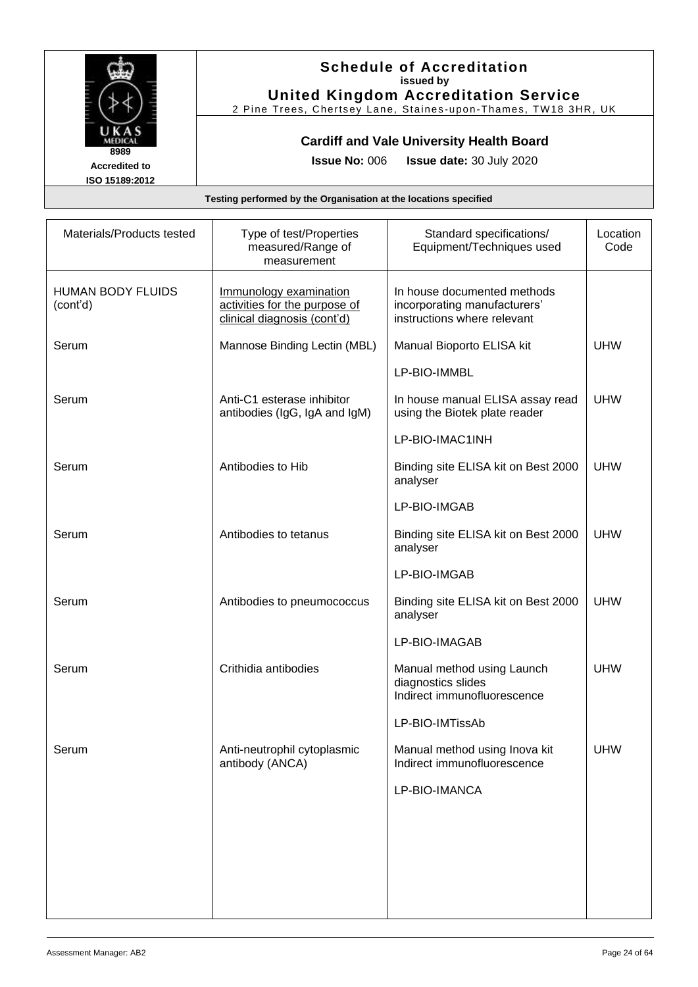

### **Schedule of Accreditation issued by United Kingdom Accreditation Service**

2 Pine Trees, Chertsey Lane, Staines -upon -Thames, TW18 3HR, UK

### **Cardiff and Vale University Health Board**

**Issue No:** 006 **Issue date:** 30 July 2020

| Materials/Products tested            | Type of test/Properties<br>measured/Range of<br>measurement                            | Standard specifications/<br>Equipment/Techniques used                                      | Location<br>Code |
|--------------------------------------|----------------------------------------------------------------------------------------|--------------------------------------------------------------------------------------------|------------------|
| <b>HUMAN BODY FLUIDS</b><br>(cont'd) | Immunology examination<br>activities for the purpose of<br>clinical diagnosis (cont'd) | In house documented methods<br>incorporating manufacturers'<br>instructions where relevant |                  |
| Serum                                | Mannose Binding Lectin (MBL)                                                           | Manual Bioporto ELISA kit                                                                  | <b>UHW</b>       |
|                                      |                                                                                        | LP-BIO-IMMBL                                                                               |                  |
| Serum                                | Anti-C1 esterase inhibitor<br>antibodies (IgG, IgA and IgM)                            | In house manual ELISA assay read<br>using the Biotek plate reader                          | <b>UHW</b>       |
|                                      |                                                                                        | LP-BIO-IMAC1INH                                                                            |                  |
| Serum                                | Antibodies to Hib                                                                      | Binding site ELISA kit on Best 2000<br>analyser                                            | <b>UHW</b>       |
|                                      |                                                                                        | LP-BIO-IMGAB                                                                               |                  |
| Serum                                | Antibodies to tetanus                                                                  | Binding site ELISA kit on Best 2000<br>analyser                                            | <b>UHW</b>       |
|                                      |                                                                                        | LP-BIO-IMGAB                                                                               |                  |
| Serum                                | Antibodies to pneumococcus                                                             | Binding site ELISA kit on Best 2000<br>analyser                                            | <b>UHW</b>       |
|                                      |                                                                                        | LP-BIO-IMAGAB                                                                              |                  |
| Serum                                | Crithidia antibodies                                                                   | Manual method using Launch<br>diagnostics slides<br>Indirect immunofluorescence            | <b>UHW</b>       |
|                                      |                                                                                        | LP-BIO-IMTissAb                                                                            |                  |
| Serum                                | Anti-neutrophil cytoplasmic<br>antibody (ANCA)                                         | Manual method using Inova kit<br>Indirect immunofluorescence                               | <b>UHW</b>       |
|                                      |                                                                                        | LP-BIO-IMANCA                                                                              |                  |
|                                      |                                                                                        |                                                                                            |                  |
|                                      |                                                                                        |                                                                                            |                  |
|                                      |                                                                                        |                                                                                            |                  |
|                                      |                                                                                        |                                                                                            |                  |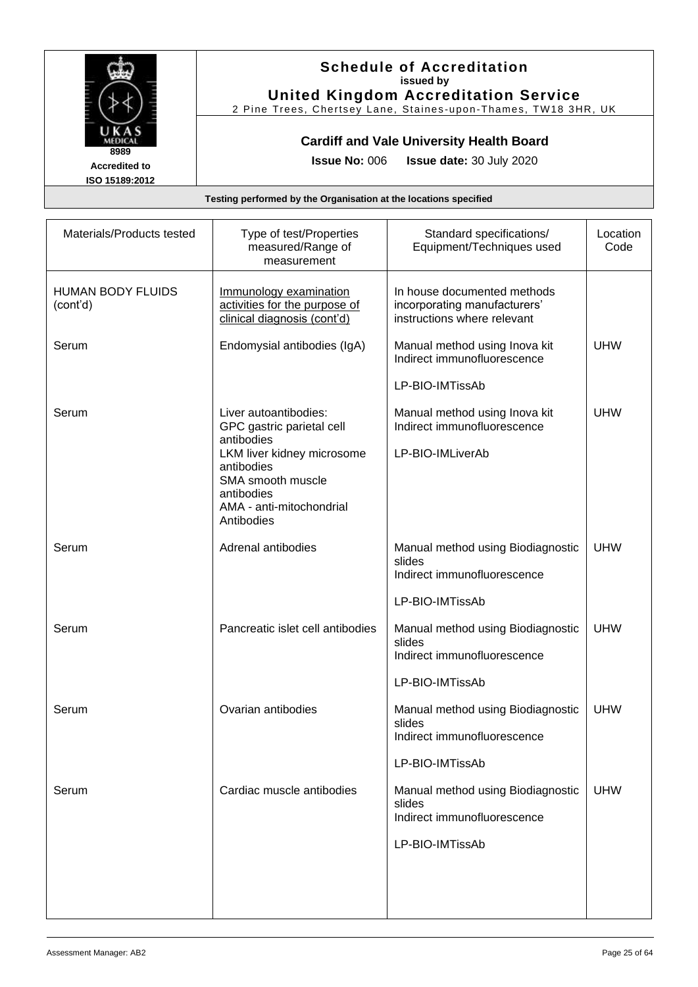

### **Schedule of Accreditation issued by United Kingdom Accreditation Service**

2 Pine Trees, Chertsey Lane, Staines -upon -Thames, TW18 3HR, UK

### **Cardiff and Vale University Health Board**

**Issue No:** 006 **Issue date:** 30 July 2020

| Materials/Products tested            | Type of test/Properties<br>measured/Range of<br>measurement                                                                       | Standard specifications/<br>Equipment/Techniques used                                      | Location<br>Code |
|--------------------------------------|-----------------------------------------------------------------------------------------------------------------------------------|--------------------------------------------------------------------------------------------|------------------|
| <b>HUMAN BODY FLUIDS</b><br>(cont'd) | Immunology examination<br>activities for the purpose of<br>clinical diagnosis (cont'd)                                            | In house documented methods<br>incorporating manufacturers'<br>instructions where relevant |                  |
| Serum                                | Endomysial antibodies (IgA)                                                                                                       | Manual method using Inova kit<br>Indirect immunofluorescence                               | <b>UHW</b>       |
|                                      |                                                                                                                                   | LP-BIO-IMTissAb                                                                            |                  |
| Serum                                | Liver autoantibodies:<br>GPC gastric parietal cell<br>antibodies<br>LKM liver kidney microsome<br>antibodies<br>SMA smooth muscle | Manual method using Inova kit<br>Indirect immunofluorescence<br>LP-BIO-IMLiverAb           | <b>UHW</b>       |
|                                      | antibodies<br>AMA - anti-mitochondrial<br>Antibodies                                                                              |                                                                                            |                  |
| Serum                                | Adrenal antibodies                                                                                                                | Manual method using Biodiagnostic<br>slides<br>Indirect immunofluorescence                 | <b>UHW</b>       |
|                                      |                                                                                                                                   | LP-BIO-IMTissAb                                                                            |                  |
| Serum                                | Pancreatic islet cell antibodies                                                                                                  | Manual method using Biodiagnostic<br>slides<br>Indirect immunofluorescence                 | <b>UHW</b>       |
|                                      |                                                                                                                                   | LP-BIO-IMTissAb                                                                            |                  |
| Serum                                | Ovarian antibodies                                                                                                                | Manual method using Biodiagnostic<br>slides<br>Indirect immunofluorescence                 | <b>UHW</b>       |
|                                      |                                                                                                                                   | LP-BIO-IMTissAb                                                                            |                  |
| Serum                                | Cardiac muscle antibodies                                                                                                         | Manual method using Biodiagnostic<br>slides<br>Indirect immunofluorescence                 | <b>UHW</b>       |
|                                      |                                                                                                                                   | LP-BIO-IMTissAb                                                                            |                  |
|                                      |                                                                                                                                   |                                                                                            |                  |
|                                      |                                                                                                                                   |                                                                                            |                  |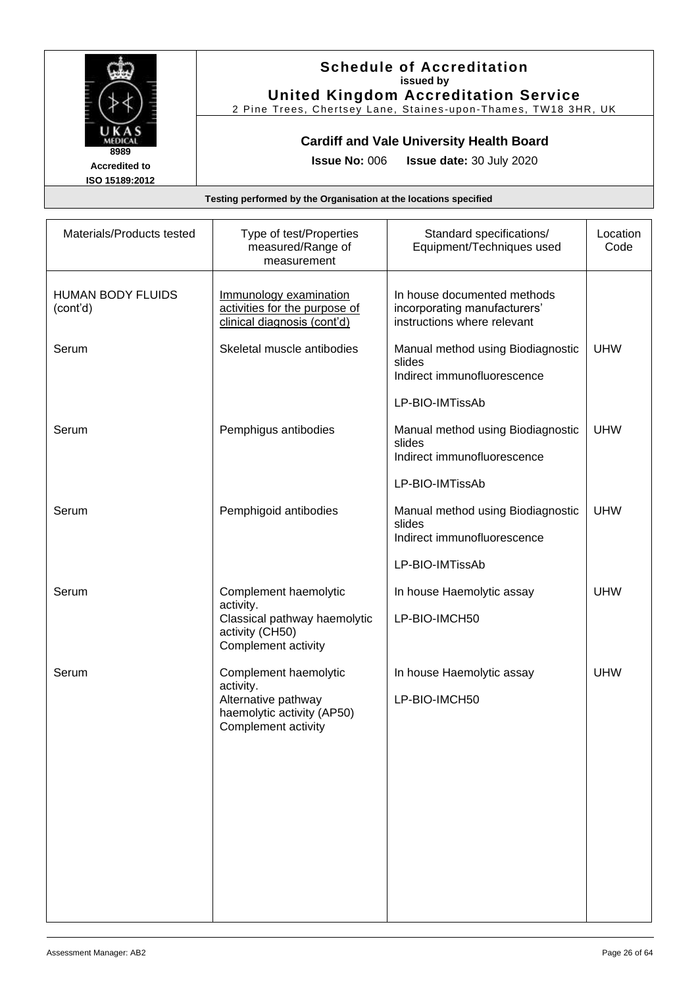

### **Schedule of Accreditation issued by United Kingdom Accreditation Service**

2 Pine Trees, Chertsey Lane, Staines -upon -Thames, TW18 3HR, UK

### **Cardiff and Vale University Health Board**

**Issue No:** 006 **Issue date:** 30 July 2020

| Materials/Products tested            | Type of test/Properties<br>measured/Range of<br>measurement                            | Standard specifications/<br>Equipment/Techniques used                                      | Location<br>Code |
|--------------------------------------|----------------------------------------------------------------------------------------|--------------------------------------------------------------------------------------------|------------------|
| <b>HUMAN BODY FLUIDS</b><br>(cont'd) | Immunology examination<br>activities for the purpose of<br>clinical diagnosis (cont'd) | In house documented methods<br>incorporating manufacturers'<br>instructions where relevant |                  |
| Serum                                | Skeletal muscle antibodies                                                             | Manual method using Biodiagnostic<br>slides<br>Indirect immunofluorescence                 | <b>UHW</b>       |
|                                      |                                                                                        | LP-BIO-IMTissAb                                                                            |                  |
| Serum                                | Pemphigus antibodies                                                                   | Manual method using Biodiagnostic<br>slides<br>Indirect immunofluorescence                 | <b>UHW</b>       |
|                                      |                                                                                        | LP-BIO-IMTissAb                                                                            |                  |
| Serum                                | Pemphigoid antibodies                                                                  | Manual method using Biodiagnostic<br>slides<br>Indirect immunofluorescence                 | <b>UHW</b>       |
|                                      |                                                                                        | LP-BIO-IMTissAb                                                                            |                  |
| Serum                                | Complement haemolytic<br>activity.                                                     | In house Haemolytic assay                                                                  | <b>UHW</b>       |
|                                      | Classical pathway haemolytic<br>activity (CH50)<br>Complement activity                 | LP-BIO-IMCH50                                                                              |                  |
| Serum                                | Complement haemolytic<br>activity.                                                     | In house Haemolytic assay                                                                  | <b>UHW</b>       |
|                                      | Alternative pathway<br>haemolytic activity (AP50)<br>Complement activity               | LP-BIO-IMCH50                                                                              |                  |
|                                      |                                                                                        |                                                                                            |                  |
|                                      |                                                                                        |                                                                                            |                  |
|                                      |                                                                                        |                                                                                            |                  |
|                                      |                                                                                        |                                                                                            |                  |
|                                      |                                                                                        |                                                                                            |                  |
|                                      |                                                                                        |                                                                                            |                  |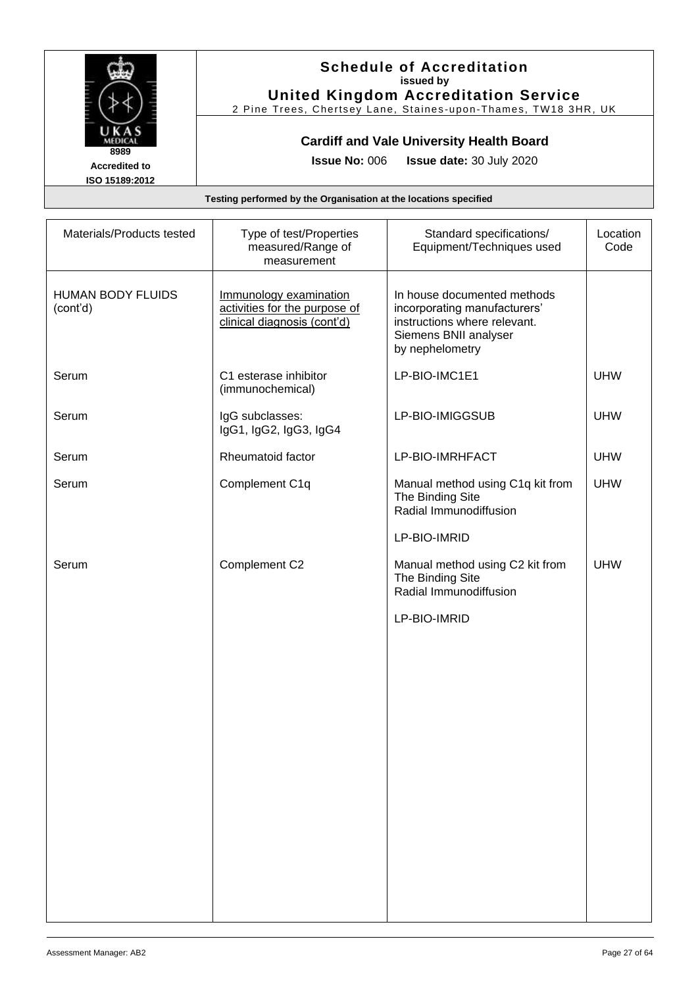

### **Schedule of Accreditation issued by United Kingdom Accreditation Service**

2 Pine Trees, Chertsey Lane, Staines -upon -Thames, TW18 3HR, UK

### **Cardiff and Vale University Health Board**

**Issue No:** 006 **Issue date:** 30 July 2020

| Materials/Products tested            | Type of test/Properties<br>measured/Range of<br>measurement                            | Standard specifications/<br>Equipment/Techniques used                                                                                   | Location<br>Code |
|--------------------------------------|----------------------------------------------------------------------------------------|-----------------------------------------------------------------------------------------------------------------------------------------|------------------|
| <b>HUMAN BODY FLUIDS</b><br>(cont'd) | Immunology examination<br>activities for the purpose of<br>clinical diagnosis (cont'd) | In house documented methods<br>incorporating manufacturers'<br>instructions where relevant.<br>Siemens BNII analyser<br>by nephelometry |                  |
| Serum                                | C1 esterase inhibitor<br>(immunochemical)                                              | LP-BIO-IMC1E1                                                                                                                           | <b>UHW</b>       |
| Serum                                | IgG subclasses:<br>IgG1, IgG2, IgG3, IgG4                                              | LP-BIO-IMIGGSUB                                                                                                                         | <b>UHW</b>       |
| Serum                                | Rheumatoid factor                                                                      | LP-BIO-IMRHFACT                                                                                                                         | <b>UHW</b>       |
| Serum                                | Complement C1q                                                                         | Manual method using C1q kit from<br>The Binding Site<br>Radial Immunodiffusion                                                          | <b>UHW</b>       |
|                                      |                                                                                        | LP-BIO-IMRID                                                                                                                            |                  |
| Serum                                | Complement C2                                                                          | Manual method using C2 kit from<br>The Binding Site<br>Radial Immunodiffusion                                                           | <b>UHW</b>       |
|                                      |                                                                                        | LP-BIO-IMRID                                                                                                                            |                  |
|                                      |                                                                                        |                                                                                                                                         |                  |
|                                      |                                                                                        |                                                                                                                                         |                  |
|                                      |                                                                                        |                                                                                                                                         |                  |
|                                      |                                                                                        |                                                                                                                                         |                  |
|                                      |                                                                                        |                                                                                                                                         |                  |
|                                      |                                                                                        |                                                                                                                                         |                  |
|                                      |                                                                                        |                                                                                                                                         |                  |
|                                      |                                                                                        |                                                                                                                                         |                  |
|                                      |                                                                                        |                                                                                                                                         |                  |
|                                      |                                                                                        |                                                                                                                                         |                  |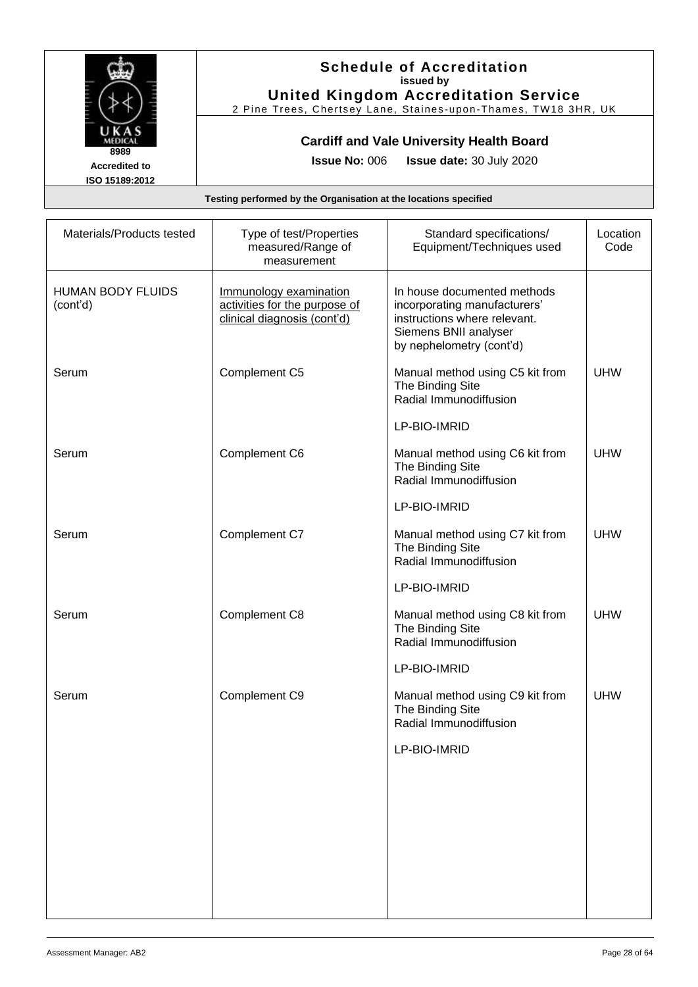

### **Schedule of Accreditation issued by United Kingdom Accreditation Service**

2 Pine Trees, Chertsey Lane, Staines -upon -Thames, TW18 3HR, UK

### **Cardiff and Vale University Health Board**

**Issue No:** 006 **Issue date:** 30 July 2020

| Materials/Products tested            | Type of test/Properties<br>measured/Range of<br>measurement                            | Standard specifications/<br>Equipment/Techniques used                                                                                            | Location<br>Code |
|--------------------------------------|----------------------------------------------------------------------------------------|--------------------------------------------------------------------------------------------------------------------------------------------------|------------------|
| <b>HUMAN BODY FLUIDS</b><br>(cont'd) | Immunology examination<br>activities for the purpose of<br>clinical diagnosis (cont'd) | In house documented methods<br>incorporating manufacturers'<br>instructions where relevant.<br>Siemens BNII analyser<br>by nephelometry (cont'd) |                  |
| Serum                                | Complement C5                                                                          | Manual method using C5 kit from<br>The Binding Site<br>Radial Immunodiffusion                                                                    | <b>UHW</b>       |
|                                      |                                                                                        | LP-BIO-IMRID                                                                                                                                     |                  |
| Serum                                | Complement C6                                                                          | Manual method using C6 kit from<br>The Binding Site<br>Radial Immunodiffusion                                                                    | <b>UHW</b>       |
|                                      |                                                                                        | LP-BIO-IMRID                                                                                                                                     |                  |
| Serum                                | Complement C7                                                                          | Manual method using C7 kit from<br>The Binding Site<br>Radial Immunodiffusion                                                                    | <b>UHW</b>       |
|                                      |                                                                                        | LP-BIO-IMRID                                                                                                                                     |                  |
| Serum                                | Complement C8                                                                          | Manual method using C8 kit from<br>The Binding Site<br>Radial Immunodiffusion                                                                    | <b>UHW</b>       |
|                                      |                                                                                        | LP-BIO-IMRID                                                                                                                                     |                  |
| Serum                                | Complement C9                                                                          | Manual method using C9 kit from<br>The Binding Site<br>Radial Immunodiffusion                                                                    | <b>UHW</b>       |
|                                      |                                                                                        | LP-BIO-IMRID                                                                                                                                     |                  |
|                                      |                                                                                        |                                                                                                                                                  |                  |
|                                      |                                                                                        |                                                                                                                                                  |                  |
|                                      |                                                                                        |                                                                                                                                                  |                  |
|                                      |                                                                                        |                                                                                                                                                  |                  |
|                                      |                                                                                        |                                                                                                                                                  |                  |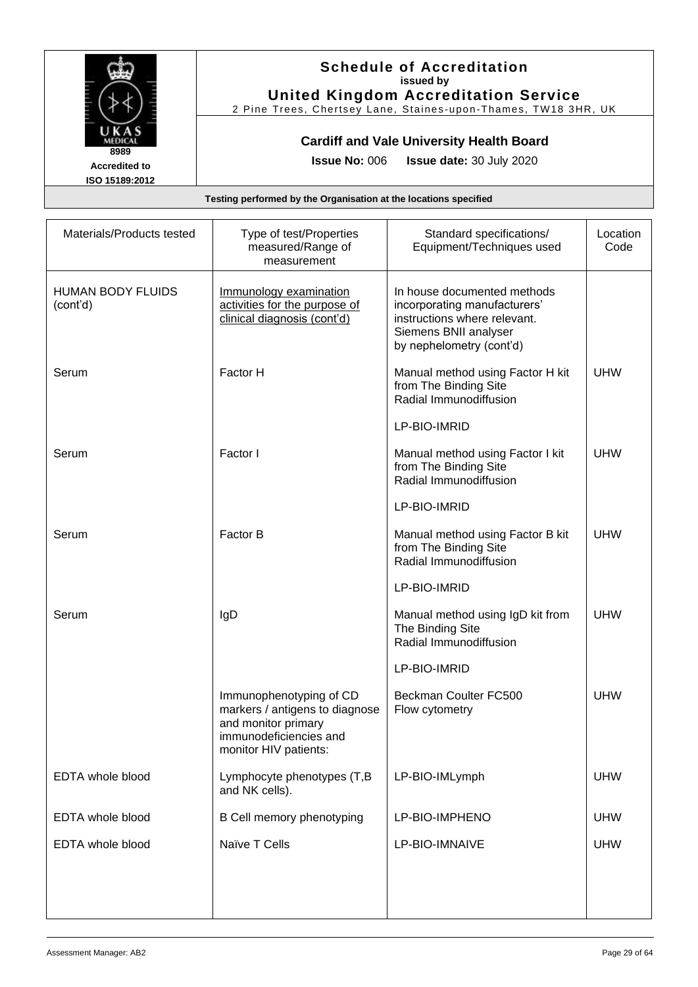

### **Schedule of Accreditation issued by United Kingdom Accreditation Service**

2 Pine Trees, Chertsey Lane, Staines -upon -Thames, TW18 3HR, UK

### **Cardiff and Vale University Health Board**

**Issue No:** 006 **Issue date:** 30 July 2020

| Materials/Products tested            | Type of test/Properties<br>measured/Range of<br>measurement                                                                         | Standard specifications/<br>Equipment/Techniques used                                                                                            | Location<br>Code |
|--------------------------------------|-------------------------------------------------------------------------------------------------------------------------------------|--------------------------------------------------------------------------------------------------------------------------------------------------|------------------|
| <b>HUMAN BODY FLUIDS</b><br>(cont'd) | Immunology examination<br>activities for the purpose of<br>clinical diagnosis (cont'd)                                              | In house documented methods<br>incorporating manufacturers'<br>instructions where relevant.<br>Siemens BNII analyser<br>by nephelometry (cont'd) |                  |
| Serum                                | Factor H                                                                                                                            | Manual method using Factor H kit<br>from The Binding Site<br>Radial Immunodiffusion                                                              | <b>UHW</b>       |
|                                      |                                                                                                                                     | LP-BIO-IMRID                                                                                                                                     |                  |
| Serum                                | Factor I                                                                                                                            | Manual method using Factor I kit<br>from The Binding Site<br>Radial Immunodiffusion                                                              | <b>UHW</b>       |
|                                      |                                                                                                                                     | LP-BIO-IMRID                                                                                                                                     |                  |
| Serum                                | Factor B                                                                                                                            | Manual method using Factor B kit<br>from The Binding Site<br>Radial Immunodiffusion                                                              | <b>UHW</b>       |
|                                      |                                                                                                                                     | LP-BIO-IMRID                                                                                                                                     |                  |
| Serum                                | IgD                                                                                                                                 | Manual method using IgD kit from<br>The Binding Site<br>Radial Immunodiffusion                                                                   | <b>UHW</b>       |
|                                      |                                                                                                                                     | LP-BIO-IMRID                                                                                                                                     |                  |
|                                      | Immunophenotyping of CD<br>markers / antigens to diagnose<br>and monitor primary<br>immunodeficiencies and<br>monitor HIV patients: | Beckman Coulter FC500<br>Flow cytometry                                                                                                          | <b>UHW</b>       |
| EDTA whole blood                     | Lymphocyte phenotypes (T,B<br>and NK cells).                                                                                        | LP-BIO-IMLymph                                                                                                                                   | <b>UHW</b>       |
| EDTA whole blood                     | B Cell memory phenotyping                                                                                                           | LP-BIO-IMPHENO                                                                                                                                   | <b>UHW</b>       |
| EDTA whole blood                     | Naïve T Cells                                                                                                                       | LP-BIO-IMNAIVE                                                                                                                                   | <b>UHW</b>       |
|                                      |                                                                                                                                     |                                                                                                                                                  |                  |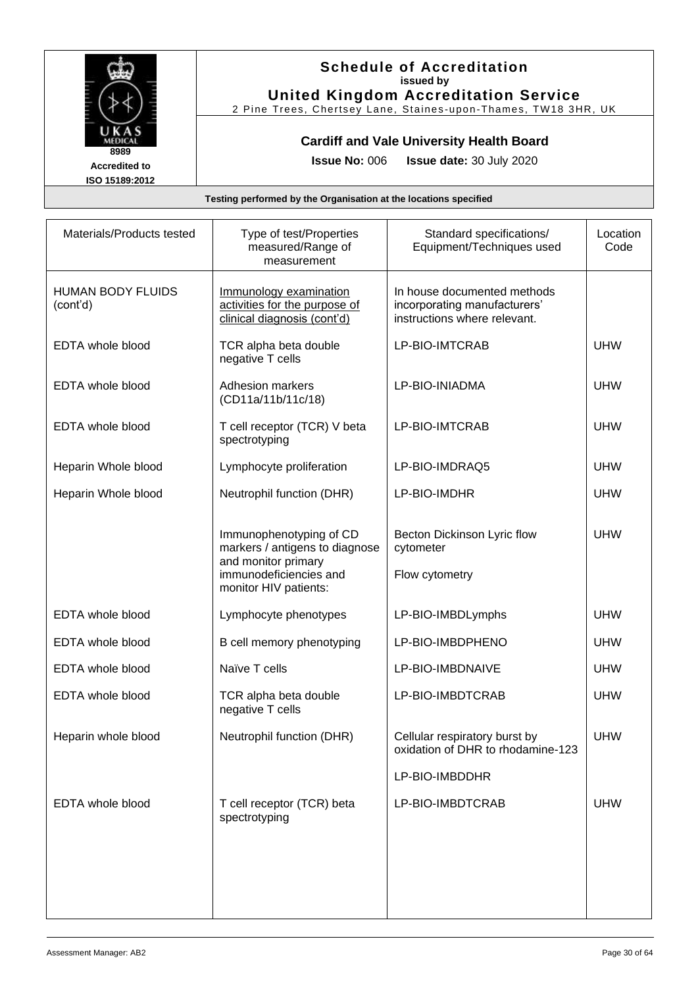

### **Schedule of Accreditation issued by United Kingdom Accreditation Service**

2 Pine Trees, Chertsey Lane, Staines -upon -Thames, TW18 3HR, UK

### **Cardiff and Vale University Health Board**

**Issue No:** 006 **Issue date:** 30 July 2020

| Materials/Products tested            | Type of test/Properties<br>measured/Range of<br>measurement                                                                         | Standard specifications/<br>Equipment/Techniques used                                       | Location<br>Code |
|--------------------------------------|-------------------------------------------------------------------------------------------------------------------------------------|---------------------------------------------------------------------------------------------|------------------|
| <b>HUMAN BODY FLUIDS</b><br>(cont'd) | Immunology examination<br>activities for the purpose of<br>clinical diagnosis (cont'd)                                              | In house documented methods<br>incorporating manufacturers'<br>instructions where relevant. |                  |
| EDTA whole blood                     | TCR alpha beta double<br>negative T cells                                                                                           | LP-BIO-IMTCRAB                                                                              | <b>UHW</b>       |
| EDTA whole blood                     | <b>Adhesion markers</b><br>(CD11a/11b/11c/18)                                                                                       | LP-BIO-INIADMA                                                                              | <b>UHW</b>       |
| EDTA whole blood                     | T cell receptor (TCR) V beta<br>spectrotyping                                                                                       | LP-BIO-IMTCRAB                                                                              | <b>UHW</b>       |
| Heparin Whole blood                  | Lymphocyte proliferation                                                                                                            | LP-BIO-IMDRAQ5                                                                              | <b>UHW</b>       |
| Heparin Whole blood                  | Neutrophil function (DHR)                                                                                                           | LP-BIO-IMDHR                                                                                | <b>UHW</b>       |
|                                      | Immunophenotyping of CD<br>markers / antigens to diagnose<br>and monitor primary<br>immunodeficiencies and<br>monitor HIV patients: | Becton Dickinson Lyric flow<br>cytometer<br>Flow cytometry                                  | <b>UHW</b>       |
| EDTA whole blood                     | Lymphocyte phenotypes                                                                                                               | LP-BIO-IMBDLymphs                                                                           | <b>UHW</b>       |
|                                      |                                                                                                                                     |                                                                                             |                  |
| EDTA whole blood                     | B cell memory phenotyping                                                                                                           | LP-BIO-IMBDPHENO                                                                            | <b>UHW</b>       |
| EDTA whole blood                     | Naïve T cells                                                                                                                       | LP-BIO-IMBDNAIVE                                                                            | <b>UHW</b>       |
| EDTA whole blood                     | TCR alpha beta double<br>negative T cells                                                                                           | LP-BIO-IMBDTCRAB                                                                            | <b>UHW</b>       |
| Heparin whole blood                  | Neutrophil function (DHR)                                                                                                           | Cellular respiratory burst by<br>oxidation of DHR to rhodamine-123                          | <b>UHW</b>       |
|                                      |                                                                                                                                     | LP-BIO-IMBDDHR                                                                              |                  |
| EDTA whole blood                     | T cell receptor (TCR) beta<br>spectrotyping                                                                                         | LP-BIO-IMBDTCRAB                                                                            | <b>UHW</b>       |
|                                      |                                                                                                                                     |                                                                                             |                  |
|                                      |                                                                                                                                     |                                                                                             |                  |
|                                      |                                                                                                                                     |                                                                                             |                  |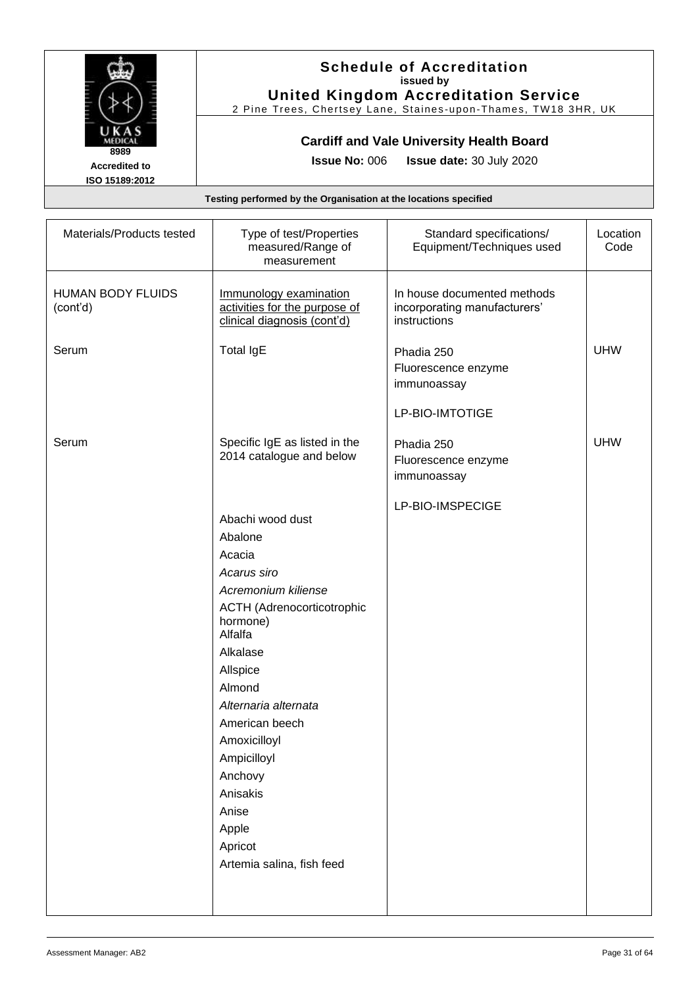

### **Schedule of Accreditation issued by United Kingdom Accreditation Service**

2 Pine Trees, Chertsey Lane, Staines -upon -Thames, TW18 3HR, UK

### **Cardiff and Vale University Health Board**

**Issue No:** 006 **Issue date:** 30 July 2020

| Materials/Products tested            | Type of test/Properties<br>measured/Range of<br>measurement                                                                                                                                                                                                                                                                         | Standard specifications/<br>Equipment/Techniques used                       | Location<br>Code |
|--------------------------------------|-------------------------------------------------------------------------------------------------------------------------------------------------------------------------------------------------------------------------------------------------------------------------------------------------------------------------------------|-----------------------------------------------------------------------------|------------------|
| <b>HUMAN BODY FLUIDS</b><br>(cont'd) | Immunology examination<br>activities for the purpose of<br>clinical diagnosis (cont'd)                                                                                                                                                                                                                                              | In house documented methods<br>incorporating manufacturers'<br>instructions |                  |
| Serum                                | <b>Total IgE</b>                                                                                                                                                                                                                                                                                                                    | Phadia 250<br>Fluorescence enzyme<br>immunoassay                            | <b>UHW</b>       |
|                                      |                                                                                                                                                                                                                                                                                                                                     | LP-BIO-IMTOTIGE                                                             |                  |
| Serum                                | Specific IgE as listed in the<br>2014 catalogue and below                                                                                                                                                                                                                                                                           | Phadia 250<br>Fluorescence enzyme<br>immunoassay                            | <b>UHW</b>       |
|                                      | Abachi wood dust<br>Abalone<br>Acacia<br>Acarus siro<br>Acremonium kiliense<br><b>ACTH (Adrenocorticotrophic</b><br>hormone)<br>Alfalfa<br>Alkalase<br>Allspice<br>Almond<br>Alternaria alternata<br>American beech<br>Amoxicilloyl<br>Ampicilloyl<br>Anchovy<br>Anisakis<br>Anise<br>Apple<br>Apricot<br>Artemia salina, fish feed | LP-BIO-IMSPECIGE                                                            |                  |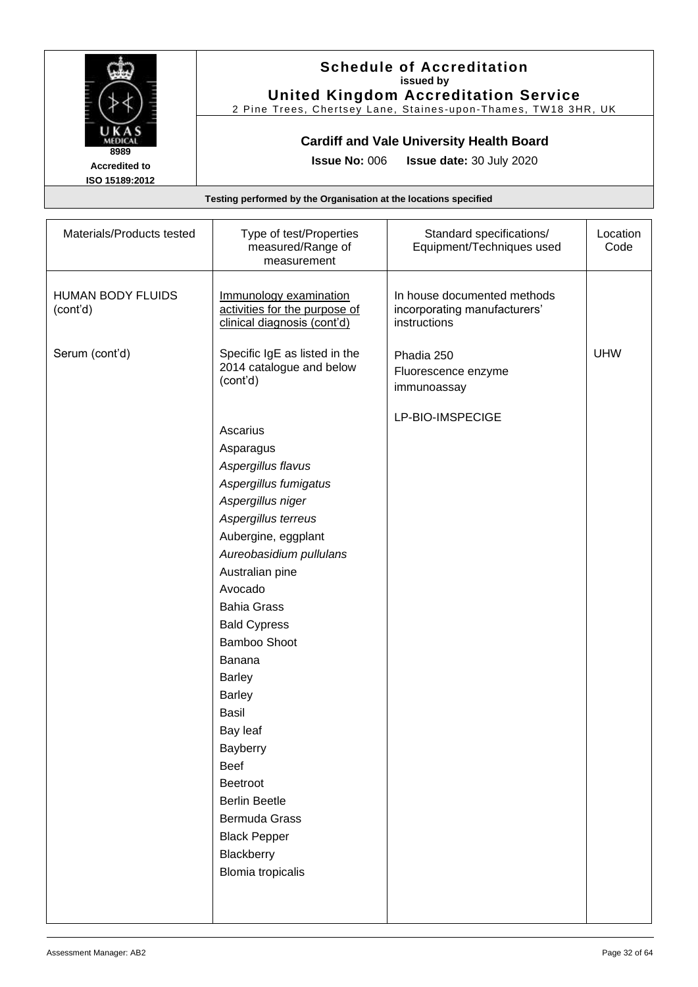

### **Schedule of Accreditation issued by United Kingdom Accreditation Service**

2 Pine Trees, Chertsey Lane, Staines -upon -Thames, TW18 3HR, UK

### **Cardiff and Vale University Health Board**

**Issue No:** 006 **Issue date:** 30 July 2020

| Materials/Products tested            | Type of test/Properties<br>measured/Range of<br>measurement                                                                                                                                                                                                             | Standard specifications/<br>Equipment/Techniques used                       | Location<br>Code |
|--------------------------------------|-------------------------------------------------------------------------------------------------------------------------------------------------------------------------------------------------------------------------------------------------------------------------|-----------------------------------------------------------------------------|------------------|
| <b>HUMAN BODY FLUIDS</b><br>(cont'd) | Immunology examination<br>activities for the purpose of<br>clinical diagnosis (cont'd)                                                                                                                                                                                  | In house documented methods<br>incorporating manufacturers'<br>instructions |                  |
| Serum (cont'd)                       | Specific IgE as listed in the<br>2014 catalogue and below<br>(cont'd)                                                                                                                                                                                                   | Phadia 250<br>Fluorescence enzyme<br>immunoassay                            | <b>UHW</b>       |
|                                      | Ascarius<br>Asparagus<br>Aspergillus flavus<br>Aspergillus fumigatus<br>Aspergillus niger<br>Aspergillus terreus<br>Aubergine, eggplant<br>Aureobasidium pullulans<br>Australian pine<br>Avocado<br><b>Bahia Grass</b><br><b>Bald Cypress</b><br>Bamboo Shoot<br>Banana |                                                                             |                  |
|                                      | <b>Barley</b><br><b>Barley</b><br><b>Basil</b><br>Bay leaf<br>Bayberry<br><b>Beef</b><br>Beetroot<br><b>Berlin Beetle</b><br>Bermuda Grass<br><b>Black Pepper</b><br>Blackberry<br><b>Blomia tropicalis</b>                                                             |                                                                             |                  |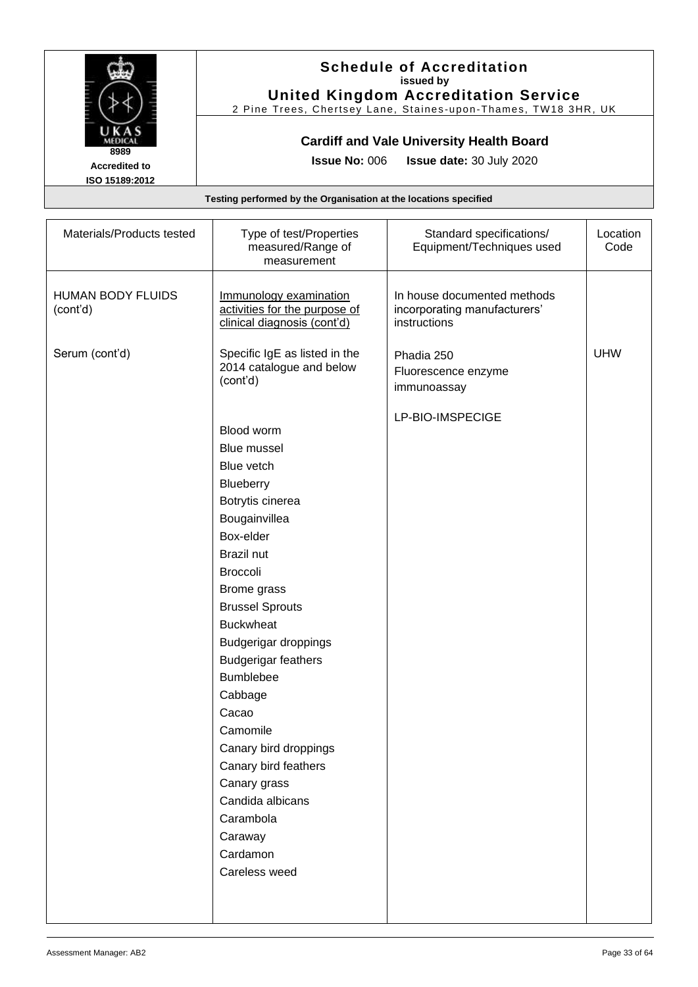

#### **Schedule of Accreditation issued by United Kingdom Accreditation Service**

2 Pine Trees, Chertsey Lane, Staines -upon -Thames, TW18 3HR, UK

### **Cardiff and Vale University Health Board**

**Issue No:** 006 **Issue date:** 30 July 2020

| Materials/Products tested            | Type of test/Properties<br>measured/Range of<br>measurement                                                                                                                                                                                                                                                                                                                                                                                                                   | Standard specifications/<br>Equipment/Techniques used                       | Location<br>Code |
|--------------------------------------|-------------------------------------------------------------------------------------------------------------------------------------------------------------------------------------------------------------------------------------------------------------------------------------------------------------------------------------------------------------------------------------------------------------------------------------------------------------------------------|-----------------------------------------------------------------------------|------------------|
| <b>HUMAN BODY FLUIDS</b><br>(cont'd) | Immunology examination<br>activities for the purpose of<br>clinical diagnosis (cont'd)                                                                                                                                                                                                                                                                                                                                                                                        | In house documented methods<br>incorporating manufacturers'<br>instructions |                  |
| Serum (cont'd)                       | Specific IgE as listed in the<br>2014 catalogue and below<br>(cont'd)                                                                                                                                                                                                                                                                                                                                                                                                         | Phadia 250<br>Fluorescence enzyme<br>immunoassay                            | <b>UHW</b>       |
|                                      | Blood worm<br><b>Blue mussel</b><br>Blue vetch<br>Blueberry<br>Botrytis cinerea<br>Bougainvillea<br>Box-elder<br><b>Brazil nut</b><br><b>Broccoli</b><br>Brome grass<br><b>Brussel Sprouts</b><br><b>Buckwheat</b><br><b>Budgerigar droppings</b><br><b>Budgerigar feathers</b><br><b>Bumblebee</b><br>Cabbage<br>Cacao<br>Camomile<br>Canary bird droppings<br>Canary bird feathers<br>Canary grass<br>Candida albicans<br>Carambola<br>Caraway<br>Cardamon<br>Careless weed | LP-BIO-IMSPECIGE                                                            |                  |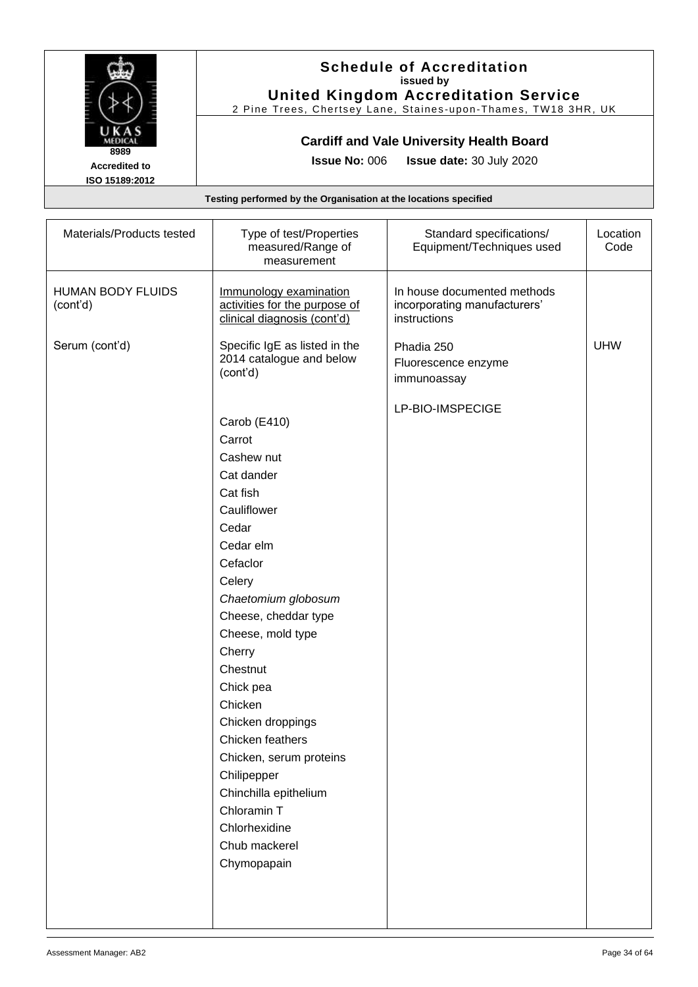

#### **Schedule of Accreditation issued by United Kingdom Accreditation Service**

2 Pine Trees, Chertsey Lane, Staines -upon -Thames, TW18 3HR, UK

### **Cardiff and Vale University Health Board**

**Issue No:** 006 **Issue date:** 30 July 2020

| Materials/Products tested     | Type of test/Properties<br>measured/Range of<br>measurement                                                                                                                                                                                                                                                                                                                                                             | Standard specifications/<br>Equipment/Techniques used                       | Location<br>Code |
|-------------------------------|-------------------------------------------------------------------------------------------------------------------------------------------------------------------------------------------------------------------------------------------------------------------------------------------------------------------------------------------------------------------------------------------------------------------------|-----------------------------------------------------------------------------|------------------|
| HUMAN BODY FLUIDS<br>(cont'd) | Immunology examination<br>activities for the purpose of<br>clinical diagnosis (cont'd)                                                                                                                                                                                                                                                                                                                                  | In house documented methods<br>incorporating manufacturers'<br>instructions |                  |
| Serum (cont'd)                | Specific IgE as listed in the<br>2014 catalogue and below<br>(cont'd)                                                                                                                                                                                                                                                                                                                                                   | Phadia 250<br>Fluorescence enzyme<br>immunoassay                            | <b>UHW</b>       |
|                               | Carob (E410)<br>Carrot<br>Cashew nut<br>Cat dander<br>Cat fish<br>Cauliflower<br>Cedar<br>Cedar elm<br>Cefaclor<br>Celery<br>Chaetomium globosum<br>Cheese, cheddar type<br>Cheese, mold type<br>Cherry<br>Chestnut<br>Chick pea<br>Chicken<br>Chicken droppings<br>Chicken feathers<br>Chicken, serum proteins<br>Chilipepper<br>Chinchilla epithelium<br>Chloramin T<br>Chlorhexidine<br>Chub mackerel<br>Chymopapain | LP-BIO-IMSPECIGE                                                            |                  |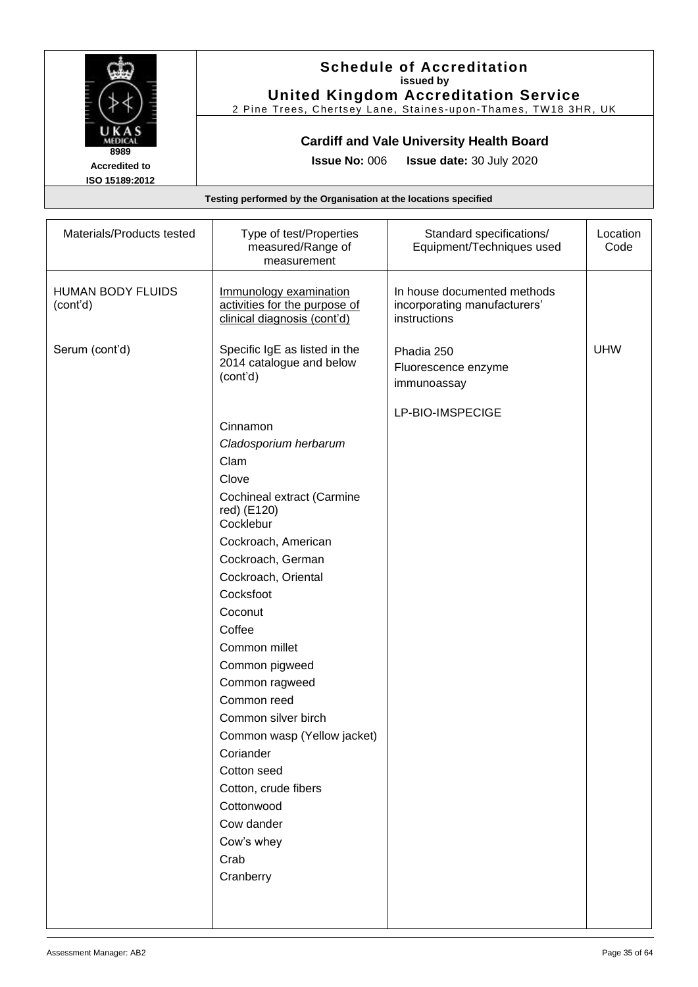

#### **Schedule of Accreditation issued by United Kingdom Accreditation Service**

2 Pine Trees, Chertsey Lane, Staines -upon -Thames, TW18 3HR, UK

### **Cardiff and Vale University Health Board**

**Issue No:** 006 **Issue date:** 30 July 2020

| Materials/Products tested            | Type of test/Properties<br>measured/Range of<br>measurement                                                                                                                                                                                                                                                                                                                                                                                                                                                        | Standard specifications/<br>Equipment/Techniques used                       | Location<br>Code |
|--------------------------------------|--------------------------------------------------------------------------------------------------------------------------------------------------------------------------------------------------------------------------------------------------------------------------------------------------------------------------------------------------------------------------------------------------------------------------------------------------------------------------------------------------------------------|-----------------------------------------------------------------------------|------------------|
| <b>HUMAN BODY FLUIDS</b><br>(cont'd) | Immunology examination<br>activities for the purpose of<br>clinical diagnosis (cont'd)                                                                                                                                                                                                                                                                                                                                                                                                                             | In house documented methods<br>incorporating manufacturers'<br>instructions |                  |
| Serum (cont'd)                       | Specific IgE as listed in the<br>2014 catalogue and below<br>(cont'd)<br>Cinnamon<br>Cladosporium herbarum<br>Clam<br>Clove<br>Cochineal extract (Carmine<br>red) (E120)<br>Cocklebur<br>Cockroach, American<br>Cockroach, German<br>Cockroach, Oriental<br>Cocksfoot<br>Coconut<br>Coffee<br>Common millet<br>Common pigweed<br>Common ragweed<br>Common reed<br>Common silver birch<br>Common wasp (Yellow jacket)<br>Coriander<br>Cotton seed<br>Cotton, crude fibers<br>Cottonwood<br>Cow dander<br>Cow's whey | Phadia 250<br>Fluorescence enzyme<br>immunoassay<br>LP-BIO-IMSPECIGE        | <b>UHW</b>       |
|                                      | Crab<br>Cranberry                                                                                                                                                                                                                                                                                                                                                                                                                                                                                                  |                                                                             |                  |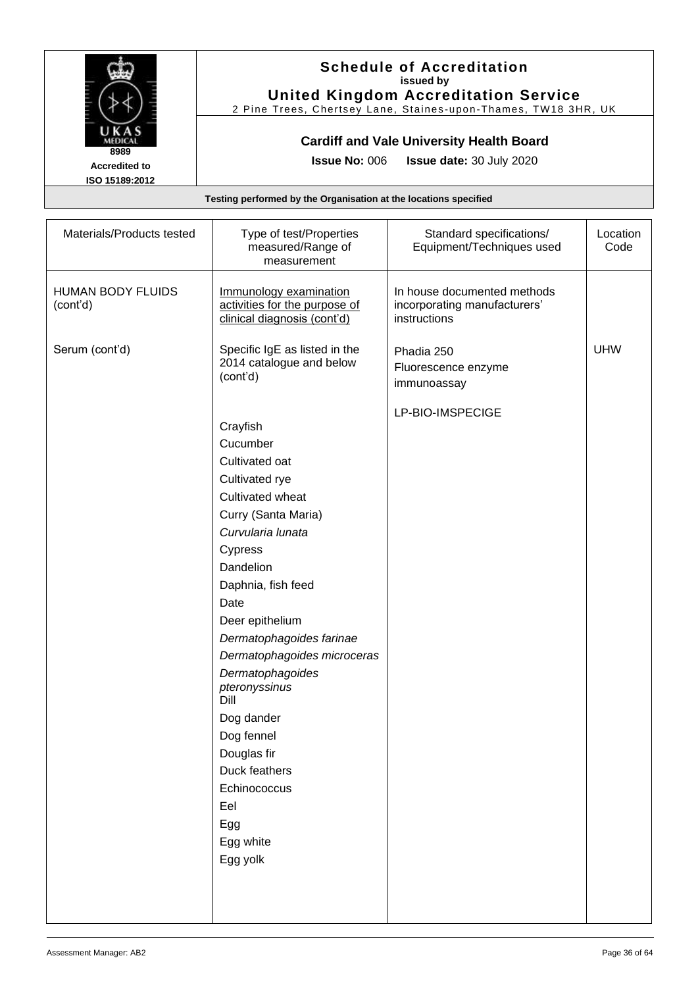

#### **Schedule of Accreditation issued by United Kingdom Accreditation Service**

2 Pine Trees, Chertsey Lane, Staines -upon -Thames, TW18 3HR, UK

### **Cardiff and Vale University Health Board**

**Issue No:** 006 **Issue date:** 30 July 2020

| Materials/Products tested            | Type of test/Properties<br>measured/Range of<br>measurement                            | Standard specifications/<br>Equipment/Techniques used                       | Location<br>Code |
|--------------------------------------|----------------------------------------------------------------------------------------|-----------------------------------------------------------------------------|------------------|
| <b>HUMAN BODY FLUIDS</b><br>(cont'd) | Immunology examination<br>activities for the purpose of<br>clinical diagnosis (cont'd) | In house documented methods<br>incorporating manufacturers'<br>instructions |                  |
| Serum (cont'd)                       | Specific IgE as listed in the<br>2014 catalogue and below<br>(cont'd)                  | Phadia 250<br>Fluorescence enzyme<br>immunoassay<br>LP-BIO-IMSPECIGE        | <b>UHW</b>       |
|                                      | Crayfish                                                                               |                                                                             |                  |
|                                      | Cucumber                                                                               |                                                                             |                  |
|                                      | Cultivated oat                                                                         |                                                                             |                  |
|                                      | Cultivated rye                                                                         |                                                                             |                  |
|                                      | Cultivated wheat                                                                       |                                                                             |                  |
|                                      | Curry (Santa Maria)                                                                    |                                                                             |                  |
|                                      | Curvularia lunata                                                                      |                                                                             |                  |
|                                      | Cypress                                                                                |                                                                             |                  |
|                                      | Dandelion                                                                              |                                                                             |                  |
|                                      | Daphnia, fish feed                                                                     |                                                                             |                  |
|                                      | Date                                                                                   |                                                                             |                  |
|                                      | Deer epithelium                                                                        |                                                                             |                  |
|                                      | Dermatophagoides farinae                                                               |                                                                             |                  |
|                                      | Dermatophagoides microceras                                                            |                                                                             |                  |
|                                      | Dermatophagoides<br>pteronyssinus<br>Dill                                              |                                                                             |                  |
|                                      | Dog dander                                                                             |                                                                             |                  |
|                                      | Dog fennel                                                                             |                                                                             |                  |
|                                      | Douglas fir                                                                            |                                                                             |                  |
|                                      | Duck feathers                                                                          |                                                                             |                  |
|                                      | Echinococcus                                                                           |                                                                             |                  |
|                                      | Eel                                                                                    |                                                                             |                  |
|                                      | Egg                                                                                    |                                                                             |                  |
|                                      | Egg white                                                                              |                                                                             |                  |
|                                      | Egg yolk                                                                               |                                                                             |                  |
|                                      |                                                                                        |                                                                             |                  |
|                                      |                                                                                        |                                                                             |                  |
|                                      |                                                                                        |                                                                             |                  |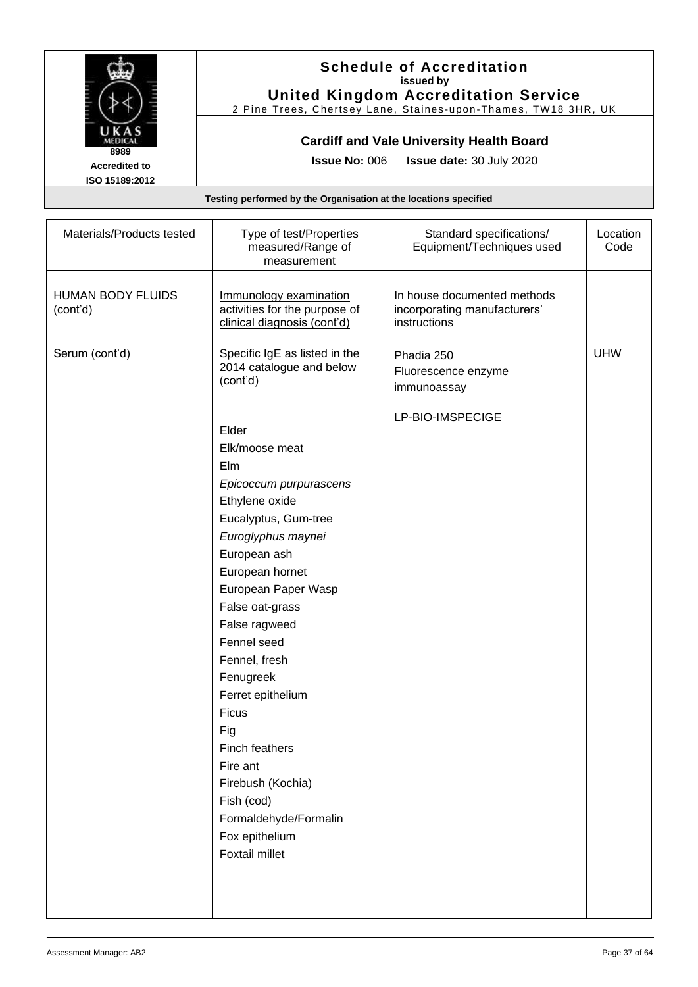

#### **Schedule of Accreditation issued by United Kingdom Accreditation Service**

2 Pine Trees, Chertsey Lane, Staines -upon -Thames, TW18 3HR, UK

### **Cardiff and Vale University Health Board**

**Issue No:** 006 **Issue date:** 30 July 2020

| Materials/Products tested            | Type of test/Properties<br>measured/Range of<br>measurement                                                                                                                                                                                                                                                                                                                                                                                          | Standard specifications/<br>Equipment/Techniques used                       | Location<br>Code |
|--------------------------------------|------------------------------------------------------------------------------------------------------------------------------------------------------------------------------------------------------------------------------------------------------------------------------------------------------------------------------------------------------------------------------------------------------------------------------------------------------|-----------------------------------------------------------------------------|------------------|
| <b>HUMAN BODY FLUIDS</b><br>(cont'd) | Immunology examination<br>activities for the purpose of<br>clinical diagnosis (cont'd)                                                                                                                                                                                                                                                                                                                                                               | In house documented methods<br>incorporating manufacturers'<br>instructions |                  |
| Serum (cont'd)                       | Specific IgE as listed in the<br>2014 catalogue and below<br>(cont'd)                                                                                                                                                                                                                                                                                                                                                                                | Phadia 250<br>Fluorescence enzyme<br>immunoassay                            | <b>UHW</b>       |
|                                      | Elder<br>Elk/moose meat<br>Elm<br>Epicoccum purpurascens<br>Ethylene oxide<br>Eucalyptus, Gum-tree<br>Euroglyphus maynei<br>European ash<br>European hornet<br>European Paper Wasp<br>False oat-grass<br>False ragweed<br>Fennel seed<br>Fennel, fresh<br>Fenugreek<br>Ferret epithelium<br><b>Ficus</b><br>Fig<br>Finch feathers<br>Fire ant<br>Firebush (Kochia)<br>Fish (cod)<br>Formaldehyde/Formalin<br>Fox epithelium<br><b>Foxtail millet</b> | LP-BIO-IMSPECIGE                                                            |                  |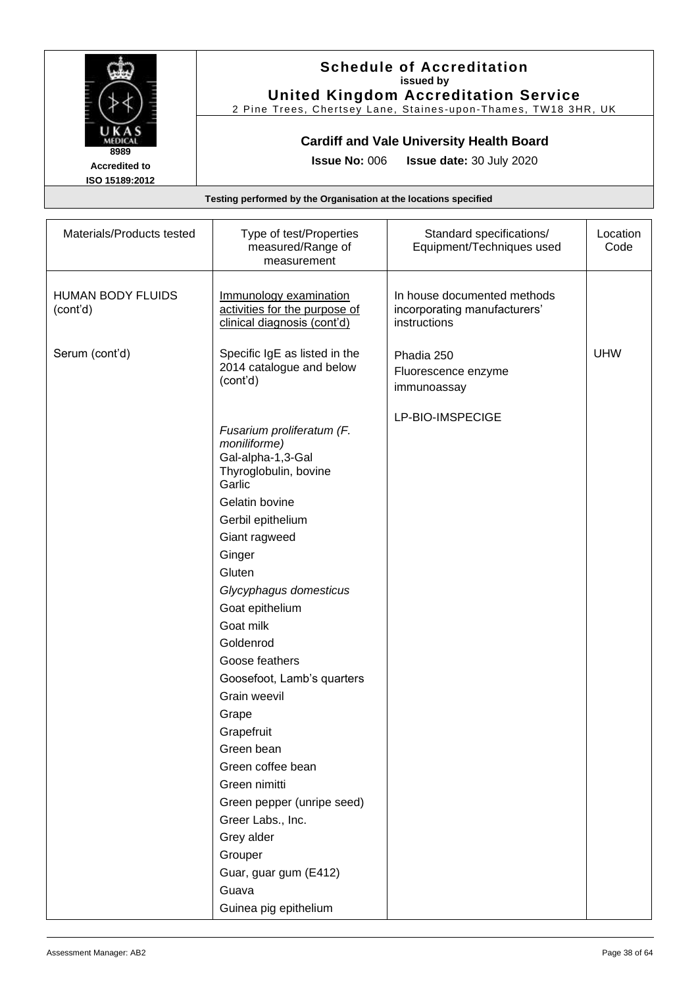

### **Schedule of Accreditation issued by United Kingdom Accreditation Service**

2 Pine Trees, Chertsey Lane, Staines -upon -Thames, TW18 3HR, UK

### **Cardiff and Vale University Health Board**

**Issue No:** 006 **Issue date:** 30 July 2020

| Materials/Products tested            | Type of test/Properties<br>measured/Range of<br>measurement                                                                                                                                                                                                                                                                                                                                                                                                                                                                            | Standard specifications/<br>Equipment/Techniques used                       | Location<br>Code |
|--------------------------------------|----------------------------------------------------------------------------------------------------------------------------------------------------------------------------------------------------------------------------------------------------------------------------------------------------------------------------------------------------------------------------------------------------------------------------------------------------------------------------------------------------------------------------------------|-----------------------------------------------------------------------------|------------------|
| <b>HUMAN BODY FLUIDS</b><br>(cont'd) | Immunology examination<br>activities for the purpose of<br>clinical diagnosis (cont'd)                                                                                                                                                                                                                                                                                                                                                                                                                                                 | In house documented methods<br>incorporating manufacturers'<br>instructions |                  |
| Serum (cont'd)                       | Specific IgE as listed in the<br>2014 catalogue and below<br>(cont'd)                                                                                                                                                                                                                                                                                                                                                                                                                                                                  | Phadia 250<br>Fluorescence enzyme<br>immunoassay                            | <b>UHW</b>       |
|                                      | Fusarium proliferatum (F.<br>moniliforme)<br>Gal-alpha-1,3-Gal<br>Thyroglobulin, bovine<br>Garlic<br>Gelatin bovine<br>Gerbil epithelium<br>Giant ragweed<br>Ginger<br>Gluten<br>Glycyphagus domesticus<br>Goat epithelium<br>Goat milk<br>Goldenrod<br>Goose feathers<br>Goosefoot, Lamb's quarters<br>Grain weevil<br>Grape<br>Grapefruit<br>Green bean<br>Green coffee bean<br>Green nimitti<br>Green pepper (unripe seed)<br>Greer Labs., Inc.<br>Grey alder<br>Grouper<br>Guar, guar gum (E412)<br>Guava<br>Guinea pig epithelium | LP-BIO-IMSPECIGE                                                            |                  |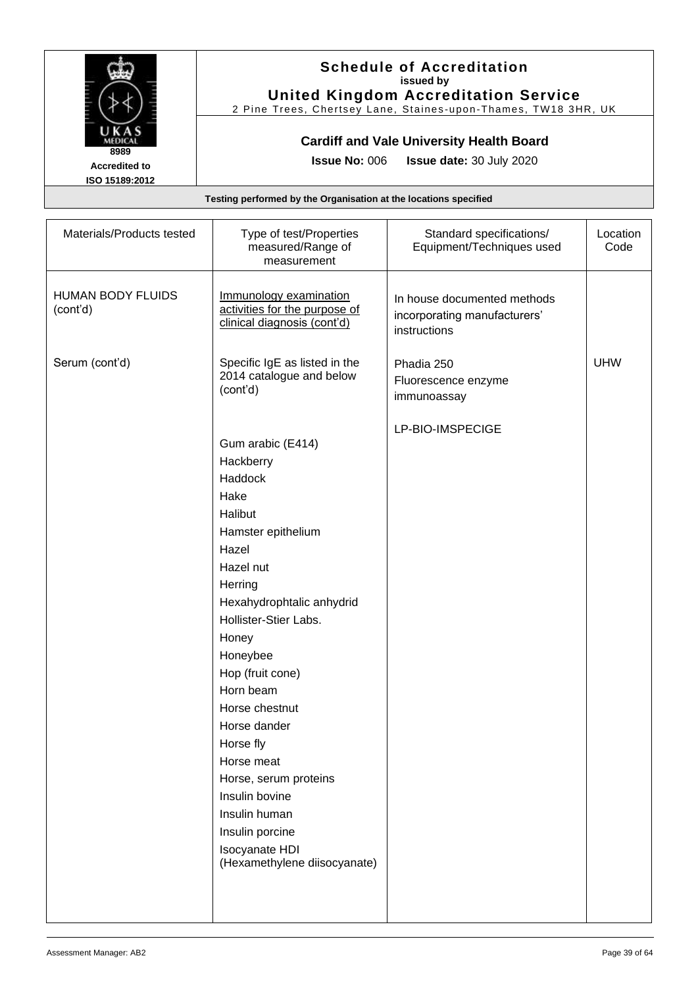

### **Schedule of Accreditation issued by United Kingdom Accreditation Service**

2 Pine Trees, Chertsey Lane, Staines -upon -Thames, TW18 3HR, UK

### **Cardiff and Vale University Health Board**

**Issue No:** 006 **Issue date:** 30 July 2020

| Materials/Products tested            | Type of test/Properties<br>measured/Range of<br>measurement                                                                                                                                                                                                                                                                                                                                                                   | Standard specifications/<br>Equipment/Techniques used                       | Location<br>Code |
|--------------------------------------|-------------------------------------------------------------------------------------------------------------------------------------------------------------------------------------------------------------------------------------------------------------------------------------------------------------------------------------------------------------------------------------------------------------------------------|-----------------------------------------------------------------------------|------------------|
| <b>HUMAN BODY FLUIDS</b><br>(cont'd) | Immunology examination<br>activities for the purpose of<br>clinical diagnosis (cont'd)                                                                                                                                                                                                                                                                                                                                        | In house documented methods<br>incorporating manufacturers'<br>instructions |                  |
| Serum (cont'd)                       | Specific IgE as listed in the<br>2014 catalogue and below<br>(cont'd)                                                                                                                                                                                                                                                                                                                                                         | Phadia 250<br>Fluorescence enzyme<br>immunoassay                            | <b>UHW</b>       |
|                                      | Gum arabic (E414)<br>Hackberry<br>Haddock<br>Hake<br>Halibut<br>Hamster epithelium<br>Hazel<br>Hazel nut<br>Herring<br>Hexahydrophtalic anhydrid<br>Hollister-Stier Labs.<br>Honey<br>Honeybee<br>Hop (fruit cone)<br>Horn beam<br>Horse chestnut<br>Horse dander<br>Horse fly<br>Horse meat<br>Horse, serum proteins<br>Insulin bovine<br>Insulin human<br>Insulin porcine<br>Isocyanate HDI<br>(Hexamethylene diisocyanate) | LP-BIO-IMSPECIGE                                                            |                  |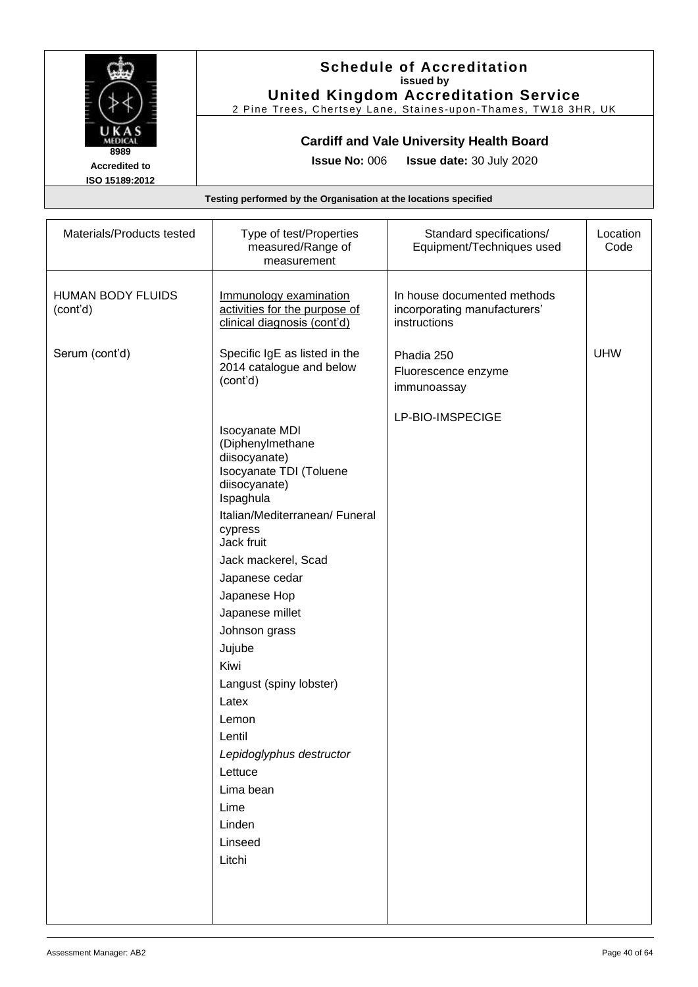

### **Schedule of Accreditation issued by United Kingdom Accreditation Service**

2 Pine Trees, Chertsey Lane, Staines -upon -Thames, TW18 3HR, UK

### **Cardiff and Vale University Health Board**

**Issue No:** 006 **Issue date:** 30 July 2020

| Materials/Products tested            | Type of test/Properties<br>measured/Range of<br>measurement                                                                                                                                                                                                                                                                                                                                                                                     | Standard specifications/<br>Equipment/Techniques used                       | Location<br>Code |
|--------------------------------------|-------------------------------------------------------------------------------------------------------------------------------------------------------------------------------------------------------------------------------------------------------------------------------------------------------------------------------------------------------------------------------------------------------------------------------------------------|-----------------------------------------------------------------------------|------------------|
| <b>HUMAN BODY FLUIDS</b><br>(cont'd) | Immunology examination<br>activities for the purpose of<br>clinical diagnosis (cont'd)                                                                                                                                                                                                                                                                                                                                                          | In house documented methods<br>incorporating manufacturers'<br>instructions |                  |
| Serum (cont'd)                       | Specific IgE as listed in the<br>2014 catalogue and below<br>(cont'd)                                                                                                                                                                                                                                                                                                                                                                           | Phadia 250<br>Fluorescence enzyme<br>immunoassay                            | <b>UHW</b>       |
|                                      | <b>Isocyanate MDI</b><br>(Diphenylmethane<br>diisocyanate)<br>Isocyanate TDI (Toluene<br>diisocyanate)<br>Ispaghula<br>Italian/Mediterranean/ Funeral<br>cypress<br>Jack fruit<br>Jack mackerel, Scad<br>Japanese cedar<br>Japanese Hop<br>Japanese millet<br>Johnson grass<br>Jujube<br>Kiwi<br>Langust (spiny lobster)<br>Latex<br>Lemon<br>Lentil<br>Lepidoglyphus destructor<br>Lettuce<br>Lima bean<br>Lime<br>Linden<br>Linseed<br>Litchi | LP-BIO-IMSPECIGE                                                            |                  |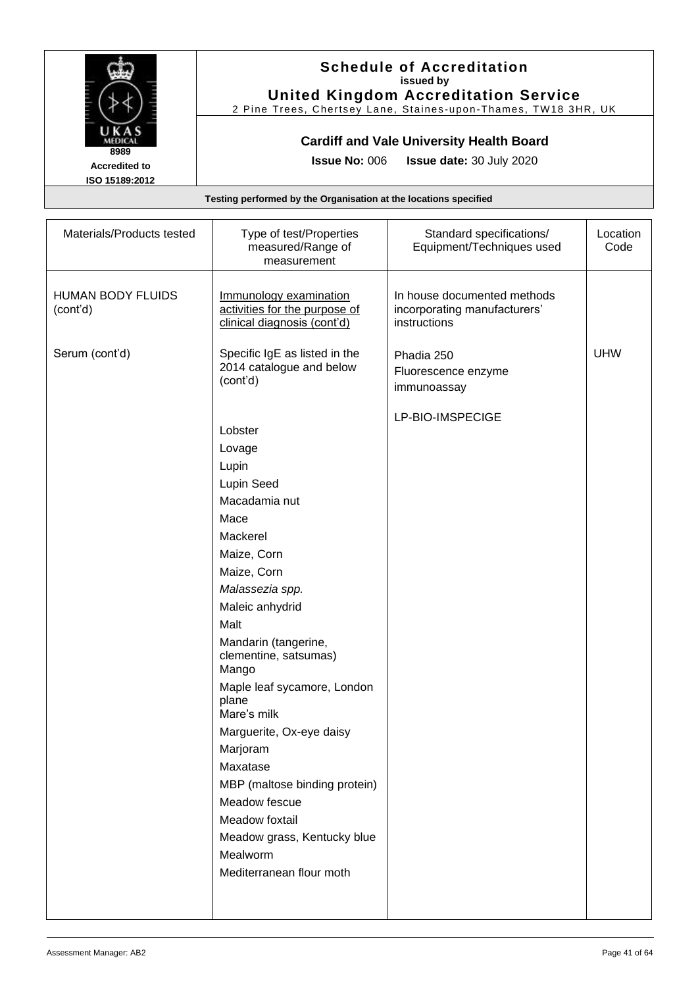

#### **Schedule of Accreditation issued by United Kingdom Accreditation Service**

2 Pine Trees, Chertsey Lane, Staines -upon -Thames, TW18 3HR, UK

### **Cardiff and Vale University Health Board**

**Issue No:** 006 **Issue date:** 30 July 2020

| Immunology examination                                                                                                                                                                                                                                                                                                                                                |                                                                             |            |
|-----------------------------------------------------------------------------------------------------------------------------------------------------------------------------------------------------------------------------------------------------------------------------------------------------------------------------------------------------------------------|-----------------------------------------------------------------------------|------------|
| activities for the purpose of<br>clinical diagnosis (cont'd)                                                                                                                                                                                                                                                                                                          | In house documented methods<br>incorporating manufacturers'<br>instructions |            |
| Specific IgE as listed in the<br>2014 catalogue and below                                                                                                                                                                                                                                                                                                             | Phadia 250<br>Fluorescence enzyme<br>immunoassay                            | <b>UHW</b> |
| Lupin Seed<br>Macadamia nut<br>Maize, Corn<br>Maize, Corn<br>Malassezia spp.<br>Maleic anhydrid<br>Mandarin (tangerine,<br>clementine, satsumas)<br>Maple leaf sycamore, London<br>Mare's milk<br>Marguerite, Ox-eye daisy<br>MBP (maltose binding protein)<br>Meadow fescue<br>Meadow foxtail<br>Meadow grass, Kentucky blue<br>Mealworm<br>Mediterranean flour moth | LP-BIO-IMSPECIGE                                                            |            |
|                                                                                                                                                                                                                                                                                                                                                                       |                                                                             |            |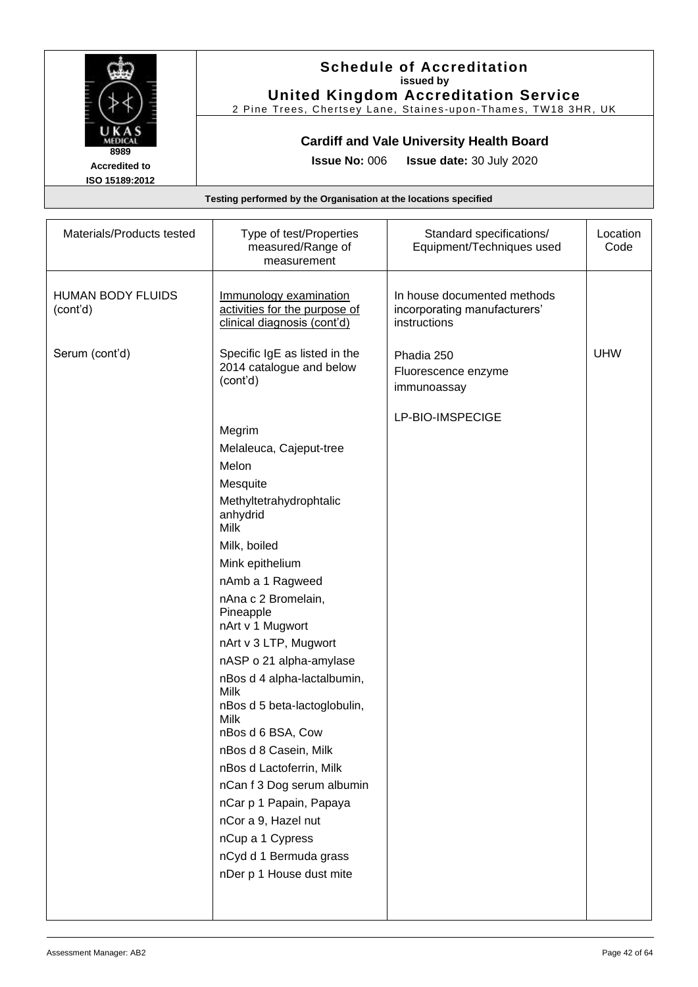

#### **Schedule of Accreditation issued by United Kingdom Accreditation Service**

2 Pine Trees, Chertsey Lane, Staines -upon -Thames, TW18 3HR, UK

### **Cardiff and Vale University Health Board**

**Issue No:** 006 **Issue date:** 30 July 2020

| Materials/Products tested            | Type of test/Properties<br>measured/Range of<br>measurement                            | Standard specifications/<br>Equipment/Techniques used                       | Location<br>Code |
|--------------------------------------|----------------------------------------------------------------------------------------|-----------------------------------------------------------------------------|------------------|
| <b>HUMAN BODY FLUIDS</b><br>(cont'd) | Immunology examination<br>activities for the purpose of<br>clinical diagnosis (cont'd) | In house documented methods<br>incorporating manufacturers'<br>instructions |                  |
| Serum (cont'd)                       | Specific IgE as listed in the<br>2014 catalogue and below<br>(cont'd)                  | Phadia 250<br>Fluorescence enzyme<br>immunoassay                            | <b>UHW</b>       |
|                                      |                                                                                        | LP-BIO-IMSPECIGE                                                            |                  |
|                                      | Megrim                                                                                 |                                                                             |                  |
|                                      | Melaleuca, Cajeput-tree                                                                |                                                                             |                  |
|                                      | Melon                                                                                  |                                                                             |                  |
|                                      | Mesquite                                                                               |                                                                             |                  |
|                                      | Methyltetrahydrophtalic<br>anhydrid<br>Milk                                            |                                                                             |                  |
|                                      | Milk, boiled                                                                           |                                                                             |                  |
|                                      | Mink epithelium                                                                        |                                                                             |                  |
|                                      | nAmb a 1 Ragweed                                                                       |                                                                             |                  |
|                                      | nAna c 2 Bromelain,<br>Pineapple<br>nArt v 1 Mugwort                                   |                                                                             |                  |
|                                      | nArt v 3 LTP, Mugwort                                                                  |                                                                             |                  |
|                                      | nASP o 21 alpha-amylase                                                                |                                                                             |                  |
|                                      | nBos d 4 alpha-lactalbumin,<br>Milk                                                    |                                                                             |                  |
|                                      | nBos d 5 beta-lactoglobulin,<br>Milk                                                   |                                                                             |                  |
|                                      | nBos d 6 BSA, Cow                                                                      |                                                                             |                  |
|                                      | nBos d 8 Casein, Milk                                                                  |                                                                             |                  |
|                                      | nBos d Lactoferrin, Milk<br>nCan f 3 Dog serum albumin                                 |                                                                             |                  |
|                                      |                                                                                        |                                                                             |                  |
|                                      | nCar p 1 Papain, Papaya<br>nCor a 9, Hazel nut                                         |                                                                             |                  |
|                                      | nCup a 1 Cypress                                                                       |                                                                             |                  |
|                                      | nCyd d 1 Bermuda grass                                                                 |                                                                             |                  |
|                                      | nDer p 1 House dust mite                                                               |                                                                             |                  |
|                                      |                                                                                        |                                                                             |                  |
|                                      |                                                                                        |                                                                             |                  |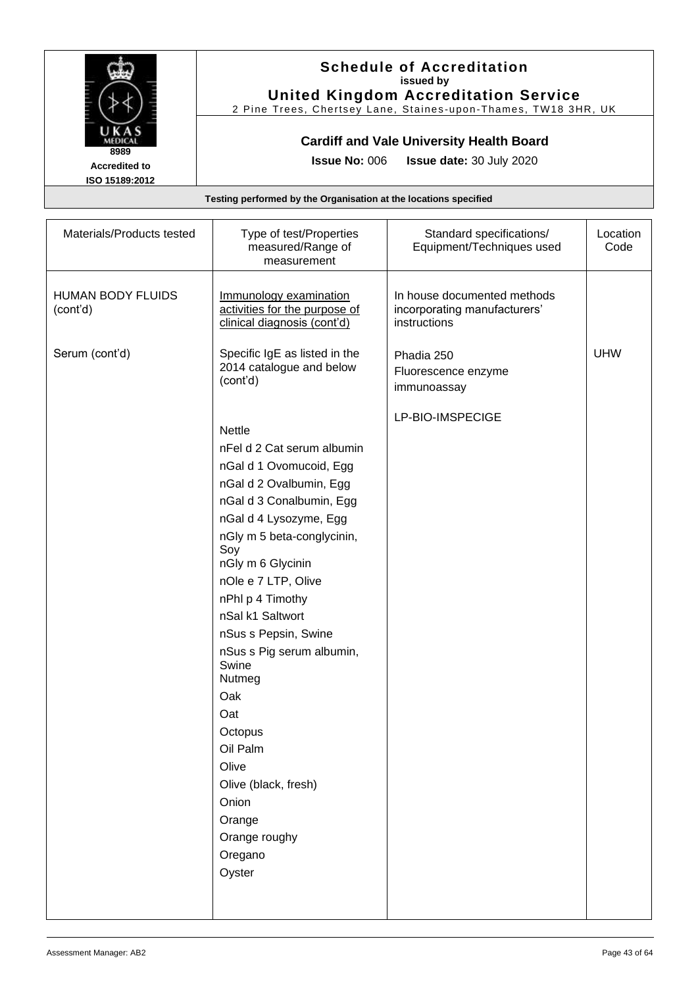

#### **Schedule of Accreditation issued by United Kingdom Accreditation Service**

2 Pine Trees, Chertsey Lane, Staines -upon -Thames, TW18 3HR, UK

### **Cardiff and Vale University Health Board**

**Issue No:** 006 **Issue date:** 30 July 2020

| Materials/Products tested            | Type of test/Properties<br>measured/Range of<br>measurement                                                                                                                                                                                                                                                                                                                                                                                                                             | Standard specifications/<br>Equipment/Techniques used                       | Location<br>Code |
|--------------------------------------|-----------------------------------------------------------------------------------------------------------------------------------------------------------------------------------------------------------------------------------------------------------------------------------------------------------------------------------------------------------------------------------------------------------------------------------------------------------------------------------------|-----------------------------------------------------------------------------|------------------|
| <b>HUMAN BODY FLUIDS</b><br>(cont'd) | Immunology examination<br>activities for the purpose of<br>clinical diagnosis (cont'd)                                                                                                                                                                                                                                                                                                                                                                                                  | In house documented methods<br>incorporating manufacturers'<br>instructions |                  |
| Serum (cont'd)                       | Specific IgE as listed in the<br>2014 catalogue and below<br>(cont'd)                                                                                                                                                                                                                                                                                                                                                                                                                   | Phadia 250<br>Fluorescence enzyme<br>immunoassay                            | <b>UHW</b>       |
|                                      | <b>Nettle</b><br>nFel d 2 Cat serum albumin<br>nGal d 1 Ovomucoid, Egg<br>nGal d 2 Ovalbumin, Egg<br>nGal d 3 Conalbumin, Egg<br>nGal d 4 Lysozyme, Egg<br>nGly m 5 beta-conglycinin,<br>Soy<br>nGly m 6 Glycinin<br>nOle e 7 LTP, Olive<br>nPhl p 4 Timothy<br>nSal k1 Saltwort<br>nSus s Pepsin, Swine<br>nSus s Pig serum albumin,<br>Swine<br>Nutmeg<br>Oak<br>Oat<br>Octopus<br>Oil Palm<br>Olive<br>Olive (black, fresh)<br>Onion<br>Orange<br>Orange roughy<br>Oregano<br>Oyster | LP-BIO-IMSPECIGE                                                            |                  |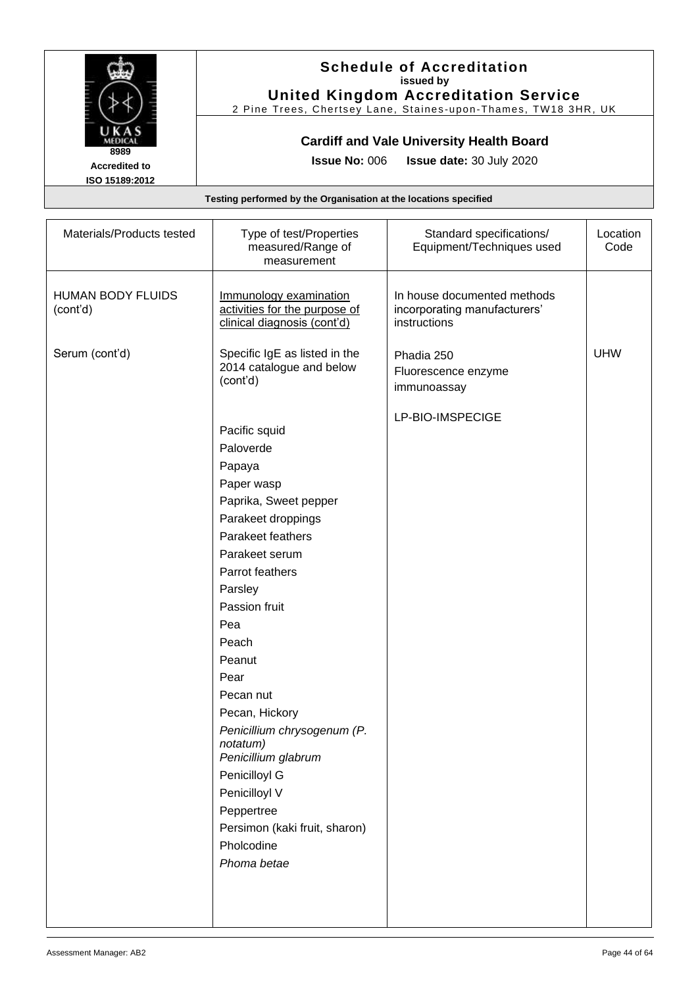

### **Schedule of Accreditation issued by United Kingdom Accreditation Service**

2 Pine Trees, Chertsey Lane, Staines -upon -Thames, TW18 3HR, UK

### **Cardiff and Vale University Health Board**

**Issue No:** 006 **Issue date:** 30 July 2020

| Materials/Products tested            | Type of test/Properties<br>measured/Range of<br>measurement                                                                                                                                                                                                                                                                                                                                                                              | Standard specifications/<br>Equipment/Techniques used                       | Location<br>Code |
|--------------------------------------|------------------------------------------------------------------------------------------------------------------------------------------------------------------------------------------------------------------------------------------------------------------------------------------------------------------------------------------------------------------------------------------------------------------------------------------|-----------------------------------------------------------------------------|------------------|
| <b>HUMAN BODY FLUIDS</b><br>(cont'd) | Immunology examination<br>activities for the purpose of<br>clinical diagnosis (cont'd)                                                                                                                                                                                                                                                                                                                                                   | In house documented methods<br>incorporating manufacturers'<br>instructions |                  |
| Serum (cont'd)                       | Specific IgE as listed in the<br>2014 catalogue and below<br>(cont'd)                                                                                                                                                                                                                                                                                                                                                                    | Phadia 250<br>Fluorescence enzyme<br>immunoassay                            | <b>UHW</b>       |
|                                      | Pacific squid<br>Paloverde<br>Papaya<br>Paper wasp<br>Paprika, Sweet pepper<br>Parakeet droppings<br>Parakeet feathers<br>Parakeet serum<br>Parrot feathers<br>Parsley<br>Passion fruit<br>Pea<br>Peach<br>Peanut<br>Pear<br>Pecan nut<br>Pecan, Hickory<br>Penicillium chrysogenum (P.<br>notatum)<br>Penicillium glabrum<br>Penicilloyl G<br>Penicilloyl V<br>Peppertree<br>Persimon (kaki fruit, sharon)<br>Pholcodine<br>Phoma betae | LP-BIO-IMSPECIGE                                                            |                  |
|                                      |                                                                                                                                                                                                                                                                                                                                                                                                                                          |                                                                             |                  |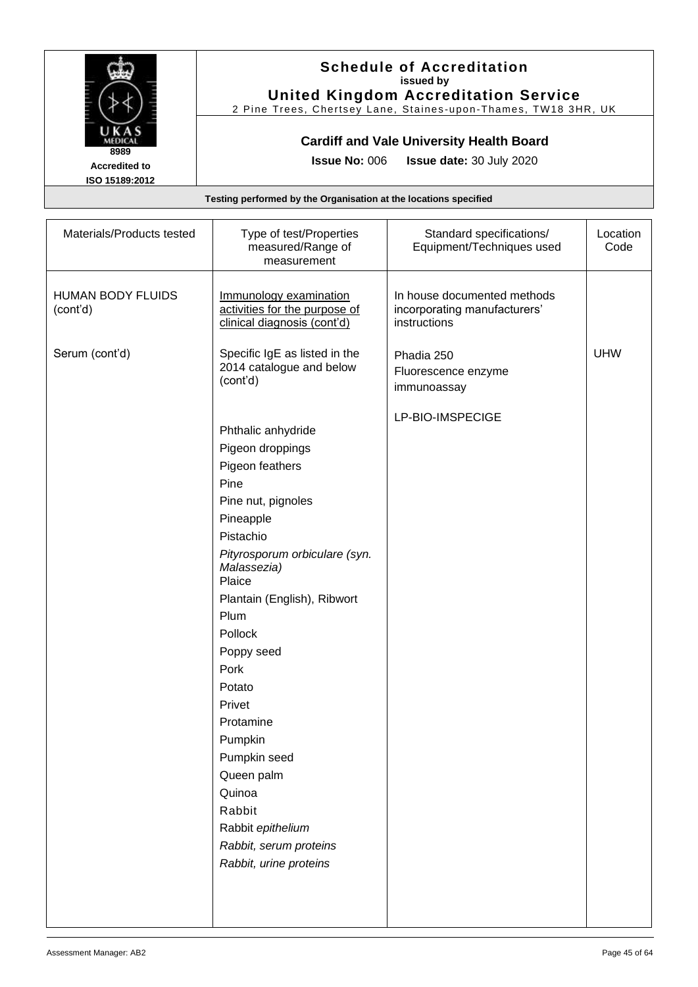

#### **Schedule of Accreditation issued by United Kingdom Accreditation Service**

2 Pine Trees, Chertsey Lane, Staines -upon -Thames, TW18 3HR, UK

### **Cardiff and Vale University Health Board**

**Issue No:** 006 **Issue date:** 30 July 2020

**ISO 15189:2012**

| Materials/Products tested     | Type of test/Properties<br>measured/Range of<br>measurement                                                                                                                                                                                                                                                                                                                                                                | Standard specifications/<br>Equipment/Techniques used                       | Location<br>Code |
|-------------------------------|----------------------------------------------------------------------------------------------------------------------------------------------------------------------------------------------------------------------------------------------------------------------------------------------------------------------------------------------------------------------------------------------------------------------------|-----------------------------------------------------------------------------|------------------|
| HUMAN BODY FLUIDS<br>(cont'd) | Immunology examination<br>activities for the purpose of<br>clinical diagnosis (cont'd)                                                                                                                                                                                                                                                                                                                                     | In house documented methods<br>incorporating manufacturers'<br>instructions |                  |
| Serum (cont'd)                | Specific IgE as listed in the<br>2014 catalogue and below<br>(cont'd)                                                                                                                                                                                                                                                                                                                                                      | Phadia 250<br>Fluorescence enzyme<br>immunoassay                            | <b>UHW</b>       |
|                               | Phthalic anhydride<br>Pigeon droppings<br>Pigeon feathers<br>Pine<br>Pine nut, pignoles<br>Pineapple<br>Pistachio<br>Pityrosporum orbiculare (syn.<br>Malassezia)<br>Plaice<br>Plantain (English), Ribwort<br>Plum<br>Pollock<br>Poppy seed<br>Pork<br>Potato<br>Privet<br>Protamine<br>Pumpkin<br>Pumpkin seed<br>Queen palm<br>Quinoa<br>Rabbit<br>Rabbit epithelium<br>Rabbit, serum proteins<br>Rabbit, urine proteins | LP-BIO-IMSPECIGE                                                            |                  |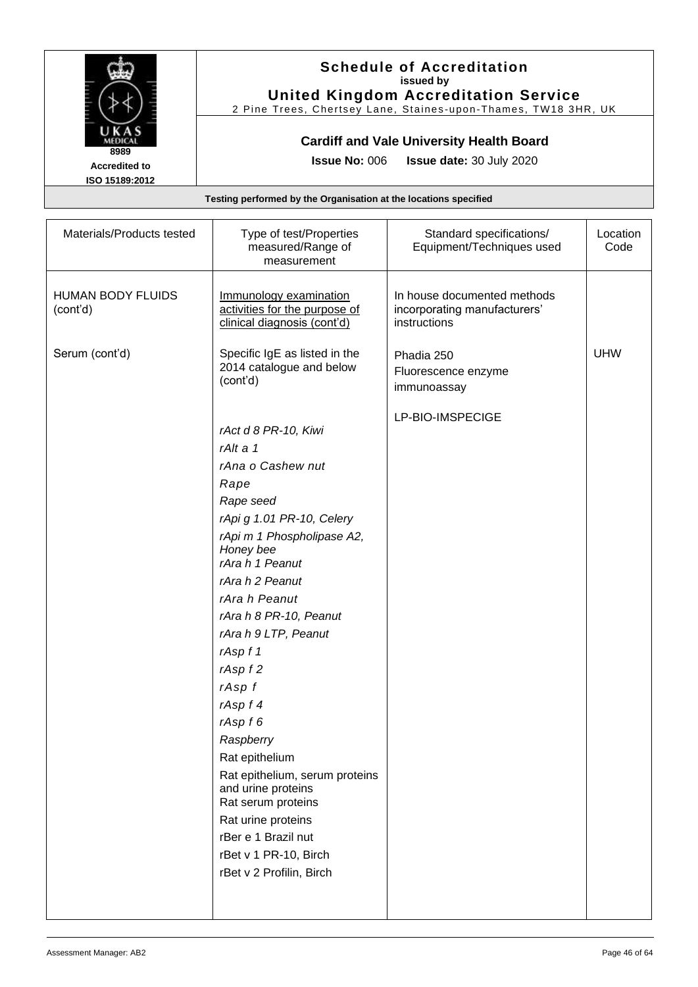

### **Schedule of Accreditation issued by United Kingdom Accreditation Service**

2 Pine Trees, Chertsey Lane, Staines -upon -Thames, TW18 3HR, UK

### **Cardiff and Vale University Health Board**

**Issue No:** 006 **Issue date:** 30 July 2020

| Materials/Products tested            | Type of test/Properties<br>measured/Range of<br>measurement                                                                                                                                                                                                                                                                                                                                                                                                                                                                          | Standard specifications/<br>Equipment/Techniques used                       | Location<br>Code |
|--------------------------------------|--------------------------------------------------------------------------------------------------------------------------------------------------------------------------------------------------------------------------------------------------------------------------------------------------------------------------------------------------------------------------------------------------------------------------------------------------------------------------------------------------------------------------------------|-----------------------------------------------------------------------------|------------------|
| <b>HUMAN BODY FLUIDS</b><br>(cont'd) | Immunology examination<br>activities for the purpose of<br>clinical diagnosis (cont'd)                                                                                                                                                                                                                                                                                                                                                                                                                                               | In house documented methods<br>incorporating manufacturers'<br>instructions |                  |
| Serum (cont'd)                       | Specific IgE as listed in the<br>2014 catalogue and below<br>(cont'd)                                                                                                                                                                                                                                                                                                                                                                                                                                                                | Phadia 250<br>Fluorescence enzyme<br>immunoassay                            | <b>UHW</b>       |
|                                      | rAct d 8 PR-10, Kiwi<br>rAlt a 1<br>rAna o Cashew nut<br>Rape<br>Rape seed<br>rApi g 1.01 PR-10, Celery<br>rApi m 1 Phospholipase A2,<br>Honey bee<br>rAra h 1 Peanut<br>rAra h 2 Peanut<br>rAra h Peanut<br>rAra h 8 PR-10, Peanut<br>rAra h 9 LTP, Peanut<br>rAsp f 1<br>rAsp f 2<br>rAsp f<br>rAsp f 4<br>rAsp f 6<br>Raspberry<br>Rat epithelium<br>Rat epithelium, serum proteins<br>and urine proteins<br>Rat serum proteins<br>Rat urine proteins<br>rBer e 1 Brazil nut<br>rBet v 1 PR-10, Birch<br>rBet v 2 Profilin, Birch | LP-BIO-IMSPECIGE                                                            |                  |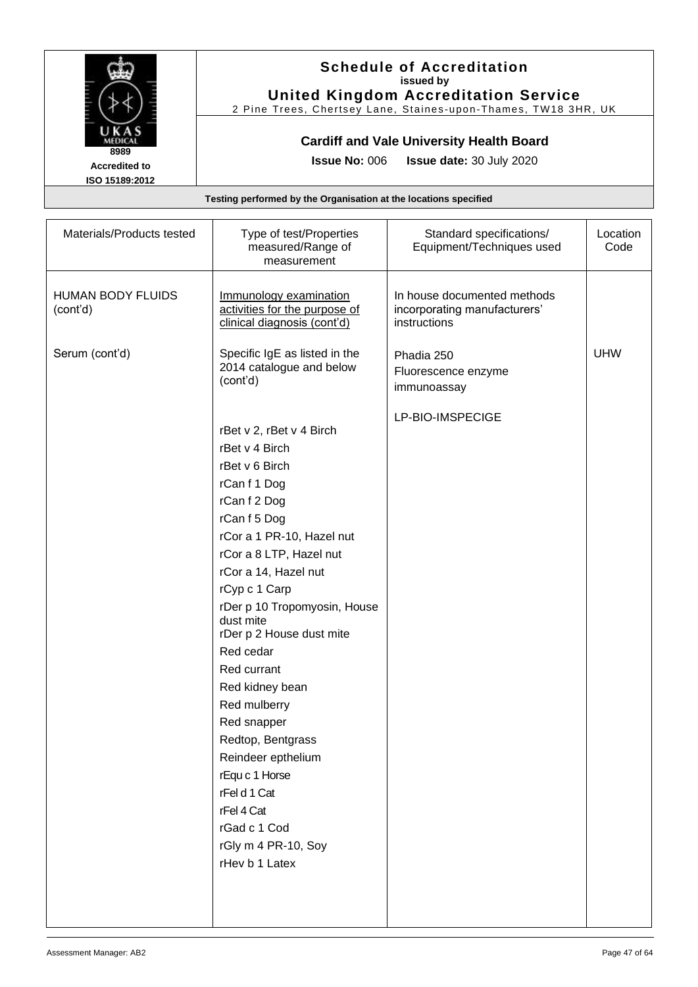

### **Schedule of Accreditation issued by United Kingdom Accreditation Service**

2 Pine Trees, Chertsey Lane, Staines -upon -Thames, TW18 3HR, UK

### **Cardiff and Vale University Health Board**

**Issue No:** 006 **Issue date:** 30 July 2020

| Materials/Products tested            | Type of test/Properties<br>measured/Range of<br>measurement                                                                                                                                                                                                                                                                                                                                                                                                                                                              | Standard specifications/<br>Equipment/Techniques used                       | Location<br>Code |
|--------------------------------------|--------------------------------------------------------------------------------------------------------------------------------------------------------------------------------------------------------------------------------------------------------------------------------------------------------------------------------------------------------------------------------------------------------------------------------------------------------------------------------------------------------------------------|-----------------------------------------------------------------------------|------------------|
| <b>HUMAN BODY FLUIDS</b><br>(cont'd) | Immunology examination<br>activities for the purpose of<br>clinical diagnosis (cont'd)                                                                                                                                                                                                                                                                                                                                                                                                                                   | In house documented methods<br>incorporating manufacturers'<br>instructions |                  |
| Serum (cont'd)                       | Specific IgE as listed in the<br>2014 catalogue and below<br>(cont'd)                                                                                                                                                                                                                                                                                                                                                                                                                                                    | Phadia 250<br>Fluorescence enzyme<br>immunoassay                            | <b>UHW</b>       |
|                                      | rBet v 2, rBet v 4 Birch<br>rBet v 4 Birch<br>rBet v 6 Birch<br>rCan f 1 Dog<br>rCan f 2 Dog<br>rCan f 5 Dog<br>rCor a 1 PR-10, Hazel nut<br>rCor a 8 LTP, Hazel nut<br>rCor a 14, Hazel nut<br>rCyp c 1 Carp<br>rDer p 10 Tropomyosin, House<br>dust mite<br>rDer p 2 House dust mite<br>Red cedar<br>Red currant<br>Red kidney bean<br>Red mulberry<br>Red snapper<br>Redtop, Bentgrass<br>Reindeer epthelium<br>rEqu c 1 Horse<br>rFel d 1 Cat<br>rFel 4 Cat<br>rGad c 1 Cod<br>rGly m 4 PR-10, Soy<br>rHev b 1 Latex | LP-BIO-IMSPECIGE                                                            |                  |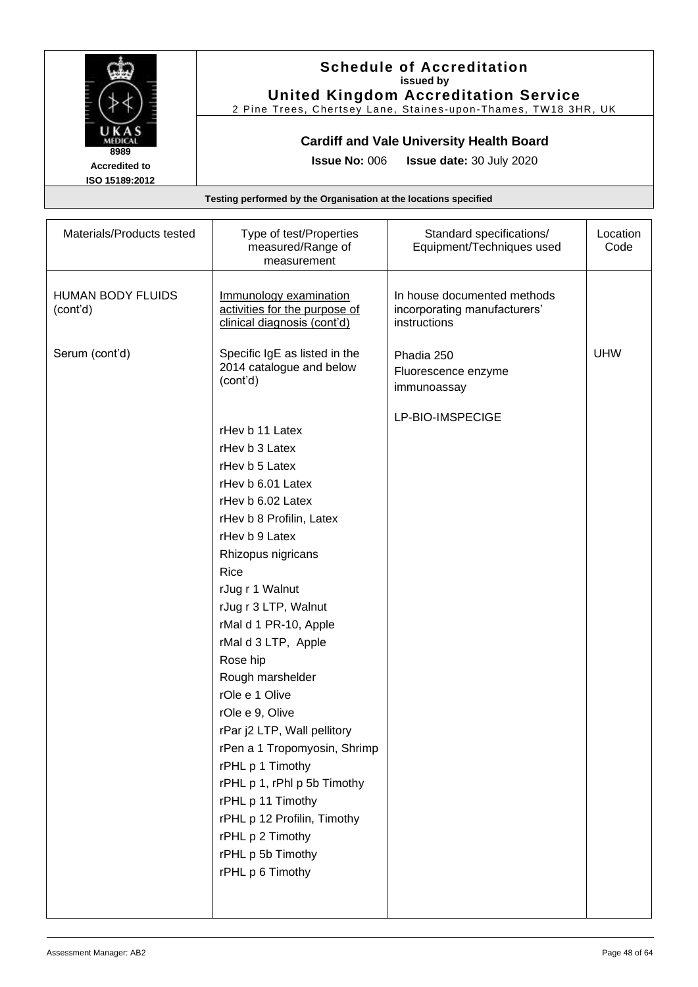

#### **Schedule of Accreditation issued by United Kingdom Accreditation Service**

2 Pine Trees, Chertsey Lane, Staines -upon -Thames, TW18 3HR, UK

### **Cardiff and Vale University Health Board**

**Issue No:** 006 **Issue date:** 30 July 2020

| Materials/Products tested     | Type of test/Properties<br>measured/Range of<br>measurement                            | Standard specifications/<br>Equipment/Techniques used                       | Location<br>Code |
|-------------------------------|----------------------------------------------------------------------------------------|-----------------------------------------------------------------------------|------------------|
| HUMAN BODY FLUIDS<br>(cont'd) | Immunology examination<br>activities for the purpose of<br>clinical diagnosis (cont'd) | In house documented methods<br>incorporating manufacturers'<br>instructions |                  |
| Serum (cont'd)                | Specific IgE as listed in the<br>2014 catalogue and below<br>(cont'd)                  | Phadia 250<br>Fluorescence enzyme<br>immunoassay                            | <b>UHW</b>       |
|                               |                                                                                        | LP-BIO-IMSPECIGE                                                            |                  |
|                               | rHev b 11 Latex                                                                        |                                                                             |                  |
|                               | rHev b 3 Latex                                                                         |                                                                             |                  |
|                               | rHev b 5 Latex                                                                         |                                                                             |                  |
|                               | rHev b 6.01 Latex                                                                      |                                                                             |                  |
|                               | rHev b 6.02 Latex                                                                      |                                                                             |                  |
|                               | rHev b 8 Profilin, Latex                                                               |                                                                             |                  |
|                               | rHev b 9 Latex                                                                         |                                                                             |                  |
|                               | Rhizopus nigricans                                                                     |                                                                             |                  |
|                               | Rice                                                                                   |                                                                             |                  |
|                               | rJug r 1 Walnut                                                                        |                                                                             |                  |
|                               | rJug r 3 LTP, Walnut                                                                   |                                                                             |                  |
|                               | rMal d 1 PR-10, Apple                                                                  |                                                                             |                  |
|                               | rMal d 3 LTP, Apple                                                                    |                                                                             |                  |
|                               | Rose hip                                                                               |                                                                             |                  |
|                               | Rough marshelder                                                                       |                                                                             |                  |
|                               | rOle e 1 Olive                                                                         |                                                                             |                  |
|                               | rOle e 9, Olive                                                                        |                                                                             |                  |
|                               | rPar j2 LTP, Wall pellitory                                                            |                                                                             |                  |
|                               | rPen a 1 Tropomyosin, Shrimp                                                           |                                                                             |                  |
|                               | rPHL p 1 Timothy                                                                       |                                                                             |                  |
|                               | rPHL p 1, rPhI p 5b Timothy                                                            |                                                                             |                  |
|                               | rPHL p 11 Timothy                                                                      |                                                                             |                  |
|                               | rPHL p 12 Profilin, Timothy                                                            |                                                                             |                  |
|                               | rPHL p 2 Timothy                                                                       |                                                                             |                  |
|                               | rPHL p 5b Timothy                                                                      |                                                                             |                  |
|                               | rPHL p 6 Timothy                                                                       |                                                                             |                  |
|                               |                                                                                        |                                                                             |                  |
|                               |                                                                                        |                                                                             |                  |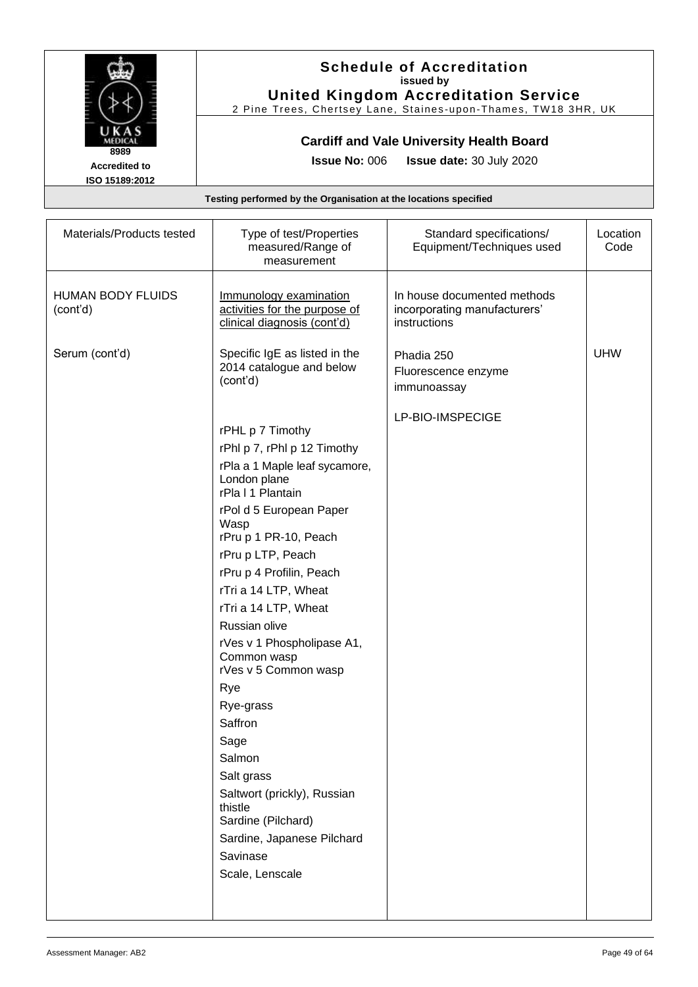

#### **Schedule of Accreditation issued by United Kingdom Accreditation Service**

2 Pine Trees, Chertsey Lane, Staines -upon -Thames, TW18 3HR, UK

### **Cardiff and Vale University Health Board**

**Issue No:** 006 **Issue date:** 30 July 2020

| Materials/Products tested            | Type of test/Properties<br>measured/Range of<br>measurement                                                                                                                                                                                                                                                                                                                                                                                                                                                                                                          | Standard specifications/<br>Equipment/Techniques used                       | Location<br>Code |
|--------------------------------------|----------------------------------------------------------------------------------------------------------------------------------------------------------------------------------------------------------------------------------------------------------------------------------------------------------------------------------------------------------------------------------------------------------------------------------------------------------------------------------------------------------------------------------------------------------------------|-----------------------------------------------------------------------------|------------------|
| <b>HUMAN BODY FLUIDS</b><br>(cont'd) | Immunology examination<br>activities for the purpose of<br>clinical diagnosis (cont'd)                                                                                                                                                                                                                                                                                                                                                                                                                                                                               | In house documented methods<br>incorporating manufacturers'<br>instructions |                  |
| Serum (cont'd)                       | Specific IgE as listed in the<br>2014 catalogue and below<br>(cont'd)                                                                                                                                                                                                                                                                                                                                                                                                                                                                                                | Phadia 250<br>Fluorescence enzyme<br>immunoassay                            | <b>UHW</b>       |
|                                      | rPHL p 7 Timothy<br>rPhl p 7, rPhl p 12 Timothy<br>rPla a 1 Maple leaf sycamore,<br>London plane<br>rPla I 1 Plantain<br>rPol d 5 European Paper<br>Wasp<br>rPru p 1 PR-10, Peach<br>rPru p LTP, Peach<br>rPru p 4 Profilin, Peach<br>rTri a 14 LTP, Wheat<br>rTri a 14 LTP, Wheat<br>Russian olive<br>rVes v 1 Phospholipase A1,<br>Common wasp<br>rVes v 5 Common wasp<br>Rye<br>Rye-grass<br>Saffron<br>Sage<br>Salmon<br>Salt grass<br>Saltwort (prickly), Russian<br>thistle<br>Sardine (Pilchard)<br>Sardine, Japanese Pilchard<br>Savinase<br>Scale, Lenscale | LP-BIO-IMSPECIGE                                                            |                  |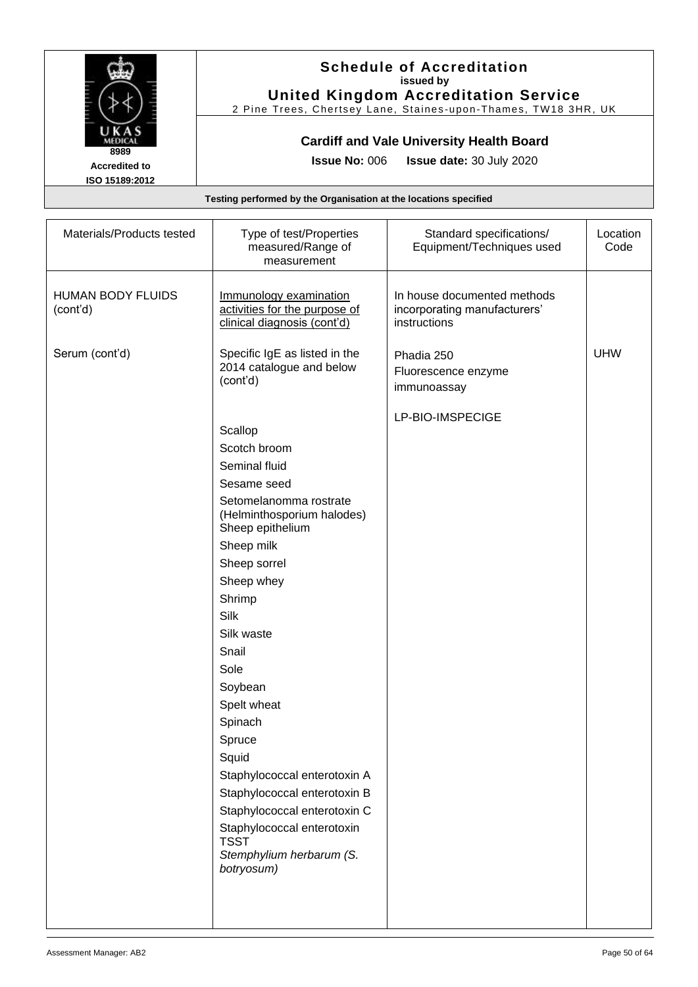

#### **Schedule of Accreditation issued by United Kingdom Accreditation Service**

2 Pine Trees, Chertsey Lane, Staines -upon -Thames, TW18 3HR, UK

### **Cardiff and Vale University Health Board**

**Issue No:** 006 **Issue date:** 30 July 2020

| Materials/Products tested            | Type of test/Properties<br>measured/Range of<br>measurement                                                                                                                                                                                                                                                                                                                                                                                                                     | Standard specifications/<br>Equipment/Techniques used                       | Location<br>Code |
|--------------------------------------|---------------------------------------------------------------------------------------------------------------------------------------------------------------------------------------------------------------------------------------------------------------------------------------------------------------------------------------------------------------------------------------------------------------------------------------------------------------------------------|-----------------------------------------------------------------------------|------------------|
| <b>HUMAN BODY FLUIDS</b><br>(cont'd) | Immunology examination<br>activities for the purpose of<br>clinical diagnosis (cont'd)                                                                                                                                                                                                                                                                                                                                                                                          | In house documented methods<br>incorporating manufacturers'<br>instructions |                  |
| Serum (cont'd)                       | Specific IgE as listed in the<br>2014 catalogue and below<br>(cont'd)                                                                                                                                                                                                                                                                                                                                                                                                           | Phadia 250<br>Fluorescence enzyme<br>immunoassay                            | <b>UHW</b>       |
|                                      | Scallop<br>Scotch broom<br>Seminal fluid<br>Sesame seed<br>Setomelanomma rostrate<br>(Helminthosporium halodes)<br>Sheep epithelium<br>Sheep milk<br>Sheep sorrel<br>Sheep whey<br>Shrimp<br>Silk<br>Silk waste<br>Snail<br>Sole<br>Soybean<br>Spelt wheat<br>Spinach<br>Spruce<br>Squid<br>Staphylococcal enterotoxin A<br>Staphylococcal enterotoxin B<br>Staphylococcal enterotoxin C<br>Staphylococcal enterotoxin<br><b>TSST</b><br>Stemphylium herbarum (S.<br>botryosum) | LP-BIO-IMSPECIGE                                                            |                  |
|                                      |                                                                                                                                                                                                                                                                                                                                                                                                                                                                                 |                                                                             |                  |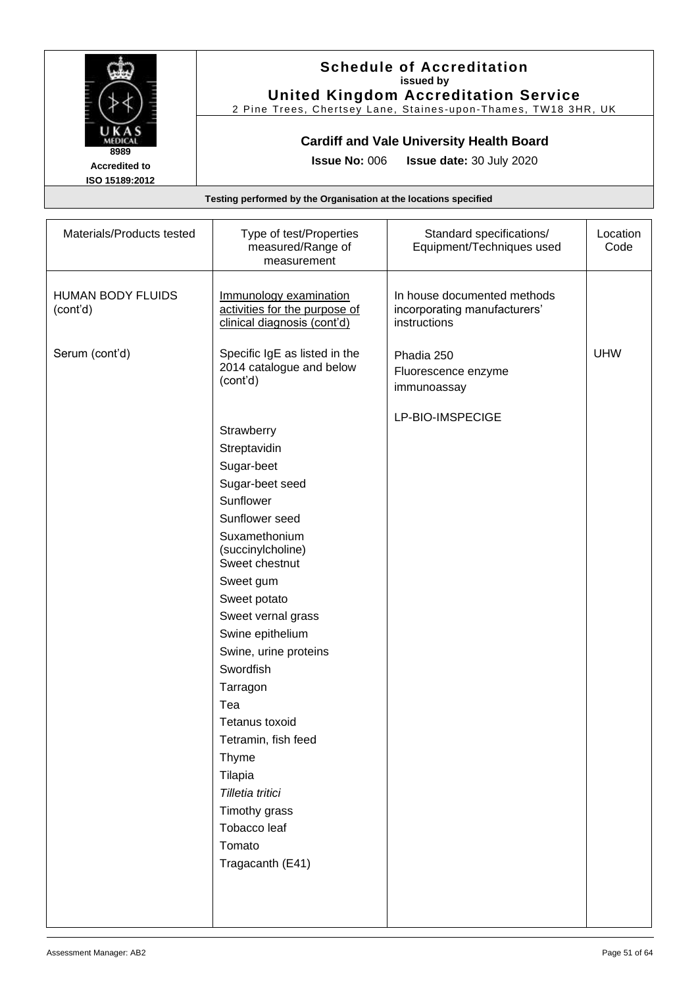

#### **Schedule of Accreditation issued by United Kingdom Accreditation Service**

2 Pine Trees, Chertsey Lane, Staines -upon -Thames, TW18 3HR, UK

### **Cardiff and Vale University Health Board**

**Issue No:** 006 **Issue date:** 30 July 2020

| Materials/Products tested            | Type of test/Properties<br>measured/Range of<br>measurement                                                                                                                                                                                                                                                                                                                                                                        | Standard specifications/<br>Equipment/Techniques used                       | Location<br>Code |
|--------------------------------------|------------------------------------------------------------------------------------------------------------------------------------------------------------------------------------------------------------------------------------------------------------------------------------------------------------------------------------------------------------------------------------------------------------------------------------|-----------------------------------------------------------------------------|------------------|
| <b>HUMAN BODY FLUIDS</b><br>(cont'd) | Immunology examination<br>activities for the purpose of<br>clinical diagnosis (cont'd)                                                                                                                                                                                                                                                                                                                                             | In house documented methods<br>incorporating manufacturers'<br>instructions |                  |
| Serum (cont'd)                       | Specific IgE as listed in the<br>2014 catalogue and below<br>(cont'd)                                                                                                                                                                                                                                                                                                                                                              | Phadia 250<br>Fluorescence enzyme<br>immunoassay                            | <b>UHW</b>       |
|                                      | Strawberry<br>Streptavidin<br>Sugar-beet<br>Sugar-beet seed<br>Sunflower<br>Sunflower seed<br>Suxamethonium<br>(succinylcholine)<br>Sweet chestnut<br>Sweet gum<br>Sweet potato<br>Sweet vernal grass<br>Swine epithelium<br>Swine, urine proteins<br>Swordfish<br>Tarragon<br>Tea<br>Tetanus toxoid<br>Tetramin, fish feed<br>Thyme<br>Tilapia<br>Tilletia tritici<br>Timothy grass<br>Tobacco leaf<br>Tomato<br>Tragacanth (E41) | LP-BIO-IMSPECIGE                                                            |                  |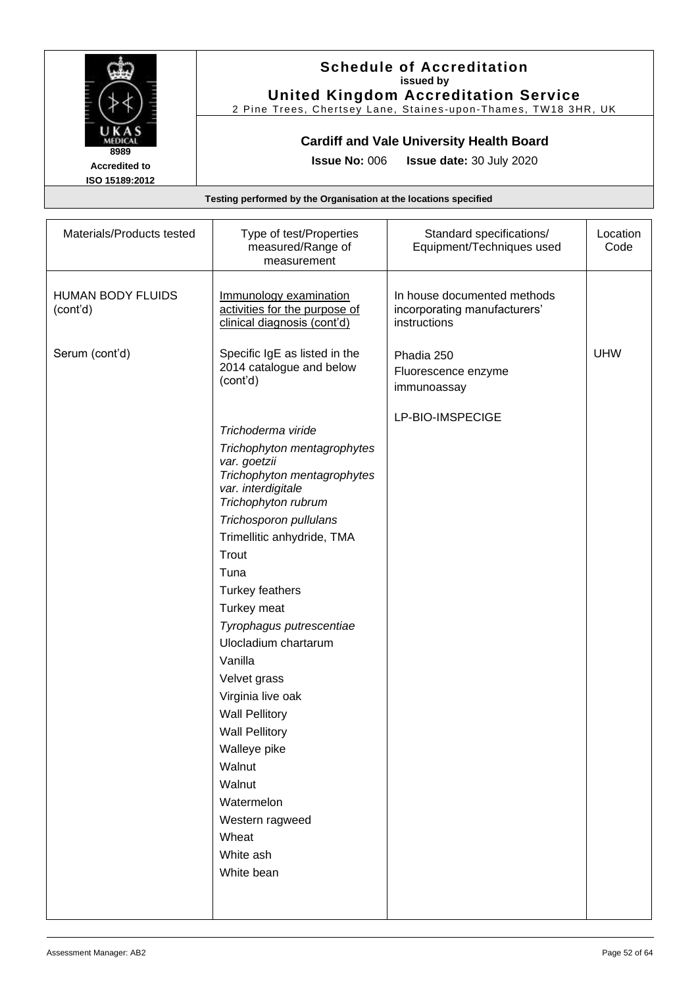

### **Schedule of Accreditation issued by United Kingdom Accreditation Service**

2 Pine Trees, Chertsey Lane, Staines -upon -Thames, TW18 3HR, UK

### **Cardiff and Vale University Health Board**

**Issue No:** 006 **Issue date:** 30 July 2020

| Materials/Products tested            | Type of test/Properties<br>measured/Range of<br>measurement                            | Standard specifications/<br>Equipment/Techniques used                       | Location<br>Code |
|--------------------------------------|----------------------------------------------------------------------------------------|-----------------------------------------------------------------------------|------------------|
| <b>HUMAN BODY FLUIDS</b><br>(cont'd) | Immunology examination<br>activities for the purpose of<br>clinical diagnosis (cont'd) | In house documented methods<br>incorporating manufacturers'<br>instructions |                  |
| Serum (cont'd)                       | Specific IgE as listed in the<br>2014 catalogue and below<br>(cont'd)                  | Phadia 250<br>Fluorescence enzyme<br>immunoassay                            | <b>UHW</b>       |
|                                      |                                                                                        | LP-BIO-IMSPECIGE                                                            |                  |
|                                      | Trichoderma viride                                                                     |                                                                             |                  |
|                                      | Trichophyton mentagrophytes                                                            |                                                                             |                  |
|                                      | var. goetzii<br>Trichophyton mentagrophytes                                            |                                                                             |                  |
|                                      | var. interdigitale                                                                     |                                                                             |                  |
|                                      | Trichophyton rubrum                                                                    |                                                                             |                  |
|                                      | Trichosporon pullulans                                                                 |                                                                             |                  |
|                                      | Trimellitic anhydride, TMA                                                             |                                                                             |                  |
|                                      | Trout                                                                                  |                                                                             |                  |
|                                      | Tuna                                                                                   |                                                                             |                  |
|                                      | <b>Turkey feathers</b>                                                                 |                                                                             |                  |
|                                      | Turkey meat                                                                            |                                                                             |                  |
|                                      | Tyrophagus putrescentiae                                                               |                                                                             |                  |
|                                      | Ulocladium chartarum                                                                   |                                                                             |                  |
|                                      | Vanilla                                                                                |                                                                             |                  |
|                                      | Velvet grass                                                                           |                                                                             |                  |
|                                      | Virginia live oak                                                                      |                                                                             |                  |
|                                      | <b>Wall Pellitory</b>                                                                  |                                                                             |                  |
|                                      | <b>Wall Pellitory</b>                                                                  |                                                                             |                  |
|                                      | Walleye pike                                                                           |                                                                             |                  |
|                                      | Walnut                                                                                 |                                                                             |                  |
|                                      | Walnut                                                                                 |                                                                             |                  |
|                                      | Watermelon                                                                             |                                                                             |                  |
|                                      | Western ragweed                                                                        |                                                                             |                  |
|                                      | Wheat                                                                                  |                                                                             |                  |
|                                      | White ash                                                                              |                                                                             |                  |
|                                      | White bean                                                                             |                                                                             |                  |
|                                      |                                                                                        |                                                                             |                  |
|                                      |                                                                                        |                                                                             |                  |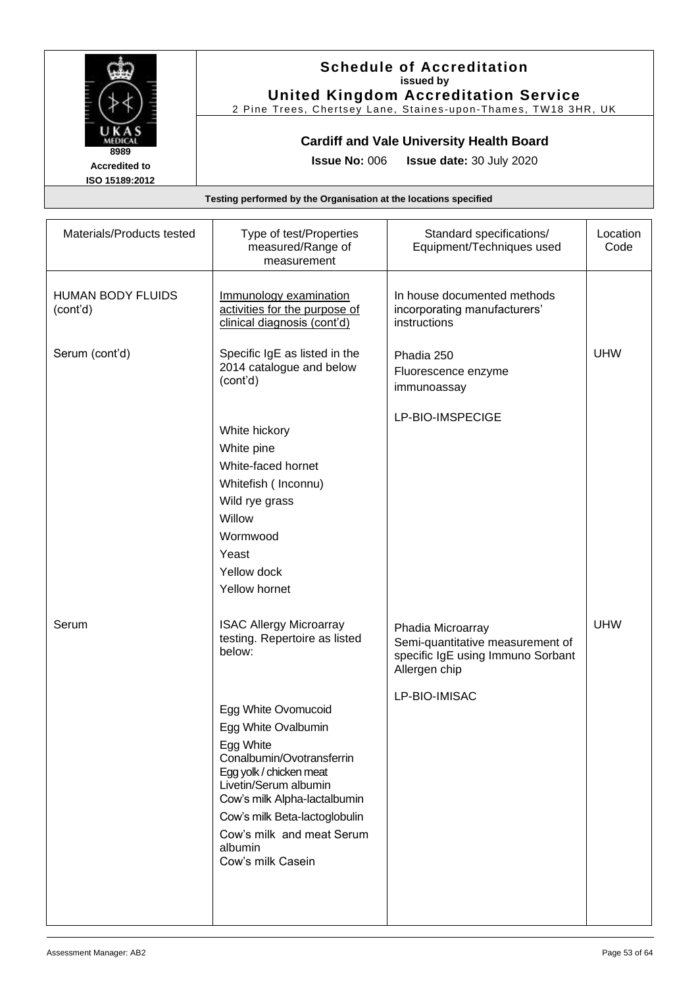

#### **Schedule of Accreditation issued by United Kingdom Accreditation Service**

2 Pine Trees, Chertsey Lane, Staines -upon -Thames, TW18 3HR, UK

### **Cardiff and Vale University Health Board**

**Issue No:** 006 **Issue date:** 30 July 2020

| Materials/Products tested            | Type of test/Properties<br>measured/Range of<br>measurement                                                                                                                                                                                                                                                                                         | Standard specifications/<br>Equipment/Techniques used                                                                        | Location<br>Code |
|--------------------------------------|-----------------------------------------------------------------------------------------------------------------------------------------------------------------------------------------------------------------------------------------------------------------------------------------------------------------------------------------------------|------------------------------------------------------------------------------------------------------------------------------|------------------|
| <b>HUMAN BODY FLUIDS</b><br>(cont'd) | Immunology examination<br>activities for the purpose of<br>clinical diagnosis (cont'd)                                                                                                                                                                                                                                                              | In house documented methods<br>incorporating manufacturers'<br>instructions                                                  |                  |
| Serum (cont'd)                       | Specific IgE as listed in the<br>2014 catalogue and below<br>(cont'd)                                                                                                                                                                                                                                                                               | Phadia 250<br>Fluorescence enzyme<br>immunoassay                                                                             | <b>UHW</b>       |
|                                      | White hickory<br>White pine<br>White-faced hornet<br>Whitefish (Inconnu)<br>Wild rye grass<br>Willow<br>Wormwood<br>Yeast<br>Yellow dock<br>Yellow hornet                                                                                                                                                                                           | LP-BIO-IMSPECIGE                                                                                                             |                  |
| Serum                                | <b>ISAC Allergy Microarray</b><br>testing. Repertoire as listed<br>below:<br>Egg White Ovomucoid<br>Egg White Ovalbumin<br>Egg White<br>Conalbumin/Ovotransferrin<br>Egg yolk / chicken meat<br>Livetin/Serum albumin<br>Cow's milk Alpha-lactalbumin<br>Cow's milk Beta-lactoglobulin<br>Cow's milk and meat Serum<br>albumin<br>Cow's milk Casein | Phadia Microarray<br>Semi-quantitative measurement of<br>specific IgE using Immuno Sorbant<br>Allergen chip<br>LP-BIO-IMISAC | <b>UHW</b>       |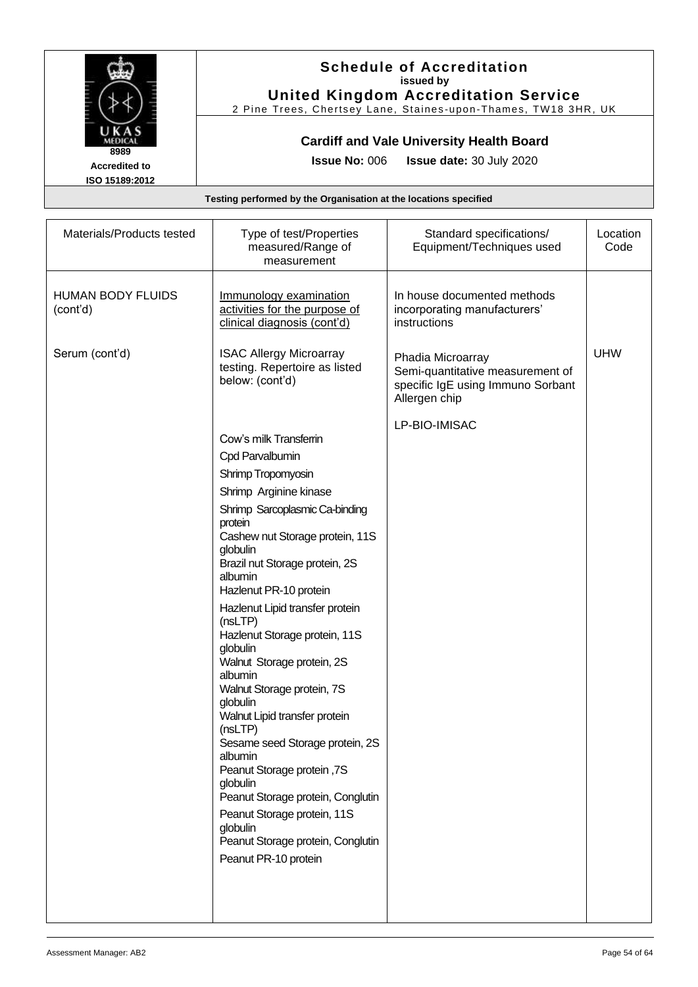

### **Schedule of Accreditation issued by United Kingdom Accreditation Service**

2 Pine Trees, Chertsey Lane, Staines -upon -Thames, TW18 3HR, UK

### **Cardiff and Vale University Health Board**

**Issue No:** 006 **Issue date:** 30 July 2020

| Materials/Products tested            | Type of test/Properties<br>measured/Range of<br>measurement                                                                                                                                                                                                                                                                                                                                                                                                                                                                                                                                                                                                                                                                 | Standard specifications/<br>Equipment/Techniques used                                                       | Location<br>Code |
|--------------------------------------|-----------------------------------------------------------------------------------------------------------------------------------------------------------------------------------------------------------------------------------------------------------------------------------------------------------------------------------------------------------------------------------------------------------------------------------------------------------------------------------------------------------------------------------------------------------------------------------------------------------------------------------------------------------------------------------------------------------------------------|-------------------------------------------------------------------------------------------------------------|------------------|
| <b>HUMAN BODY FLUIDS</b><br>(cont'd) | Immunology examination<br>activities for the purpose of<br>clinical diagnosis (cont'd)                                                                                                                                                                                                                                                                                                                                                                                                                                                                                                                                                                                                                                      | In house documented methods<br>incorporating manufacturers'<br>instructions                                 |                  |
| Serum (cont'd)                       | <b>ISAC Allergy Microarray</b><br>testing. Repertoire as listed<br>below: (cont'd)                                                                                                                                                                                                                                                                                                                                                                                                                                                                                                                                                                                                                                          | Phadia Microarray<br>Semi-quantitative measurement of<br>specific IgE using Immuno Sorbant<br>Allergen chip | <b>UHW</b>       |
|                                      | Cow's milk Transferrin<br>Cpd Parvalbumin<br>Shrimp Tropomyosin<br>Shrimp Arginine kinase<br>Shrimp Sarcoplasmic Ca-binding<br>protein<br>Cashew nut Storage protein, 11S<br>globulin<br>Brazil nut Storage protein, 2S<br>albumin<br>Hazlenut PR-10 protein<br>Hazlenut Lipid transfer protein<br>(nsLTP)<br>Hazlenut Storage protein, 11S<br>globulin<br>Walnut Storage protein, 2S<br>albumin<br>Walnut Storage protein, 7S<br>globulin<br>Walnut Lipid transfer protein<br>(nsLTP)<br>Sesame seed Storage protein, 2S<br>albumin<br>Peanut Storage protein, 7S<br>globulin<br>Peanut Storage protein, Conglutin<br>Peanut Storage protein, 11S<br>globulin<br>Peanut Storage protein, Conglutin<br>Peanut PR-10 protein | LP-BIO-IMISAC                                                                                               |                  |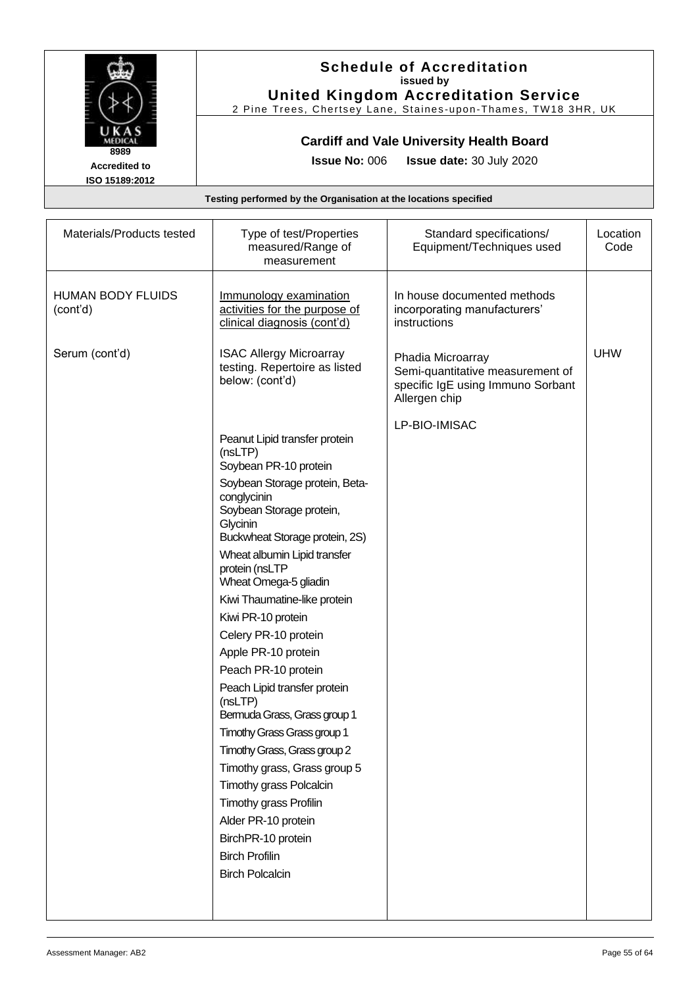

#### **Schedule of Accreditation issued by United Kingdom Accreditation Service**

2 Pine Trees, Chertsey Lane, Staines -upon -Thames, TW18 3HR, UK

### **Cardiff and Vale University Health Board**

**Issue No:** 006 **Issue date:** 30 July 2020

| Materials/Products tested            | Type of test/Properties<br>measured/Range of<br>measurement                                                             | Standard specifications/<br>Equipment/Techniques used                                                       | Location<br>Code |
|--------------------------------------|-------------------------------------------------------------------------------------------------------------------------|-------------------------------------------------------------------------------------------------------------|------------------|
| <b>HUMAN BODY FLUIDS</b><br>(cont'd) | Immunology examination<br>activities for the purpose of<br>clinical diagnosis (cont'd)                                  | In house documented methods<br>incorporating manufacturers'<br>instructions                                 |                  |
| Serum (cont'd)                       | <b>ISAC Allergy Microarray</b><br>testing. Repertoire as listed<br>below: (cont'd)                                      | Phadia Microarray<br>Semi-quantitative measurement of<br>specific IgE using Immuno Sorbant<br>Allergen chip | <b>UHW</b>       |
|                                      | Peanut Lipid transfer protein<br>(nsLTP)<br>Soybean PR-10 protein                                                       | LP-BIO-IMISAC                                                                                               |                  |
|                                      | Soybean Storage protein, Beta-<br>conglycinin<br>Soybean Storage protein,<br>Glycinin<br>Buckwheat Storage protein, 2S) |                                                                                                             |                  |
|                                      | Wheat albumin Lipid transfer<br>protein (nsLTP<br>Wheat Omega-5 gliadin                                                 |                                                                                                             |                  |
|                                      | Kiwi Thaumatine-like protein                                                                                            |                                                                                                             |                  |
|                                      | Kiwi PR-10 protein                                                                                                      |                                                                                                             |                  |
|                                      | Celery PR-10 protein                                                                                                    |                                                                                                             |                  |
|                                      | Apple PR-10 protein                                                                                                     |                                                                                                             |                  |
|                                      | Peach PR-10 protein                                                                                                     |                                                                                                             |                  |
|                                      | Peach Lipid transfer protein<br>(nsLTP)<br>Bermuda Grass, Grass group 1                                                 |                                                                                                             |                  |
|                                      | Timothy Grass Grass group 1                                                                                             |                                                                                                             |                  |
|                                      | Timothy Grass, Grass group 2                                                                                            |                                                                                                             |                  |
|                                      | Timothy grass, Grass group 5                                                                                            |                                                                                                             |                  |
|                                      | Timothy grass Polcalcin                                                                                                 |                                                                                                             |                  |
|                                      | Timothy grass Profilin                                                                                                  |                                                                                                             |                  |
|                                      | Alder PR-10 protein                                                                                                     |                                                                                                             |                  |
|                                      | BirchPR-10 protein                                                                                                      |                                                                                                             |                  |
|                                      | <b>Birch Profilin</b>                                                                                                   |                                                                                                             |                  |
|                                      | <b>Birch Polcalcin</b>                                                                                                  |                                                                                                             |                  |
|                                      |                                                                                                                         |                                                                                                             |                  |
|                                      |                                                                                                                         |                                                                                                             |                  |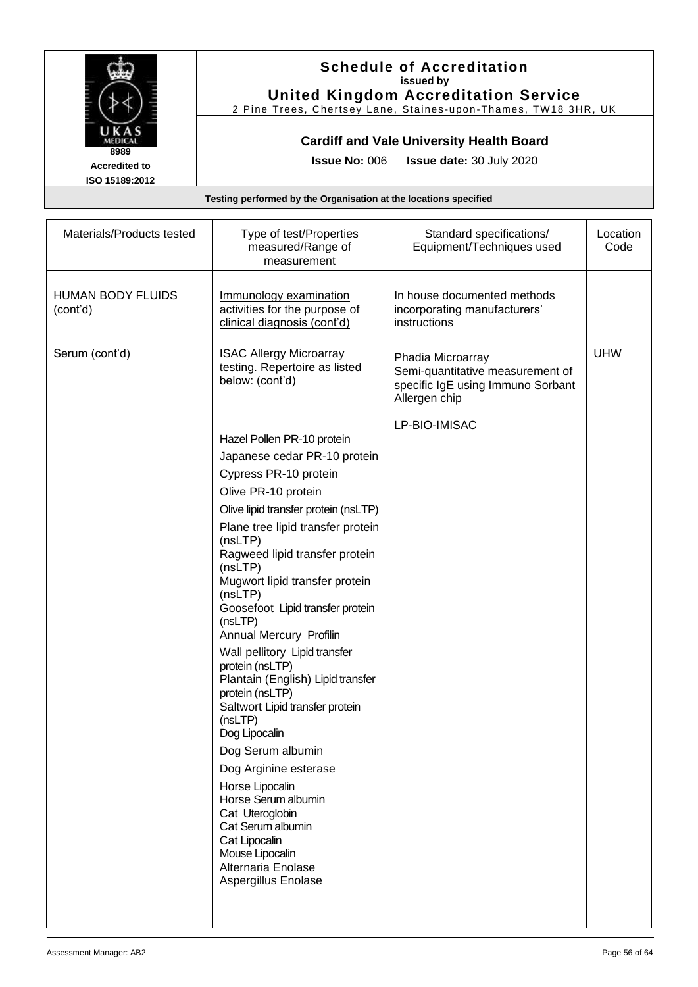

#### **Schedule of Accreditation issued by United Kingdom Accreditation Service**

2 Pine Trees, Chertsey Lane, Staines -upon -Thames, TW18 3HR, UK

### **Cardiff and Vale University Health Board**

**Issue No:** 006 **Issue date:** 30 July 2020

| Materials/Products tested            | Type of test/Properties<br>measured/Range of<br>measurement                                                                                                                                                                                                                                                                                                                                                                                                                                                                                                                                                                                                                                                                                                        | Standard specifications/<br>Equipment/Techniques used                                                       | Location<br>Code |
|--------------------------------------|--------------------------------------------------------------------------------------------------------------------------------------------------------------------------------------------------------------------------------------------------------------------------------------------------------------------------------------------------------------------------------------------------------------------------------------------------------------------------------------------------------------------------------------------------------------------------------------------------------------------------------------------------------------------------------------------------------------------------------------------------------------------|-------------------------------------------------------------------------------------------------------------|------------------|
| <b>HUMAN BODY FLUIDS</b><br>(cont'd) | Immunology examination<br>activities for the purpose of<br>clinical diagnosis (cont'd)                                                                                                                                                                                                                                                                                                                                                                                                                                                                                                                                                                                                                                                                             | In house documented methods<br>incorporating manufacturers'<br>instructions                                 |                  |
| Serum (cont'd)                       | <b>ISAC Allergy Microarray</b><br>testing. Repertoire as listed<br>below: (cont'd)                                                                                                                                                                                                                                                                                                                                                                                                                                                                                                                                                                                                                                                                                 | Phadia Microarray<br>Semi-quantitative measurement of<br>specific IgE using Immuno Sorbant<br>Allergen chip | <b>UHW</b>       |
|                                      | Hazel Pollen PR-10 protein<br>Japanese cedar PR-10 protein<br>Cypress PR-10 protein<br>Olive PR-10 protein<br>Olive lipid transfer protein (nsLTP)<br>Plane tree lipid transfer protein<br>(nsLTP)<br>Ragweed lipid transfer protein<br>(nsLTP)<br>Mugwort lipid transfer protein<br>(nsLTP)<br>Goosefoot Lipid transfer protein<br>(nsLTP)<br>Annual Mercury Profilin<br>Wall pellitory Lipid transfer<br>protein (nsLTP)<br>Plantain (English) Lipid transfer<br>protein (nsLTP)<br>Saltwort Lipid transfer protein<br>(nsLTP)<br>Dog Lipocalin<br>Dog Serum albumin<br>Dog Arginine esterase<br>Horse Lipocalin<br>Horse Serum albumin<br>Cat Uteroglobin<br>Cat Serum albumin<br>Cat Lipocalin<br>Mouse Lipocalin<br>Alternaria Enolase<br>Aspergillus Enolase | LP-BIO-IMISAC                                                                                               |                  |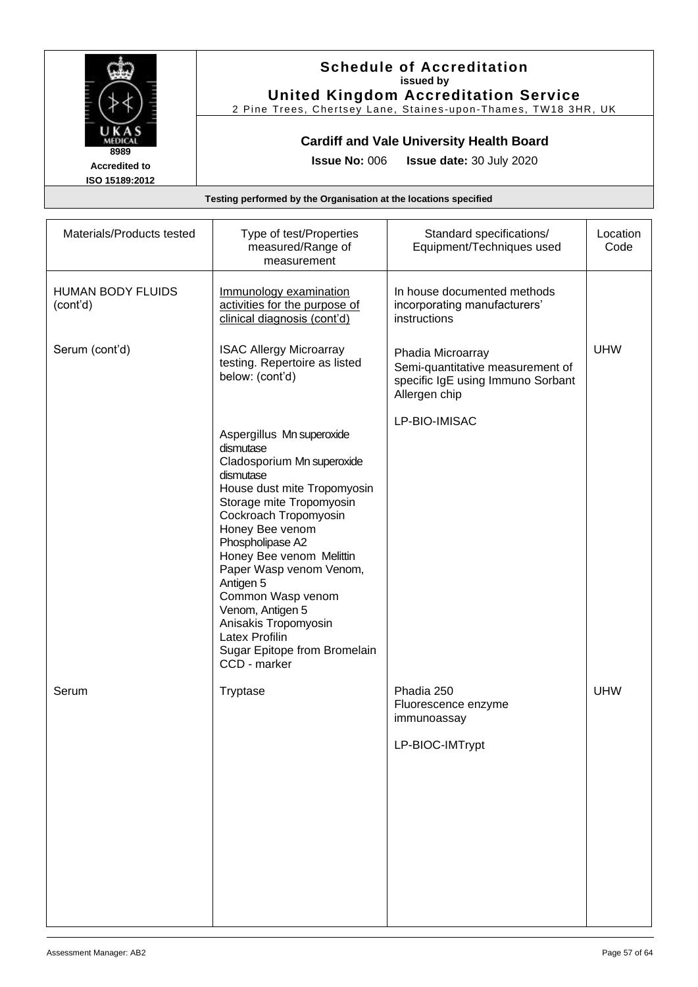

#### **Schedule of Accreditation issued by United Kingdom Accreditation Service**

2 Pine Trees, Chertsey Lane, Staines -upon -Thames, TW18 3HR, UK

### **Cardiff and Vale University Health Board**

**Issue No:** 006 **Issue date:** 30 July 2020

| Type of test/Properties<br>measured/Range of<br>measurement                                                                                                                                                                                                                                                                                                                                                                | Standard specifications/<br>Equipment/Techniques used                                                       | Location<br>Code |
|----------------------------------------------------------------------------------------------------------------------------------------------------------------------------------------------------------------------------------------------------------------------------------------------------------------------------------------------------------------------------------------------------------------------------|-------------------------------------------------------------------------------------------------------------|------------------|
| Immunology examination<br>activities for the purpose of<br>clinical diagnosis (cont'd)                                                                                                                                                                                                                                                                                                                                     | In house documented methods<br>incorporating manufacturers'<br>instructions                                 |                  |
| <b>ISAC Allergy Microarray</b><br>testing. Repertoire as listed<br>below: (cont'd)                                                                                                                                                                                                                                                                                                                                         | Phadia Microarray<br>Semi-quantitative measurement of<br>specific IgE using Immuno Sorbant<br>Allergen chip | <b>UHW</b>       |
| Aspergillus Mn superoxide<br>dismutase<br>Cladosporium Mn superoxide<br>dismutase<br>House dust mite Tropomyosin<br>Storage mite Tropomyosin<br>Cockroach Tropomyosin<br>Honey Bee venom<br>Phospholipase A2<br>Honey Bee venom Melittin<br>Paper Wasp venom Venom,<br>Antigen 5<br>Common Wasp venom<br>Venom, Antigen 5<br>Anisakis Tropomyosin<br><b>Latex Profilin</b><br>Sugar Epitope from Bromelain<br>CCD - marker | LP-BIO-IMISAC                                                                                               |                  |
| Tryptase                                                                                                                                                                                                                                                                                                                                                                                                                   | Phadia 250<br>Fluorescence enzyme<br>immunoassay<br>LP-BIOC-IMTrypt                                         | <b>UHW</b>       |
|                                                                                                                                                                                                                                                                                                                                                                                                                            |                                                                                                             |                  |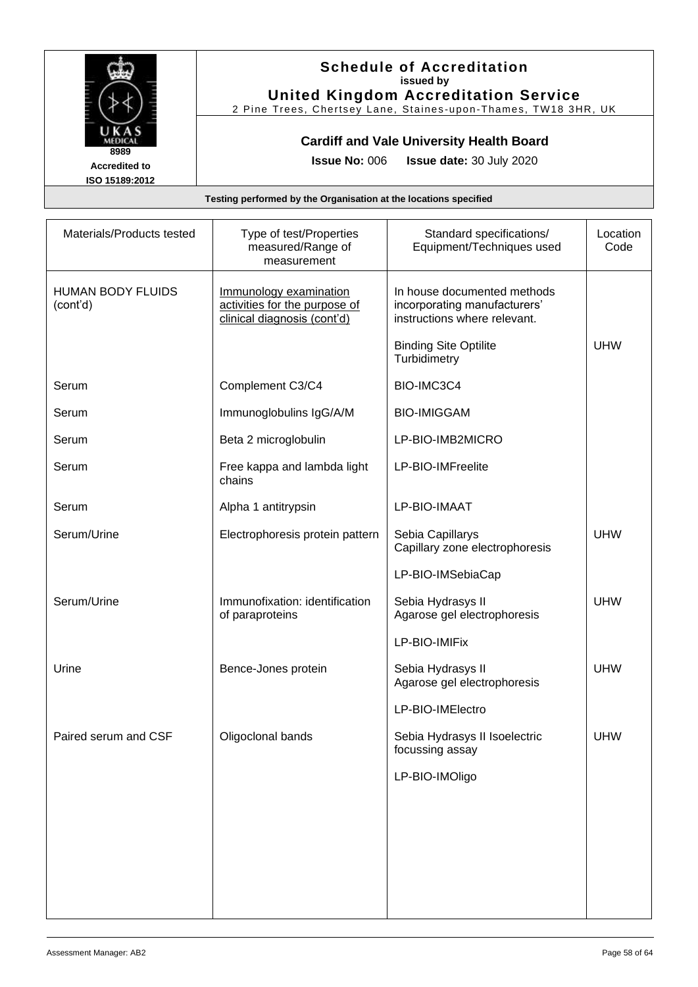

### **Schedule of Accreditation issued by United Kingdom Accreditation Service**

2 Pine Trees, Chertsey Lane, Staines -upon -Thames, TW18 3HR, UK

### **Cardiff and Vale University Health Board**

**Issue No:** 006 **Issue date:** 30 July 2020

| Materials/Products tested            | Type of test/Properties<br>measured/Range of<br>measurement                            | Standard specifications/<br>Equipment/Techniques used                                       | Location<br>Code |
|--------------------------------------|----------------------------------------------------------------------------------------|---------------------------------------------------------------------------------------------|------------------|
| <b>HUMAN BODY FLUIDS</b><br>(cont'd) | Immunology examination<br>activities for the purpose of<br>clinical diagnosis (cont'd) | In house documented methods<br>incorporating manufacturers'<br>instructions where relevant. |                  |
|                                      |                                                                                        | <b>Binding Site Optilite</b><br>Turbidimetry                                                | <b>UHW</b>       |
| Serum                                | Complement C3/C4                                                                       | BIO-IMC3C4                                                                                  |                  |
| Serum                                | Immunoglobulins IgG/A/M                                                                | <b>BIO-IMIGGAM</b>                                                                          |                  |
| Serum                                | Beta 2 microglobulin                                                                   | LP-BIO-IMB2MICRO                                                                            |                  |
| Serum                                | Free kappa and lambda light<br>chains                                                  | LP-BIO-IMFreelite                                                                           |                  |
| Serum                                | Alpha 1 antitrypsin                                                                    | LP-BIO-IMAAT                                                                                |                  |
| Serum/Urine                          | Electrophoresis protein pattern                                                        | Sebia Capillarys<br>Capillary zone electrophoresis                                          | <b>UHW</b>       |
|                                      |                                                                                        | LP-BIO-IMSebiaCap                                                                           |                  |
| Serum/Urine                          | Immunofixation: identification<br>of paraproteins                                      | Sebia Hydrasys II<br>Agarose gel electrophoresis                                            | <b>UHW</b>       |
|                                      |                                                                                        | LP-BIO-IMIFix                                                                               |                  |
| Urine                                | Bence-Jones protein                                                                    | Sebia Hydrasys II<br>Agarose gel electrophoresis                                            | <b>UHW</b>       |
|                                      |                                                                                        | LP-BIO-IMElectro                                                                            |                  |
| Paired serum and CSF                 | Oligoclonal bands                                                                      | Sebia Hydrasys II Isoelectric<br>focussing assay                                            | <b>UHW</b>       |
|                                      |                                                                                        | LP-BIO-IMOligo                                                                              |                  |
|                                      |                                                                                        |                                                                                             |                  |
|                                      |                                                                                        |                                                                                             |                  |
|                                      |                                                                                        |                                                                                             |                  |
|                                      |                                                                                        |                                                                                             |                  |
|                                      |                                                                                        |                                                                                             |                  |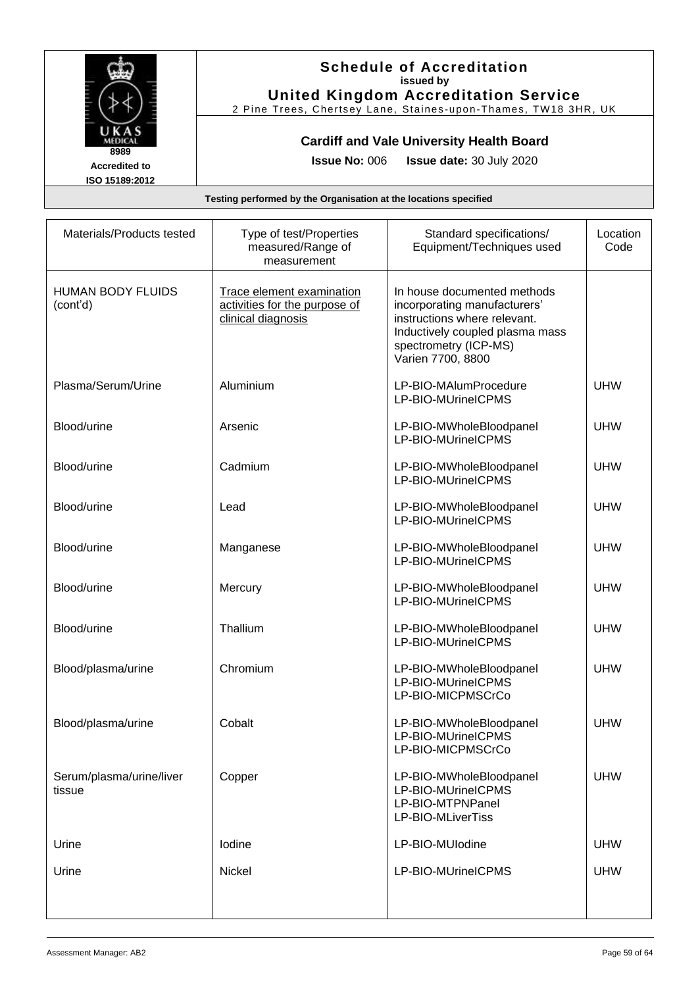

#### **Schedule of Accreditation issued by United Kingdom Accreditation Service**

2 Pine Trees, Chertsey Lane, Staines -upon -Thames, TW18 3HR, UK

### **Cardiff and Vale University Health Board**

**Issue No:** 006 **Issue date:** 30 July 2020

| Materials/Products tested            | Type of test/Properties<br>measured/Range of<br>measurement                             | Standard specifications/<br>Equipment/Techniques used                                                                                                                        | Location<br>Code |
|--------------------------------------|-----------------------------------------------------------------------------------------|------------------------------------------------------------------------------------------------------------------------------------------------------------------------------|------------------|
| <b>HUMAN BODY FLUIDS</b><br>(cont'd) | <b>Trace element examination</b><br>activities for the purpose of<br>clinical diagnosis | In house documented methods<br>incorporating manufacturers'<br>instructions where relevant.<br>Inductively coupled plasma mass<br>spectrometry (ICP-MS)<br>Varien 7700, 8800 |                  |
| Plasma/Serum/Urine                   | Aluminium                                                                               | LP-BIO-MAlumProcedure<br>LP-BIO-MUrineICPMS                                                                                                                                  | <b>UHW</b>       |
| Blood/urine                          | Arsenic                                                                                 | LP-BIO-MWholeBloodpanel<br>LP-BIO-MUrineICPMS                                                                                                                                | <b>UHW</b>       |
| Blood/urine                          | Cadmium                                                                                 | LP-BIO-MWholeBloodpanel<br>LP-BIO-MUrineICPMS                                                                                                                                | <b>UHW</b>       |
| Blood/urine                          | Lead                                                                                    | LP-BIO-MWholeBloodpanel<br>LP-BIO-MUrineICPMS                                                                                                                                | <b>UHW</b>       |
| Blood/urine                          | Manganese                                                                               | LP-BIO-MWholeBloodpanel<br>LP-BIO-MUrineICPMS                                                                                                                                | <b>UHW</b>       |
| Blood/urine                          | Mercury                                                                                 | LP-BIO-MWholeBloodpanel<br>LP-BIO-MUrineICPMS                                                                                                                                | <b>UHW</b>       |
| Blood/urine                          | Thallium                                                                                | LP-BIO-MWholeBloodpanel<br>LP-BIO-MUrineICPMS                                                                                                                                | <b>UHW</b>       |
| Blood/plasma/urine                   | Chromium                                                                                | LP-BIO-MWholeBloodpanel<br>LP-BIO-MUrineICPMS<br>LP-BIO-MICPMSCrCo                                                                                                           | <b>UHW</b>       |
| Blood/plasma/urine                   | Cobalt                                                                                  | LP-BIO-MWholeBloodpanel<br>LP-BIO-MUrineICPMS<br>LP-BIO-MICPMSCrCo                                                                                                           | <b>UHW</b>       |
| Serum/plasma/urine/liver<br>tissue   | Copper                                                                                  | LP-BIO-MWholeBloodpanel<br>LP-BIO-MUrineICPMS<br>LP-BIO-MTPNPanel<br>LP-BIO-MLiverTiss                                                                                       | <b>UHW</b>       |
| Urine                                | lodine                                                                                  | LP-BIO-MUlodine                                                                                                                                                              | <b>UHW</b>       |
| Urine                                | Nickel                                                                                  | LP-BIO-MUrineICPMS                                                                                                                                                           | <b>UHW</b>       |
|                                      |                                                                                         |                                                                                                                                                                              |                  |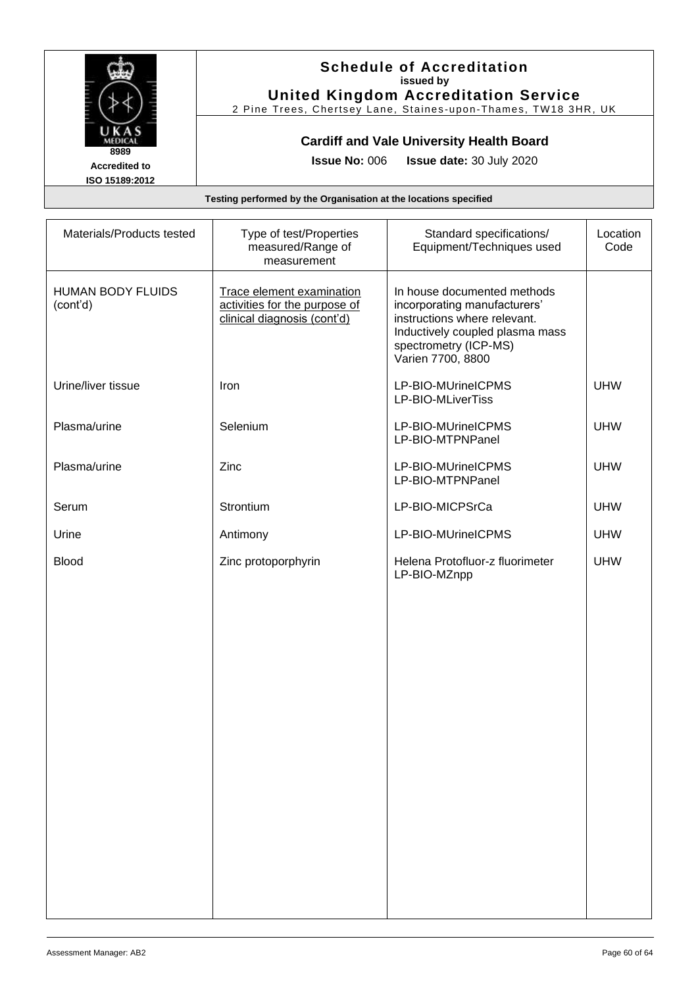

#### **Schedule of Accreditation issued by United Kingdom Accreditation Service**

2 Pine Trees, Chertsey Lane, Staines -upon -Thames, TW18 3HR, UK

### **Cardiff and Vale University Health Board**

**Issue No:** 006 **Issue date:** 30 July 2020

| Materials/Products tested            | Type of test/Properties<br>measured/Range of<br>measurement                               | Standard specifications/<br>Equipment/Techniques used                                                                                                                        | Location<br>Code |
|--------------------------------------|-------------------------------------------------------------------------------------------|------------------------------------------------------------------------------------------------------------------------------------------------------------------------------|------------------|
| <b>HUMAN BODY FLUIDS</b><br>(cont'd) | Trace element examination<br>activities for the purpose of<br>clinical diagnosis (cont'd) | In house documented methods<br>incorporating manufacturers'<br>instructions where relevant.<br>Inductively coupled plasma mass<br>spectrometry (ICP-MS)<br>Varien 7700, 8800 |                  |
| Urine/liver tissue                   | Iron                                                                                      | LP-BIO-MUrineICPMS<br>LP-BIO-MLiverTiss                                                                                                                                      | <b>UHW</b>       |
| Plasma/urine                         | Selenium                                                                                  | LP-BIO-MUrineICPMS<br>LP-BIO-MTPNPanel                                                                                                                                       | <b>UHW</b>       |
| Plasma/urine                         | Zinc                                                                                      | LP-BIO-MUrineICPMS<br>LP-BIO-MTPNPanel                                                                                                                                       | <b>UHW</b>       |
| Serum                                | Strontium                                                                                 | LP-BIO-MICPSrCa                                                                                                                                                              | <b>UHW</b>       |
| Urine                                | Antimony                                                                                  | LP-BIO-MUrineICPMS                                                                                                                                                           | <b>UHW</b>       |
| <b>Blood</b>                         | Zinc protoporphyrin                                                                       | Helena Protofluor-z fluorimeter<br>LP-BIO-MZnpp                                                                                                                              | <b>UHW</b>       |
|                                      |                                                                                           |                                                                                                                                                                              |                  |
|                                      |                                                                                           |                                                                                                                                                                              |                  |
|                                      |                                                                                           |                                                                                                                                                                              |                  |
|                                      |                                                                                           |                                                                                                                                                                              |                  |
|                                      |                                                                                           |                                                                                                                                                                              |                  |
|                                      |                                                                                           |                                                                                                                                                                              |                  |
|                                      |                                                                                           |                                                                                                                                                                              |                  |
|                                      |                                                                                           |                                                                                                                                                                              |                  |
|                                      |                                                                                           |                                                                                                                                                                              |                  |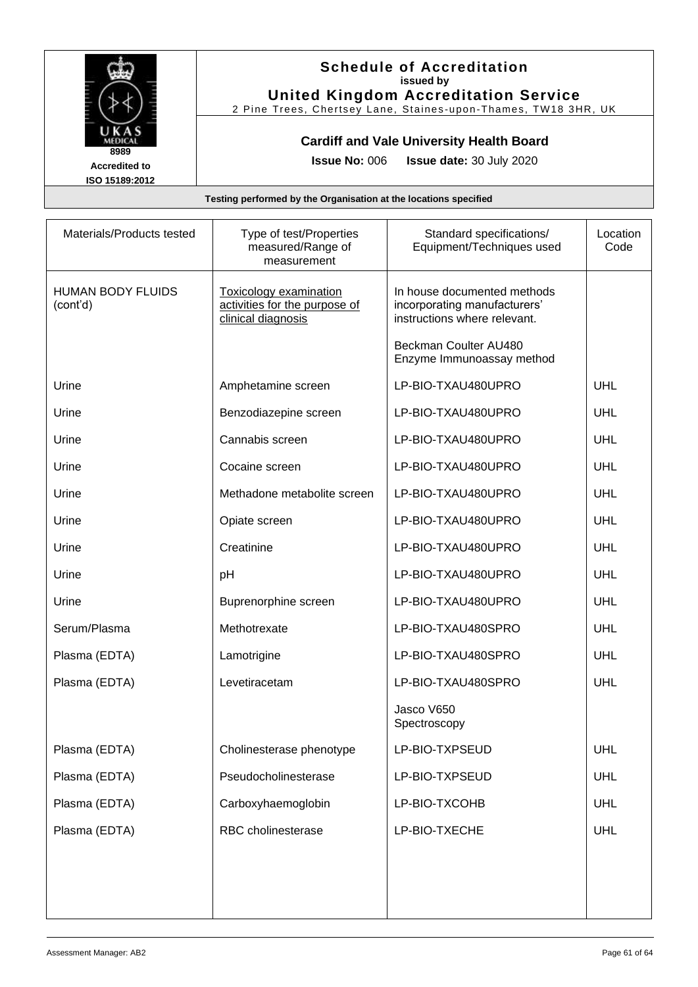

### **Schedule of Accreditation issued by United Kingdom Accreditation Service**

2 Pine Trees, Chertsey Lane, Staines -upon -Thames, TW18 3HR, UK

### **Cardiff and Vale University Health Board**

**Issue No:** 006 **Issue date:** 30 July 2020

| Materials/Products tested            | Type of test/Properties<br>measured/Range of<br>measurement                          | Standard specifications/<br>Equipment/Techniques used                                       | Location<br>Code |
|--------------------------------------|--------------------------------------------------------------------------------------|---------------------------------------------------------------------------------------------|------------------|
| <b>HUMAN BODY FLUIDS</b><br>(cont'd) | <b>Toxicology examination</b><br>activities for the purpose of<br>clinical diagnosis | In house documented methods<br>incorporating manufacturers'<br>instructions where relevant. |                  |
|                                      |                                                                                      | Beckman Coulter AU480<br>Enzyme Immunoassay method                                          |                  |
| Urine                                | Amphetamine screen                                                                   | LP-BIO-TXAU480UPRO                                                                          | UHL              |
| Urine                                | Benzodiazepine screen                                                                | LP-BIO-TXAU480UPRO                                                                          | UHL              |
| Urine                                | Cannabis screen                                                                      | LP-BIO-TXAU480UPRO                                                                          | UHL              |
| Urine                                | Cocaine screen                                                                       | LP-BIO-TXAU480UPRO                                                                          | UHL              |
| Urine                                | Methadone metabolite screen                                                          | LP-BIO-TXAU480UPRO                                                                          | UHL              |
| Urine                                | Opiate screen                                                                        | LP-BIO-TXAU480UPRO                                                                          | UHL              |
| Urine                                | Creatinine                                                                           | LP-BIO-TXAU480UPRO                                                                          | UHL              |
| Urine                                | pH                                                                                   | LP-BIO-TXAU480UPRO                                                                          | UHL              |
| Urine                                | Buprenorphine screen                                                                 | LP-BIO-TXAU480UPRO                                                                          | UHL              |
| Serum/Plasma                         | Methotrexate                                                                         | LP-BIO-TXAU480SPRO                                                                          | UHL              |
| Plasma (EDTA)                        | Lamotrigine                                                                          | LP-BIO-TXAU480SPRO                                                                          | UHL              |
| Plasma (EDTA)                        | Levetiracetam                                                                        | LP-BIO-TXAU480SPRO                                                                          | UHL              |
|                                      |                                                                                      | Jasco V650<br>Spectroscopy                                                                  |                  |
| Plasma (EDTA)                        | Cholinesterase phenotype                                                             | LP-BIO-TXPSEUD                                                                              | <b>UHL</b>       |
| Plasma (EDTA)                        | Pseudocholinesterase                                                                 | LP-BIO-TXPSEUD                                                                              | UHL              |
| Plasma (EDTA)                        | Carboxyhaemoglobin                                                                   | LP-BIO-TXCOHB                                                                               | UHL              |
| Plasma (EDTA)                        | RBC cholinesterase                                                                   | LP-BIO-TXECHE                                                                               | UHL              |
|                                      |                                                                                      |                                                                                             |                  |
|                                      |                                                                                      |                                                                                             |                  |
|                                      |                                                                                      |                                                                                             |                  |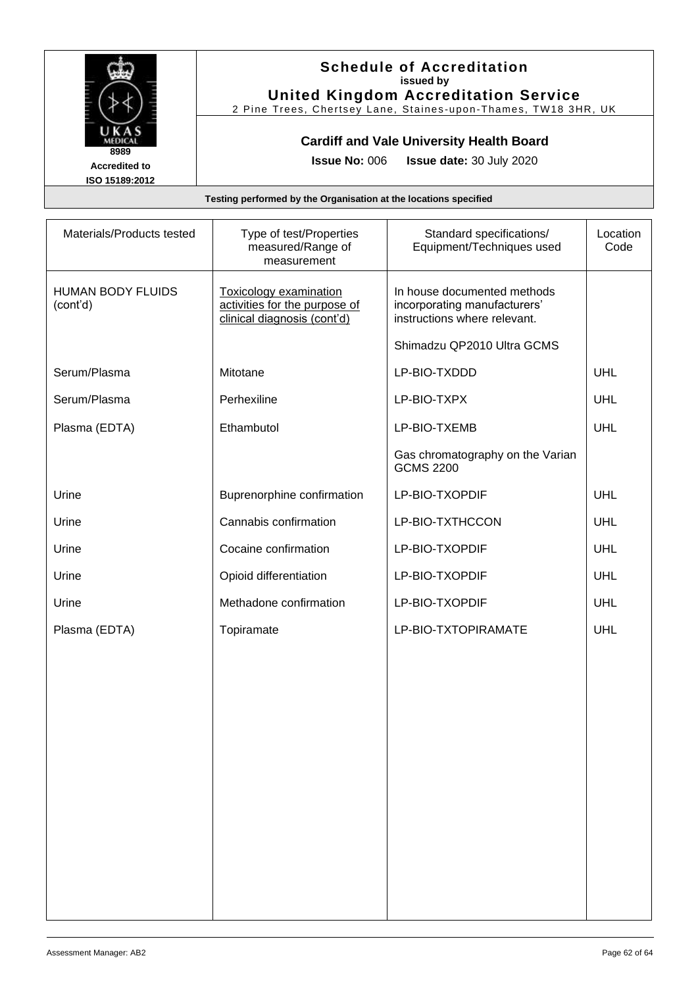

### **Schedule of Accreditation issued by United Kingdom Accreditation Service**

2 Pine Trees, Chertsey Lane, Staines -upon -Thames, TW18 3HR, UK

# **Cardiff and Vale University Health Board**

**Issue No:** 006 **Issue date:** 30 July 2020

| Materials/Products tested            | Type of test/Properties<br>measured/Range of<br>measurement                                   | Standard specifications/<br>Equipment/Techniques used                                       | Location<br>Code |
|--------------------------------------|-----------------------------------------------------------------------------------------------|---------------------------------------------------------------------------------------------|------------------|
| <b>HUMAN BODY FLUIDS</b><br>(cont'd) | <b>Toxicology examination</b><br>activities for the purpose of<br>clinical diagnosis (cont'd) | In house documented methods<br>incorporating manufacturers'<br>instructions where relevant. |                  |
|                                      |                                                                                               | Shimadzu QP2010 Ultra GCMS                                                                  |                  |
| Serum/Plasma                         | Mitotane                                                                                      | LP-BIO-TXDDD                                                                                | UHL              |
| Serum/Plasma                         | Perhexiline                                                                                   | LP-BIO-TXPX                                                                                 | UHL              |
| Plasma (EDTA)                        | Ethambutol                                                                                    | LP-BIO-TXEMB                                                                                | UHL              |
|                                      |                                                                                               | Gas chromatography on the Varian<br><b>GCMS 2200</b>                                        |                  |
| Urine                                | Buprenorphine confirmation                                                                    | LP-BIO-TXOPDIF                                                                              | UHL              |
| Urine                                | Cannabis confirmation                                                                         | LP-BIO-TXTHCCON                                                                             | UHL              |
| Urine                                | Cocaine confirmation                                                                          | LP-BIO-TXOPDIF                                                                              | UHL              |
| Urine                                | Opioid differentiation                                                                        | LP-BIO-TXOPDIF                                                                              | UHL              |
| Urine                                | Methadone confirmation                                                                        | LP-BIO-TXOPDIF                                                                              | UHL              |
| Plasma (EDTA)                        | Topiramate                                                                                    | LP-BIO-TXTOPIRAMATE                                                                         | UHL              |
|                                      |                                                                                               |                                                                                             |                  |
|                                      |                                                                                               |                                                                                             |                  |
|                                      |                                                                                               |                                                                                             |                  |
|                                      |                                                                                               |                                                                                             |                  |
|                                      |                                                                                               |                                                                                             |                  |
|                                      |                                                                                               |                                                                                             |                  |
|                                      |                                                                                               |                                                                                             |                  |
|                                      |                                                                                               |                                                                                             |                  |
|                                      |                                                                                               |                                                                                             |                  |
|                                      |                                                                                               |                                                                                             |                  |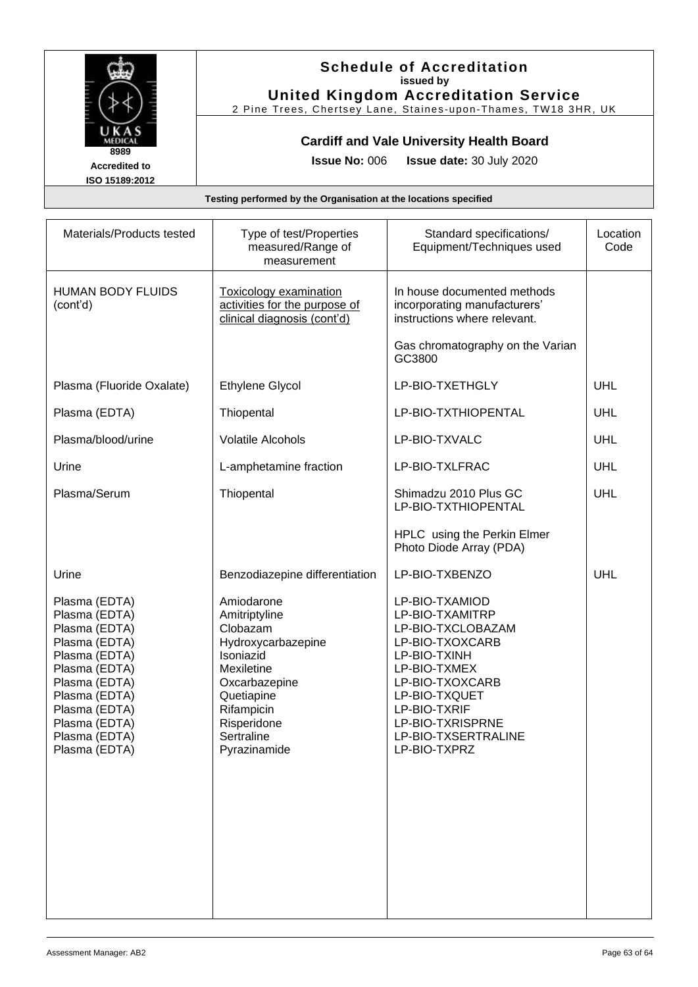

#### **Schedule of Accreditation issued by United Kingdom Accreditation Service**

2 Pine Trees, Chertsey Lane, Staines -upon -Thames, TW18 3HR, UK

### **Cardiff and Vale University Health Board**

**Issue No:** 006 **Issue date:** 30 July 2020

| Materials/Products tested                                                                                                                                                                                | Type of test/Properties<br>measured/Range of<br>measurement                                                                                                                        | Standard specifications/<br>Equipment/Techniques used                                                                                                                                                                    | Location<br>Code |
|----------------------------------------------------------------------------------------------------------------------------------------------------------------------------------------------------------|------------------------------------------------------------------------------------------------------------------------------------------------------------------------------------|--------------------------------------------------------------------------------------------------------------------------------------------------------------------------------------------------------------------------|------------------|
| <b>HUMAN BODY FLUIDS</b><br>(cont'd)                                                                                                                                                                     | <b>Toxicology examination</b><br>activities for the purpose of<br>clinical diagnosis (cont'd)                                                                                      | In house documented methods<br>incorporating manufacturers'<br>instructions where relevant.                                                                                                                              |                  |
|                                                                                                                                                                                                          |                                                                                                                                                                                    | Gas chromatography on the Varian<br>GC3800                                                                                                                                                                               |                  |
| Plasma (Fluoride Oxalate)                                                                                                                                                                                | <b>Ethylene Glycol</b>                                                                                                                                                             | LP-BIO-TXETHGLY                                                                                                                                                                                                          | UHL              |
| Plasma (EDTA)                                                                                                                                                                                            | Thiopental                                                                                                                                                                         | LP-BIO-TXTHIOPENTAL                                                                                                                                                                                                      | UHL              |
| Plasma/blood/urine                                                                                                                                                                                       | <b>Volatile Alcohols</b>                                                                                                                                                           | LP-BIO-TXVALC                                                                                                                                                                                                            | UHL              |
| Urine                                                                                                                                                                                                    | L-amphetamine fraction                                                                                                                                                             | LP-BIO-TXLFRAC                                                                                                                                                                                                           | UHL              |
| Plasma/Serum                                                                                                                                                                                             | Thiopental                                                                                                                                                                         | Shimadzu 2010 Plus GC<br>LP-BIO-TXTHIOPENTAL                                                                                                                                                                             | <b>UHL</b>       |
|                                                                                                                                                                                                          |                                                                                                                                                                                    | HPLC using the Perkin Elmer<br>Photo Diode Array (PDA)                                                                                                                                                                   |                  |
| Urine                                                                                                                                                                                                    | Benzodiazepine differentiation                                                                                                                                                     | LP-BIO-TXBENZO                                                                                                                                                                                                           | UHL              |
| Plasma (EDTA)<br>Plasma (EDTA)<br>Plasma (EDTA)<br>Plasma (EDTA)<br>Plasma (EDTA)<br>Plasma (EDTA)<br>Plasma (EDTA)<br>Plasma (EDTA)<br>Plasma (EDTA)<br>Plasma (EDTA)<br>Plasma (EDTA)<br>Plasma (EDTA) | Amiodarone<br>Amitriptyline<br>Clobazam<br>Hydroxycarbazepine<br>Isoniazid<br>Mexiletine<br>Oxcarbazepine<br>Quetiapine<br>Rifampicin<br>Risperidone<br>Sertraline<br>Pyrazinamide | LP-BIO-TXAMIOD<br>LP-BIO-TXAMITRP<br>LP-BIO-TXCLOBAZAM<br>LP-BIO-TXOXCARB<br>LP-BIO-TXINH<br>LP-BIO-TXMEX<br>LP-BIO-TXOXCARB<br>LP-BIO-TXQUET<br>LP-BIO-TXRIF<br>LP-BIO-TXRISPRNE<br>LP-BIO-TXSERTRALINE<br>LP-BIO-TXPRZ |                  |